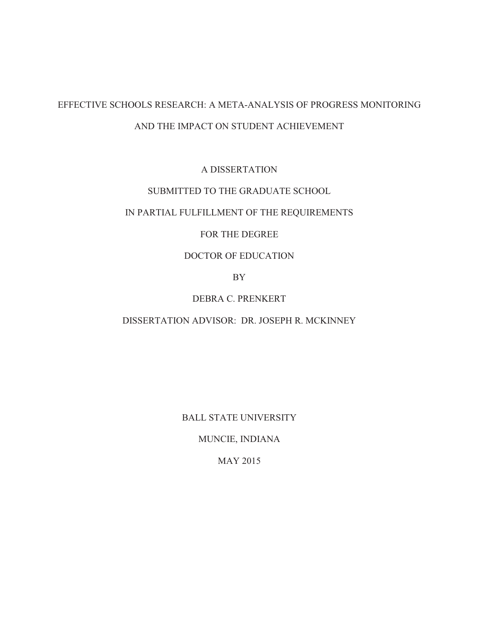# EFFECTIVE SCHOOLS RESEARCH: A META-ANALYSIS OF PROGRESS MONITORING AND THE IMPACT ON STUDENT ACHIEVEMENT

A DISSERTATION

# SUBMITTED TO THE GRADUATE SCHOOL

# IN PARTIAL FULFILLMENT OF THE REQUIREMENTS

# FOR THE DEGREE

# DOCTOR OF EDUCATION

BY

# DEBRA C. PRENKERT

### DISSERTATION ADVISOR: DR. JOSEPH R. MCKINNEY

BALL STATE UNIVERSITY

MUNCIE, INDIANA

MAY 2015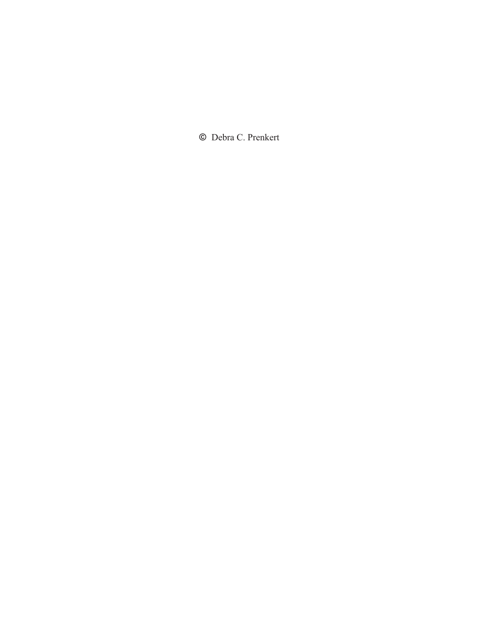**©** Debra C. Prenkert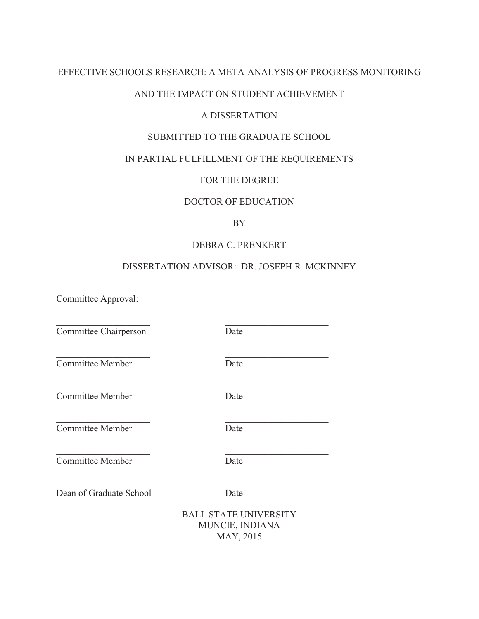## EFFECTIVE SCHOOLS RESEARCH: A META-ANALYSIS OF PROGRESS MONITORING

### AND THE IMPACT ON STUDENT ACHIEVEMENT

### A DISSERTATION

# SUBMITTED TO THE GRADUATE SCHOOL

# IN PARTIAL FULFILLMENT OF THE REQUIREMENTS

## FOR THE DEGREE

### DOCTOR OF EDUCATION

### BY

### DEBRA C. PRENKERT

### DISSERTATION ADVISOR: DR. JOSEPH R. MCKINNEY

\_\_\_\_\_\_\_\_\_\_\_\_\_\_\_\_\_\_\_\_ \_\_\_\_\_\_\_\_\_\_\_\_\_\_\_\_\_\_\_\_\_\_

\_\_\_\_\_\_\_\_\_\_\_\_\_\_\_\_\_\_\_\_ \_\_\_\_\_\_\_\_\_\_\_\_\_\_\_\_\_\_\_\_\_\_

\_\_\_\_\_\_\_\_\_\_\_\_\_\_\_\_\_\_\_\_ \_\_\_\_\_\_\_\_\_\_\_\_\_\_\_\_\_\_\_\_\_\_

\_\_\_\_\_\_\_\_\_\_\_\_\_\_\_\_\_\_\_\_ \_\_\_\_\_\_\_\_\_\_\_\_\_\_\_\_\_\_\_\_\_\_

Committee Approval:

Committee Chairperson Date

 $\mathcal{L}_\mathcal{L} = \mathcal{L}_\mathcal{L} = \mathcal{L}_\mathcal{L} = \mathcal{L}_\mathcal{L} = \mathcal{L}_\mathcal{L} = \mathcal{L}_\mathcal{L} = \mathcal{L}_\mathcal{L} = \mathcal{L}_\mathcal{L} = \mathcal{L}_\mathcal{L} = \mathcal{L}_\mathcal{L} = \mathcal{L}_\mathcal{L} = \mathcal{L}_\mathcal{L} = \mathcal{L}_\mathcal{L} = \mathcal{L}_\mathcal{L} = \mathcal{L}_\mathcal{L} = \mathcal{L}_\mathcal{L} = \mathcal{L}_\mathcal{L}$ 

**Committee Member** Date

Committee Member Date

Committee Member Date

**Committee Member** Date

Dean of Graduate School Date

 $\overline{\phantom{a}}$  , and the contribution of the contribution of  $\overline{\phantom{a}}$  , and the contribution of  $\overline{\phantom{a}}$ 

BALL STATE UNIVERSITY MUNCIE, INDIANA MAY, 2015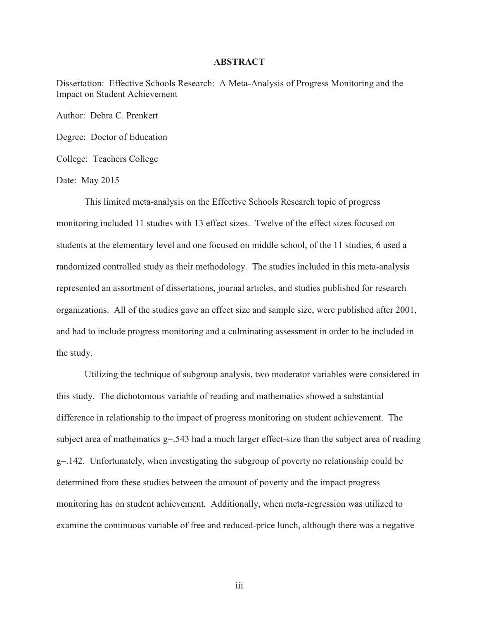#### **ABSTRACT**

Dissertation: Effective Schools Research: A Meta-Analysis of Progress Monitoring and the Impact on Student Achievement

Author: Debra C. Prenkert

Degree: Doctor of Education

College: Teachers College

Date: May 2015

This limited meta-analysis on the Effective Schools Research topic of progress monitoring included 11 studies with 13 effect sizes. Twelve of the effect sizes focused on students at the elementary level and one focused on middle school, of the 11 studies, 6 used a randomized controlled study as their methodology. The studies included in this meta-analysis represented an assortment of dissertations, journal articles, and studies published for research organizations. All of the studies gave an effect size and sample size, were published after 2001, and had to include progress monitoring and a culminating assessment in order to be included in the study.

Utilizing the technique of subgroup analysis, two moderator variables were considered in this study. The dichotomous variable of reading and mathematics showed a substantial difference in relationship to the impact of progress monitoring on student achievement. The subject area of mathematics  $g = 0.543$  had a much larger effect-size than the subject area of reading g=.142. Unfortunately, when investigating the subgroup of poverty no relationship could be determined from these studies between the amount of poverty and the impact progress monitoring has on student achievement. Additionally, when meta-regression was utilized to examine the continuous variable of free and reduced-price lunch, although there was a negative

iii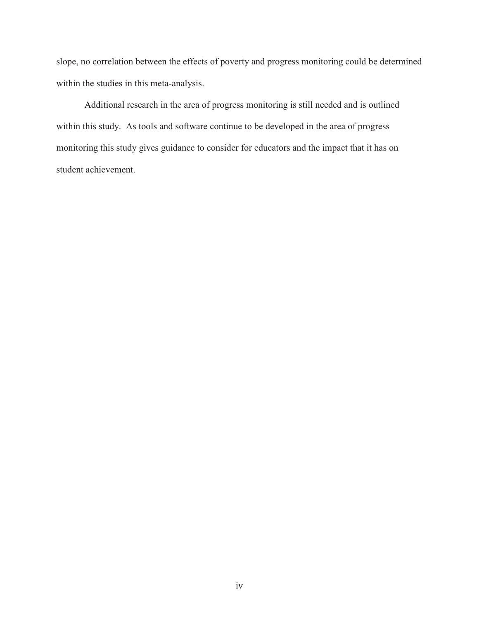slope, no correlation between the effects of poverty and progress monitoring could be determined within the studies in this meta-analysis.

 Additional research in the area of progress monitoring is still needed and is outlined within this study. As tools and software continue to be developed in the area of progress monitoring this study gives guidance to consider for educators and the impact that it has on student achievement.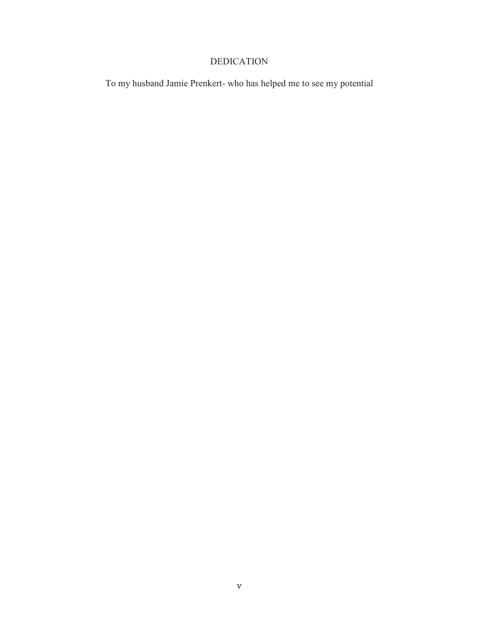# DEDICATION

To my husband Jamie Prenkert- who has helped me to see my potential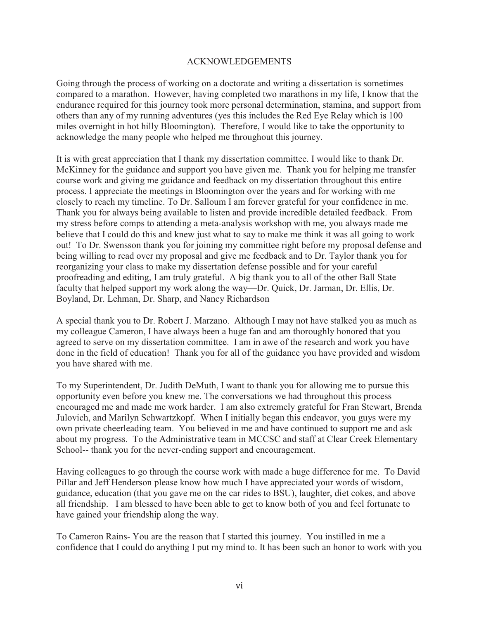### ACKNOWLEDGEMENTS

Going through the process of working on a doctorate and writing a dissertation is sometimes compared to a marathon. However, having completed two marathons in my life, I know that the endurance required for this journey took more personal determination, stamina, and support from others than any of my running adventures (yes this includes the Red Eye Relay which is 100 miles overnight in hot hilly Bloomington). Therefore, I would like to take the opportunity to acknowledge the many people who helped me throughout this journey.

It is with great appreciation that I thank my dissertation committee. I would like to thank Dr. McKinney for the guidance and support you have given me. Thank you for helping me transfer course work and giving me guidance and feedback on my dissertation throughout this entire process. I appreciate the meetings in Bloomington over the years and for working with me closely to reach my timeline. To Dr. Salloum I am forever grateful for your confidence in me. Thank you for always being available to listen and provide incredible detailed feedback. From my stress before comps to attending a meta-analysis workshop with me, you always made me believe that I could do this and knew just what to say to make me think it was all going to work out! To Dr. Swensson thank you for joining my committee right before my proposal defense and being willing to read over my proposal and give me feedback and to Dr. Taylor thank you for reorganizing your class to make my dissertation defense possible and for your careful proofreading and editing, I am truly grateful. A big thank you to all of the other Ball State faculty that helped support my work along the way—Dr. Quick, Dr. Jarman, Dr. Ellis, Dr. Boyland, Dr. Lehman, Dr. Sharp, and Nancy Richardson

A special thank you to Dr. Robert J. Marzano. Although I may not have stalked you as much as my colleague Cameron, I have always been a huge fan and am thoroughly honored that you agreed to serve on my dissertation committee. I am in awe of the research and work you have done in the field of education! Thank you for all of the guidance you have provided and wisdom you have shared with me.

To my Superintendent, Dr. Judith DeMuth, I want to thank you for allowing me to pursue this opportunity even before you knew me. The conversations we had throughout this process encouraged me and made me work harder. I am also extremely grateful for Fran Stewart, Brenda Julovich, and Marilyn Schwartzkopf. When I initially began this endeavor, you guys were my own private cheerleading team. You believed in me and have continued to support me and ask about my progress. To the Administrative team in MCCSC and staff at Clear Creek Elementary School-- thank you for the never-ending support and encouragement.

Having colleagues to go through the course work with made a huge difference for me. To David Pillar and Jeff Henderson please know how much I have appreciated your words of wisdom, guidance, education (that you gave me on the car rides to BSU), laughter, diet cokes, and above all friendship. I am blessed to have been able to get to know both of you and feel fortunate to have gained your friendship along the way.

To Cameron Rains- You are the reason that I started this journey. You instilled in me a confidence that I could do anything I put my mind to. It has been such an honor to work with you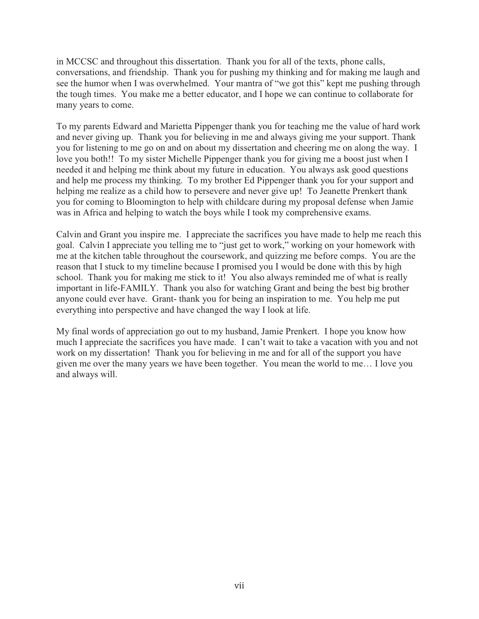in MCCSC and throughout this dissertation. Thank you for all of the texts, phone calls, conversations, and friendship. Thank you for pushing my thinking and for making me laugh and see the humor when I was overwhelmed. Your mantra of "we got this" kept me pushing through the tough times. You make me a better educator, and I hope we can continue to collaborate for many years to come.

To my parents Edward and Marietta Pippenger thank you for teaching me the value of hard work and never giving up. Thank you for believing in me and always giving me your support. Thank you for listening to me go on and on about my dissertation and cheering me on along the way. I love you both!! To my sister Michelle Pippenger thank you for giving me a boost just when I needed it and helping me think about my future in education. You always ask good questions and help me process my thinking. To my brother Ed Pippenger thank you for your support and helping me realize as a child how to persevere and never give up! To Jeanette Prenkert thank you for coming to Bloomington to help with childcare during my proposal defense when Jamie was in Africa and helping to watch the boys while I took my comprehensive exams.

Calvin and Grant you inspire me. I appreciate the sacrifices you have made to help me reach this goal. Calvin I appreciate you telling me to "just get to work," working on your homework with me at the kitchen table throughout the coursework, and quizzing me before comps. You are the reason that I stuck to my timeline because I promised you I would be done with this by high school. Thank you for making me stick to it! You also always reminded me of what is really important in life-FAMILY. Thank you also for watching Grant and being the best big brother anyone could ever have. Grant- thank you for being an inspiration to me. You help me put everything into perspective and have changed the way I look at life.

My final words of appreciation go out to my husband, Jamie Prenkert. I hope you know how much I appreciate the sacrifices you have made. I can't wait to take a vacation with you and not work on my dissertation! Thank you for believing in me and for all of the support you have given me over the many years we have been together. You mean the world to me… I love you and always will.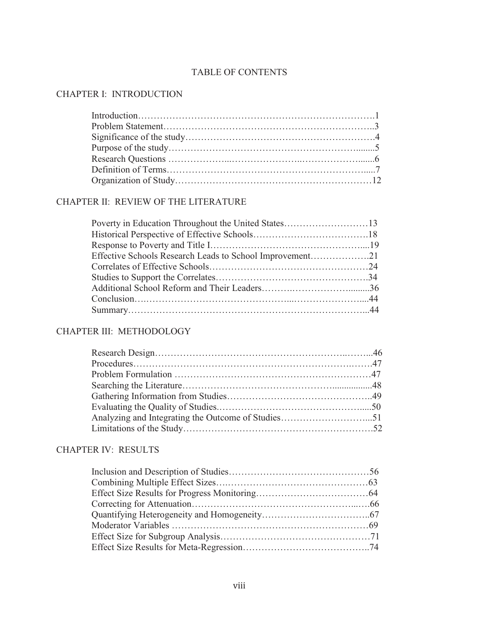# TABLE OF CONTENTS

# CHAPTER I: INTRODUCTION

# CHAPTER II: REVIEW OF THE LITERATURE

| Effective Schools Research Leads to School Improvement21 |  |
|----------------------------------------------------------|--|
|                                                          |  |
|                                                          |  |
|                                                          |  |
|                                                          |  |
|                                                          |  |
|                                                          |  |

# CHAPTER III: METHODOLOGY

# CHAPTER IV: RESULTS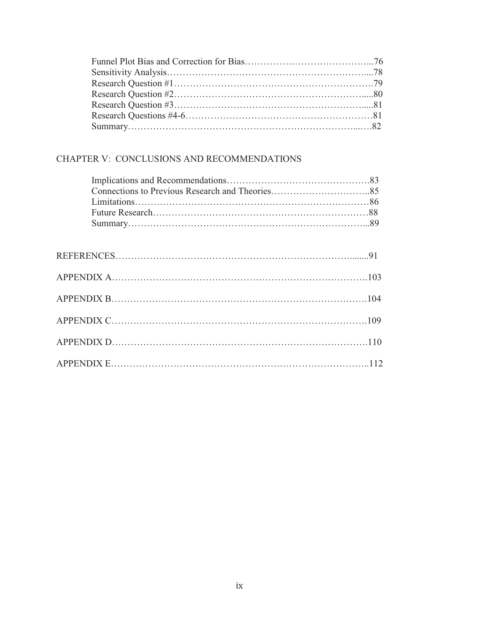# CHAPTER V: CONCLUSIONS AND RECOMMENDATIONS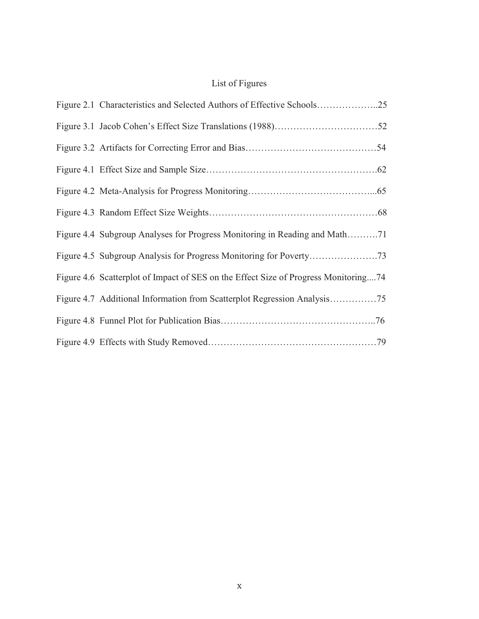# List of Figures

| Figure 2.1 Characteristics and Selected Authors of Effective Schools25              |
|-------------------------------------------------------------------------------------|
|                                                                                     |
|                                                                                     |
|                                                                                     |
|                                                                                     |
|                                                                                     |
| Figure 4.4 Subgroup Analyses for Progress Monitoring in Reading and Math71          |
|                                                                                     |
| Figure 4.6 Scatterplot of Impact of SES on the Effect Size of Progress Monitoring74 |
|                                                                                     |
|                                                                                     |
|                                                                                     |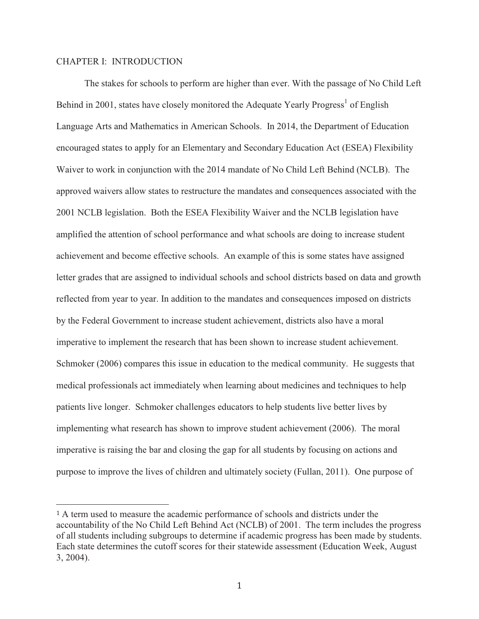### CHAPTER I: INTRODUCTION

 $\overline{a}$ 

The stakes for schools to perform are higher than ever. With the passage of No Child Left Behind in 2001, states have closely monitored the Adequate Yearly Progress<sup>1</sup> of English Language Arts and Mathematics in American Schools. In 2014, the Department of Education encouraged states to apply for an Elementary and Secondary Education Act (ESEA) Flexibility Waiver to work in conjunction with the 2014 mandate of No Child Left Behind (NCLB). The approved waivers allow states to restructure the mandates and consequences associated with the 2001 NCLB legislation. Both the ESEA Flexibility Waiver and the NCLB legislation have amplified the attention of school performance and what schools are doing to increase student achievement and become effective schools. An example of this is some states have assigned letter grades that are assigned to individual schools and school districts based on data and growth reflected from year to year. In addition to the mandates and consequences imposed on districts by the Federal Government to increase student achievement, districts also have a moral imperative to implement the research that has been shown to increase student achievement. Schmoker (2006) compares this issue in education to the medical community. He suggests that medical professionals act immediately when learning about medicines and techniques to help patients live longer. Schmoker challenges educators to help students live better lives by implementing what research has shown to improve student achievement (2006). The moral imperative is raising the bar and closing the gap for all students by focusing on actions and purpose to improve the lives of children and ultimately society (Fullan, 2011). One purpose of

<sup>1</sup> A term used to measure the academic performance of schools and districts under the accountability of the No Child Left Behind Act (NCLB) of 2001. The term includes the progress of all students including subgroups to determine if academic progress has been made by students. Each state determines the cutoff scores for their statewide assessment (Education Week, August 3, 2004).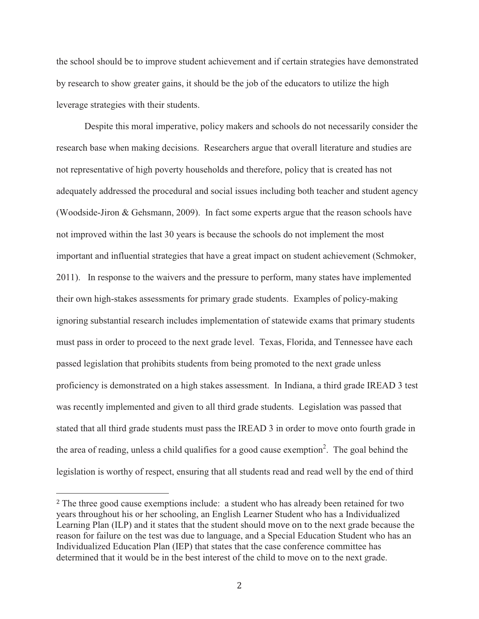the school should be to improve student achievement and if certain strategies have demonstrated by research to show greater gains, it should be the job of the educators to utilize the high leverage strategies with their students.

 Despite this moral imperative, policy makers and schools do not necessarily consider the research base when making decisions. Researchers argue that overall literature and studies are not representative of high poverty households and therefore, policy that is created has not adequately addressed the procedural and social issues including both teacher and student agency (Woodside-Jiron & Gehsmann, 2009). In fact some experts argue that the reason schools have not improved within the last 30 years is because the schools do not implement the most important and influential strategies that have a great impact on student achievement (Schmoker, 2011).In response to the waivers and the pressure to perform, many states have implemented their own high-stakes assessments for primary grade students. Examples of policy-making ignoring substantial research includes implementation of statewide exams that primary students must pass in order to proceed to the next grade level.Texas, Florida, and Tennessee have each passed legislation that prohibits students from being promoted to the next grade unless proficiency is demonstrated on a high stakes assessment. In Indiana, a third grade IREAD 3 test was recently implemented and given to all third grade students. Legislation was passed that stated that all third grade students must pass the IREAD 3 in order to move onto fourth grade in the area of reading, unless a child qualifies for a good cause exemption<sup>2</sup>. The goal behind the legislation is worthy of respect, ensuring that all students read and read well by the end of third

 $\overline{a}$ 

<sup>2</sup> The three good cause exemptions include: a student who has already been retained for two years throughout his or her schooling, an English Learner Student who has a Individualized Learning Plan (ILP) and it states that the student should move on to the next grade because the reason for failure on the test was due to language, and a Special Education Student who has an Individualized Education Plan (IEP) that states that the case conference committee has determined that it would be in the best interest of the child to move on to the next grade.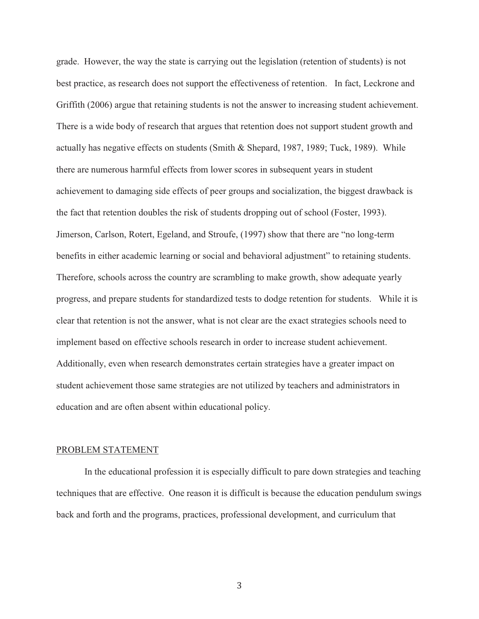grade. However, the way the state is carrying out the legislation (retention of students) is not best practice, as research does not support the effectiveness of retention. In fact, Leckrone and Griffith (2006) argue that retaining students is not the answer to increasing student achievement. There is a wide body of research that argues that retention does not support student growth and actually has negative effects on students (Smith & Shepard, 1987, 1989; Tuck, 1989). While there are numerous harmful effects from lower scores in subsequent years in student achievement to damaging side effects of peer groups and socialization, the biggest drawback is the fact that retention doubles the risk of students dropping out of school (Foster, 1993). Jimerson, Carlson, Rotert, Egeland, and Stroufe, (1997) show that there are "no long-term benefits in either academic learning or social and behavioral adjustment" to retaining students. Therefore, schools across the country are scrambling to make growth, show adequate yearly progress, and prepare students for standardized tests to dodge retention for students. While it is clear that retention is not the answer, what is not clear are the exact strategies schools need to implement based on effective schools research in order to increase student achievement. Additionally, even when research demonstrates certain strategies have a greater impact on student achievement those same strategies are not utilized by teachers and administrators in education and are often absent within educational policy.

#### PROBLEM STATEMENT

 In the educational profession it is especially difficult to pare down strategies and teaching techniques that are effective. One reason it is difficult is because the education pendulum swings back and forth and the programs, practices, professional development, and curriculum that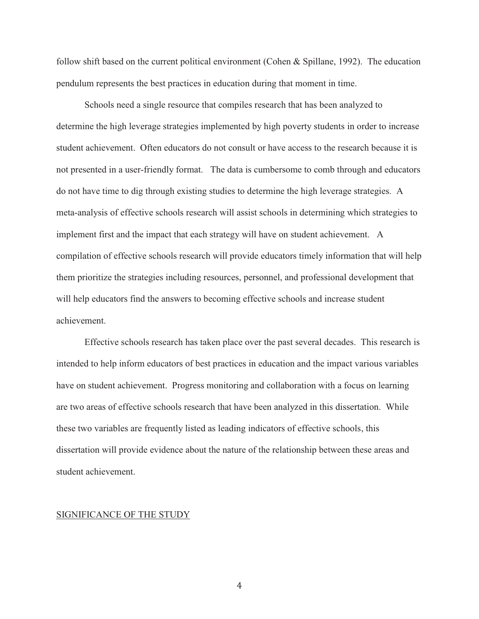follow shift based on the current political environment (Cohen & Spillane, 1992). The education pendulum represents the best practices in education during that moment in time.

Schools need a single resource that compiles research that has been analyzed to determine the high leverage strategies implemented by high poverty students in order to increase student achievement. Often educators do not consult or have access to the research because it is not presented in a user-friendly format. The data is cumbersome to comb through and educators do not have time to dig through existing studies to determine the high leverage strategies. A meta-analysis of effective schools research will assist schools in determining which strategies to implement first and the impact that each strategy will have on student achievement. A compilation of effective schools research will provide educators timely information that will help them prioritize the strategies including resources, personnel, and professional development that will help educators find the answers to becoming effective schools and increase student achievement.

Effective schools research has taken place over the past several decades. This research is intended to help inform educators of best practices in education and the impact various variables have on student achievement. Progress monitoring and collaboration with a focus on learning are two areas of effective schools research that have been analyzed in this dissertation. While these two variables are frequently listed as leading indicators of effective schools, this dissertation will provide evidence about the nature of the relationship between these areas and student achievement.

#### SIGNIFICANCE OF THE STUDY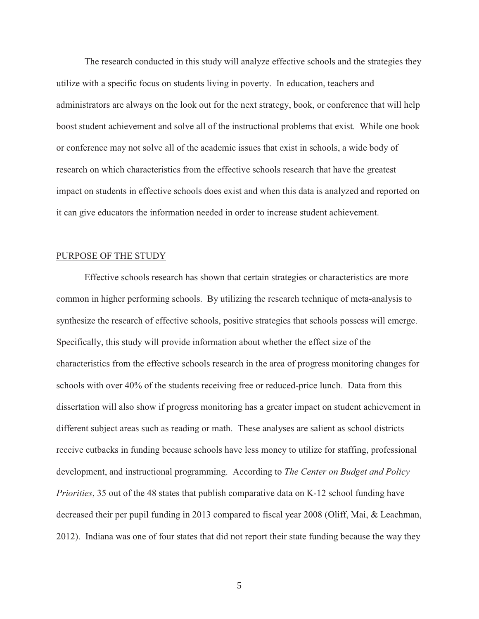The research conducted in this study will analyze effective schools and the strategies they utilize with a specific focus on students living in poverty. In education, teachers and administrators are always on the look out for the next strategy, book, or conference that will help boost student achievement and solve all of the instructional problems that exist. While one book or conference may not solve all of the academic issues that exist in schools, a wide body of research on which characteristics from the effective schools research that have the greatest impact on students in effective schools does exist and when this data is analyzed and reported on it can give educators the information needed in order to increase student achievement.

#### PURPOSE OF THE STUDY

Effective schools research has shown that certain strategies or characteristics are more common in higher performing schools. By utilizing the research technique of meta-analysis to synthesize the research of effective schools, positive strategies that schools possess will emerge. Specifically, this study will provide information about whether the effect size of the characteristics from the effective schools research in the area of progress monitoring changes for schools with over 40% of the students receiving free or reduced-price lunch. Data from this dissertation will also show if progress monitoring has a greater impact on student achievement in different subject areas such as reading or math. These analyses are salient as school districts receive cutbacks in funding because schools have less money to utilize for staffing, professional development, and instructional programming. According to *The Center on Budget and Policy Priorities*, 35 out of the 48 states that publish comparative data on K-12 school funding have decreased their per pupil funding in 2013 compared to fiscal year 2008 (Oliff, Mai, & Leachman, 2012). Indiana was one of four states that did not report their state funding because the way they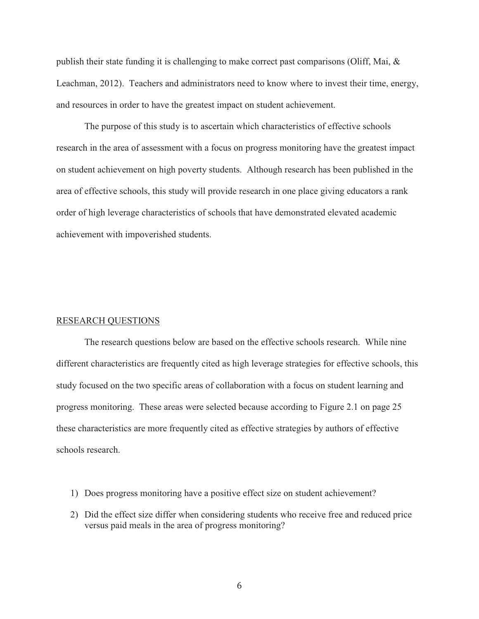publish their state funding it is challenging to make correct past comparisons (Oliff, Mai, & Leachman, 2012). Teachers and administrators need to know where to invest their time, energy, and resources in order to have the greatest impact on student achievement.

The purpose of this study is to ascertain which characteristics of effective schools research in the area of assessment with a focus on progress monitoring have the greatest impact on student achievement on high poverty students. Although research has been published in the area of effective schools, this study will provide research in one place giving educators a rank order of high leverage characteristics of schools that have demonstrated elevated academic achievement with impoverished students.

#### RESEARCH QUESTIONS

The research questions below are based on the effective schools research. While nine different characteristics are frequently cited as high leverage strategies for effective schools, this study focused on the two specific areas of collaboration with a focus on student learning and progress monitoring. These areas were selected because according to Figure 2.1 on page 25 these characteristics are more frequently cited as effective strategies by authors of effective schools research.

- 1) Does progress monitoring have a positive effect size on student achievement?
- 2) Did the effect size differ when considering students who receive free and reduced price versus paid meals in the area of progress monitoring?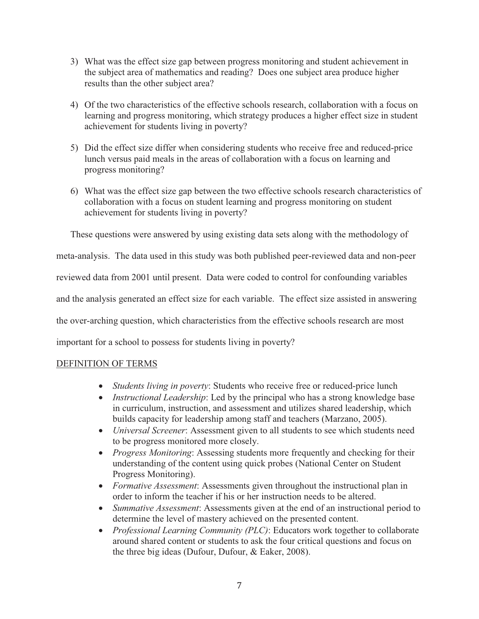- 3) What was the effect size gap between progress monitoring and student achievement in the subject area of mathematics and reading? Does one subject area produce higher results than the other subject area?
- 4) Of the two characteristics of the effective schools research, collaboration with a focus on learning and progress monitoring, which strategy produces a higher effect size in student achievement for students living in poverty?
- 5) Did the effect size differ when considering students who receive free and reduced-price lunch versus paid meals in the areas of collaboration with a focus on learning and progress monitoring?
- 6) What was the effect size gap between the two effective schools research characteristics of collaboration with a focus on student learning and progress monitoring on student achievement for students living in poverty?

These questions were answered by using existing data sets along with the methodology of

meta-analysis. The data used in this study was both published peer-reviewed data and non-peer

reviewed data from 2001 until present. Data were coded to control for confounding variables

and the analysis generated an effect size for each variable. The effect size assisted in answering

the over-arching question, which characteristics from the effective schools research are most

important for a school to possess for students living in poverty?

# DEFINITION OF TERMS

- · *Students living in poverty*: Students who receive free or reduced-price lunch
- · *Instructional Leadership*: Led by the principal who has a strong knowledge base in curriculum, instruction, and assessment and utilizes shared leadership, which builds capacity for leadership among staff and teachers (Marzano, 2005).
- · *Universal Screener*: Assessment given to all students to see which students need to be progress monitored more closely.
- · *Progress Monitoring*: Assessing students more frequently and checking for their understanding of the content using quick probes (National Center on Student Progress Monitoring).
- · *Formative Assessment*: Assessments given throughout the instructional plan in order to inform the teacher if his or her instruction needs to be altered.
- · *Summative Assessment*: Assessments given at the end of an instructional period to determine the level of mastery achieved on the presented content.
- · *Professional Learning Community (PLC)*: Educators work together to collaborate around shared content or students to ask the four critical questions and focus on the three big ideas (Dufour, Dufour, & Eaker, 2008).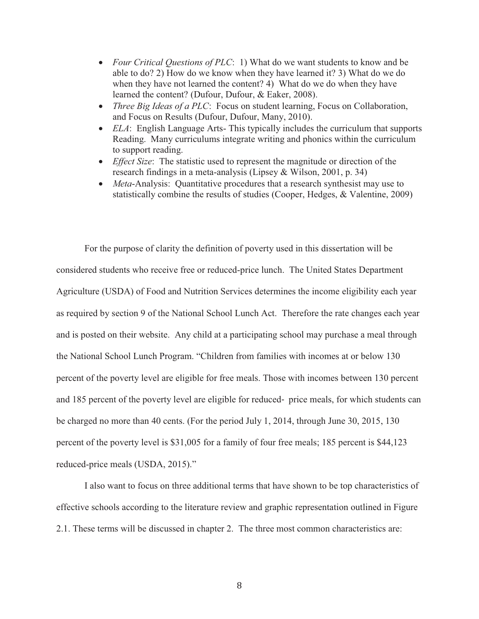- *Four Critical Questions of PLC*: 1) What do we want students to know and be able to do? 2) How do we know when they have learned it? 3) What do we do when they have not learned the content? 4) What do we do when they have learned the content? (Dufour, Dufour, & Eaker, 2008).
- · *Three Big Ideas of a PLC*: Focus on student learning, Focus on Collaboration, and Focus on Results (Dufour, Dufour, Many, 2010).
- · *ELA*: English Language Arts- This typically includes the curriculum that supports Reading. Many curriculums integrate writing and phonics within the curriculum to support reading.
- · *Effect Size*: The statistic used to represent the magnitude or direction of the research findings in a meta-analysis (Lipsey & Wilson, 2001, p. 34)
- · *Meta*-Analysis: Quantitative procedures that a research synthesist may use to statistically combine the results of studies (Cooper, Hedges, & Valentine, 2009)

For the purpose of clarity the definition of poverty used in this dissertation will be considered students who receive free or reduced-price lunch. The United States Department Agriculture (USDA) of Food and Nutrition Services determines the income eligibility each year as required by section 9 of the National School Lunch Act. Therefore the rate changes each year and is posted on their website. Any child at a participating school may purchase a meal through the National School Lunch Program. "Children from families with incomes at or below 130 percent of the poverty level are eligible for free meals. Those with incomes between 130 percent and 185 percent of the poverty level are eligible for reduced- price meals, for which students can be charged no more than 40 cents. (For the period July 1, 2014, through June 30, 2015, 130 percent of the poverty level is \$31,005 for a family of four free meals; 185 percent is \$44,123 reduced-price meals (USDA, 2015)."

I also want to focus on three additional terms that have shown to be top characteristics of effective schools according to the literature review and graphic representation outlined in Figure 2.1. These terms will be discussed in chapter 2. The three most common characteristics are: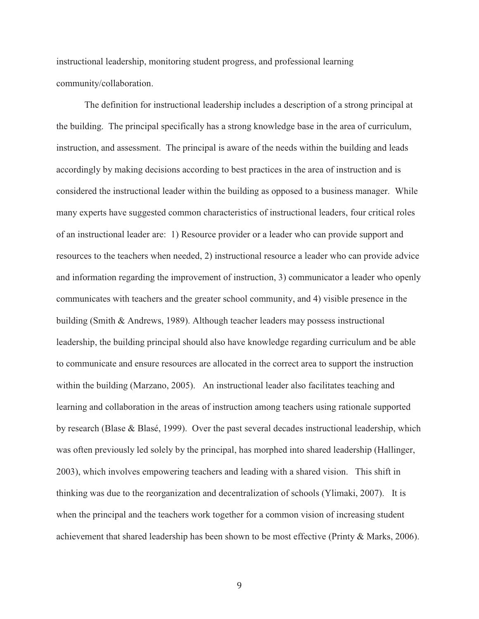instructional leadership, monitoring student progress, and professional learning community/collaboration.

 The definition for instructional leadership includes a description of a strong principal at the building. The principal specifically has a strong knowledge base in the area of curriculum, instruction, and assessment. The principal is aware of the needs within the building and leads accordingly by making decisions according to best practices in the area of instruction and is considered the instructional leader within the building as opposed to a business manager. While many experts have suggested common characteristics of instructional leaders, four critical roles of an instructional leader are: 1) Resource provider or a leader who can provide support and resources to the teachers when needed, 2) instructional resource a leader who can provide advice and information regarding the improvement of instruction, 3) communicator a leader who openly communicates with teachers and the greater school community, and 4) visible presence in the building (Smith & Andrews, 1989). Although teacher leaders may possess instructional leadership, the building principal should also have knowledge regarding curriculum and be able to communicate and ensure resources are allocated in the correct area to support the instruction within the building (Marzano, 2005). An instructional leader also facilitates teaching and learning and collaboration in the areas of instruction among teachers using rationale supported by research (Blase & Blasé, 1999). Over the past several decades instructional leadership, which was often previously led solely by the principal, has morphed into shared leadership (Hallinger, 2003), which involves empowering teachers and leading with a shared vision. This shift in thinking was due to the reorganization and decentralization of schools (Ylimaki, 2007). It is when the principal and the teachers work together for a common vision of increasing student achievement that shared leadership has been shown to be most effective (Printy & Marks, 2006).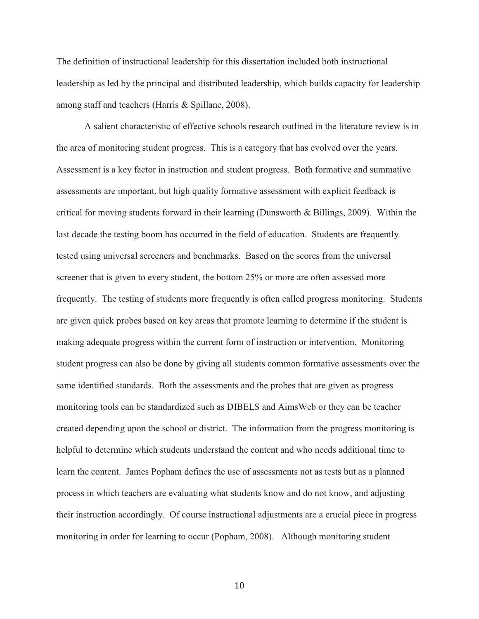The definition of instructional leadership for this dissertation included both instructional leadership as led by the principal and distributed leadership, which builds capacity for leadership among staff and teachers (Harris & Spillane, 2008).

A salient characteristic of effective schools research outlined in the literature review is in the area of monitoring student progress. This is a category that has evolved over the years. Assessment is a key factor in instruction and student progress. Both formative and summative assessments are important, but high quality formative assessment with explicit feedback is critical for moving students forward in their learning (Dunsworth & Billings, 2009). Within the last decade the testing boom has occurred in the field of education. Students are frequently tested using universal screeners and benchmarks. Based on the scores from the universal screener that is given to every student, the bottom 25% or more are often assessed more frequently. The testing of students more frequently is often called progress monitoring. Students are given quick probes based on key areas that promote learning to determine if the student is making adequate progress within the current form of instruction or intervention. Monitoring student progress can also be done by giving all students common formative assessments over the same identified standards. Both the assessments and the probes that are given as progress monitoring tools can be standardized such as DIBELS and AimsWeb or they can be teacher created depending upon the school or district. The information from the progress monitoring is helpful to determine which students understand the content and who needs additional time to learn the content. James Popham defines the use of assessments not as tests but as a planned process in which teachers are evaluating what students know and do not know, and adjusting their instruction accordingly. Of course instructional adjustments are a crucial piece in progress monitoring in order for learning to occur (Popham, 2008).Although monitoring student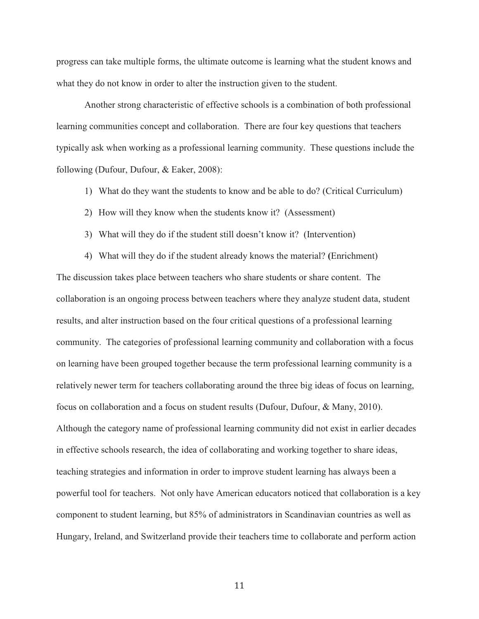progress can take multiple forms, the ultimate outcome is learning what the student knows and what they do not know in order to alter the instruction given to the student.

Another strong characteristic of effective schools is a combination of both professional learning communities concept and collaboration. There are four key questions that teachers typically ask when working as a professional learning community. These questions include the following (Dufour, Dufour, & Eaker, 2008):

- 1) What do they want the students to know and be able to do? (Critical Curriculum)
- 2) How will they know when the students know it? (Assessment)
- 3) What will they do if the student still doesn't know it? (Intervention)

4) What will they do if the student already knows the material? **(**Enrichment) The discussion takes place between teachers who share students or share content. The collaboration is an ongoing process between teachers where they analyze student data, student results, and alter instruction based on the four critical questions of a professional learning community. The categories of professional learning community and collaboration with a focus on learning have been grouped together because the term professional learning community is a relatively newer term for teachers collaborating around the three big ideas of focus on learning, focus on collaboration and a focus on student results (Dufour, Dufour, & Many, 2010). Although the category name of professional learning community did not exist in earlier decades in effective schools research, the idea of collaborating and working together to share ideas, teaching strategies and information in order to improve student learning has always been a powerful tool for teachers. Not only have American educators noticed that collaboration is a key component to student learning, but 85% of administrators in Scandinavian countries as well as Hungary, Ireland, and Switzerland provide their teachers time to collaborate and perform action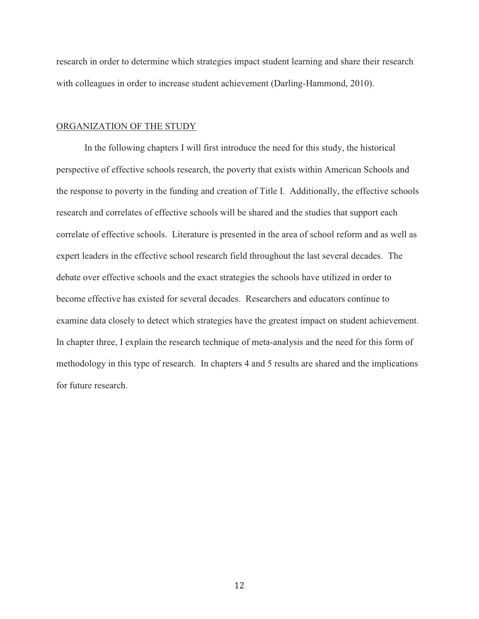research in order to determine which strategies impact student learning and share their research with colleagues in order to increase student achievement (Darling-Hammond, 2010).

#### ORGANIZATION OF THE STUDY

 In the following chapters I will first introduce the need for this study, the historical perspective of effective schools research, the poverty that exists within American Schools and the response to poverty in the funding and creation of Title I. Additionally, the effective schools research and correlates of effective schools will be shared and the studies that support each correlate of effective schools. Literature is presented in the area of school reform and as well as expert leaders in the effective school research field throughout the last several decades. The debate over effective schools and the exact strategies the schools have utilized in order to become effective has existed for several decades. Researchers and educators continue to examine data closely to detect which strategies have the greatest impact on student achievement. In chapter three, I explain the research technique of meta-analysis and the need for this form of methodology in this type of research. In chapters 4 and 5 results are shared and the implications for future research.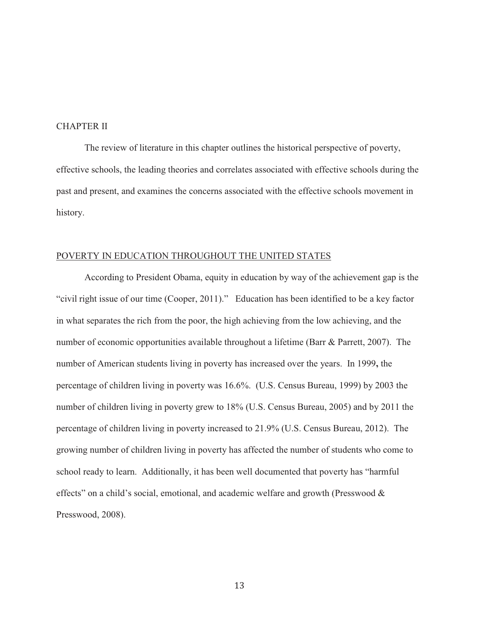#### CHAPTER II

The review of literature in this chapter outlines the historical perspective of poverty, effective schools, the leading theories and correlates associated with effective schools during the past and present, and examines the concerns associated with the effective schools movement in history.

#### POVERTY IN EDUCATION THROUGHOUT THE UNITED STATES

According to President Obama, equity in education by way of the achievement gap is the "civil right issue of our time (Cooper, 2011)." Education has been identified to be a key factor in what separates the rich from the poor, the high achieving from the low achieving, and the number of economic opportunities available throughout a lifetime (Barr & Parrett, 2007). The number of American students living in poverty has increased over the years. In 1999**,** the percentage of children living in poverty was 16.6%. (U.S. Census Bureau, 1999) by 2003 the number of children living in poverty grew to 18% (U.S. Census Bureau, 2005) and by 2011 the percentage of children living in poverty increased to 21.9% (U.S. Census Bureau, 2012). The growing number of children living in poverty has affected the number of students who come to school ready to learn. Additionally, it has been well documented that poverty has "harmful effects" on a child's social, emotional, and academic welfare and growth (Presswood  $\&$ Presswood, 2008).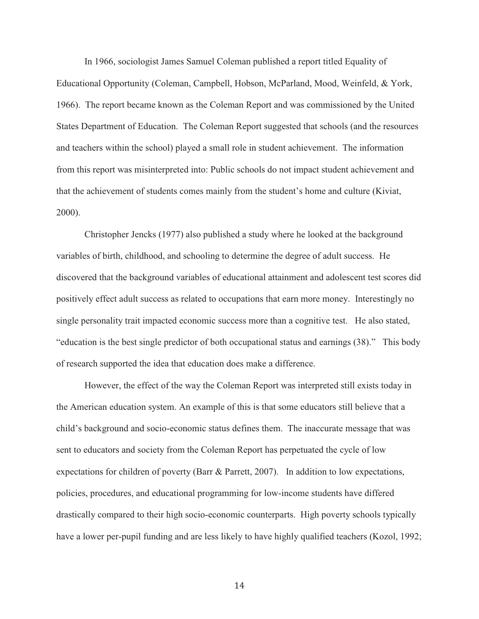In 1966, sociologist James Samuel Coleman published a report titled Equality of Educational Opportunity (Coleman, Campbell, Hobson, McParland, Mood, Weinfeld, & York, 1966). The report became known as the Coleman Report and was commissioned by the United States Department of Education. The Coleman Report suggested that schools (and the resources and teachers within the school) played a small role in student achievement. The information from this report was misinterpreted into: Public schools do not impact student achievement and that the achievement of students comes mainly from the student's home and culture (Kiviat, 2000).

 Christopher Jencks (1977) also published a study where he looked at the background variables of birth, childhood, and schooling to determine the degree of adult success. He discovered that the background variables of educational attainment and adolescent test scores did positively effect adult success as related to occupations that earn more money. Interestingly no single personality trait impacted economic success more than a cognitive test. He also stated, "education is the best single predictor of both occupational status and earnings (38)." This body of research supported the idea that education does make a difference.

However, the effect of the way the Coleman Report was interpreted still exists today in the American education system. An example of this is that some educators still believe that a child's background and socio-economic status defines them. The inaccurate message that was sent to educators and society from the Coleman Report has perpetuated the cycle of low expectations for children of poverty (Barr & Parrett, 2007). In addition to low expectations, policies, procedures, and educational programming for low-income students have differed drastically compared to their high socio-economic counterparts. High poverty schools typically have a lower per-pupil funding and are less likely to have highly qualified teachers (Kozol, 1992;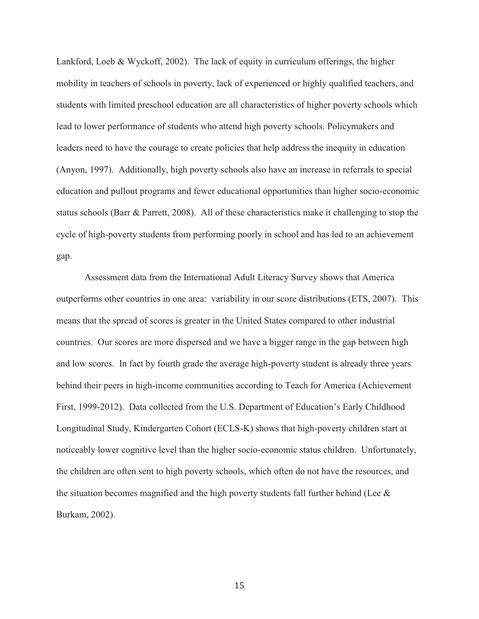Lankford, Loeb & Wyckoff, 2002). The lack of equity in curriculum offerings, the higher mobility in teachers of schools in poverty, lack of experienced or highly qualified teachers, and students with limited preschool education are all characteristics of higher poverty schools which lead to lower performance of students who attend high poverty schools. Policymakers and leaders need to have the courage to create policies that help address the inequity in education (Anyon, 1997). Additionally, high poverty schools also have an increase in referrals to special education and pullout programs and fewer educational opportunities than higher socio-economic status schools (Barr & Parrett, 2008). All of these characteristics make it challenging to stop the cycle of high-poverty students from performing poorly in school and has led to an achievement gap.

 Assessment data from the International Adult Literacy Survey shows that America outperforms other countries in one area: variability in our score distributions (ETS, 2007). This means that the spread of scores is greater in the United States compared to other industrial countries. Our scores are more dispersed and we have a bigger range in the gap between high and low scores. In fact by fourth grade the average high-poverty student is already three years behind their peers in high-income communities according to Teach for America (Achievement First, 1999-2012). Data collected from the U.S. Department of Education's Early Childhood Longitudinal Study, Kindergarten Cohort (ECLS-K) shows that high-poverty children start at noticeably lower cognitive level than the higher socio-economic status children. Unfortunately, the children are often sent to high poverty schools, which often do not have the resources, and the situation becomes magnified and the high poverty students fall further behind (Lee  $\&$ Burkam, 2002).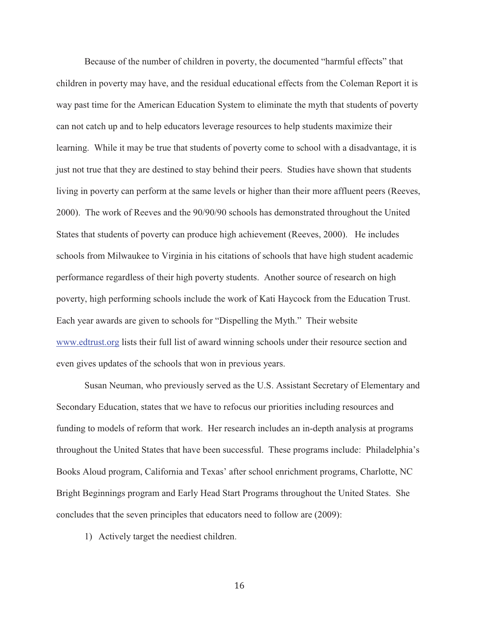Because of the number of children in poverty, the documented "harmful effects" that children in poverty may have, and the residual educational effects from the Coleman Report it is way past time for the American Education System to eliminate the myth that students of poverty can not catch up and to help educators leverage resources to help students maximize their learning. While it may be true that students of poverty come to school with a disadvantage, it is just not true that they are destined to stay behind their peers. Studies have shown that students living in poverty can perform at the same levels or higher than their more affluent peers (Reeves, 2000). The work of Reeves and the 90/90/90 schools has demonstrated throughout the United States that students of poverty can produce high achievement (Reeves, 2000). He includes schools from Milwaukee to Virginia in his citations of schools that have high student academic performance regardless of their high poverty students. Another source of research on high poverty, high performing schools include the work of Kati Haycock from the Education Trust. Each year awards are given to schools for "Dispelling the Myth." Their website www.edtrust.org lists their full list of award winning schools under their resource section and even gives updates of the schools that won in previous years.

Susan Neuman, who previously served as the U.S. Assistant Secretary of Elementary and Secondary Education, states that we have to refocus our priorities including resources and funding to models of reform that work. Her research includes an in-depth analysis at programs throughout the United States that have been successful. These programs include: Philadelphia's Books Aloud program, California and Texas' after school enrichment programs, Charlotte, NC Bright Beginnings program and Early Head Start Programs throughout the United States. She concludes that the seven principles that educators need to follow are (2009):

1) Actively target the neediest children.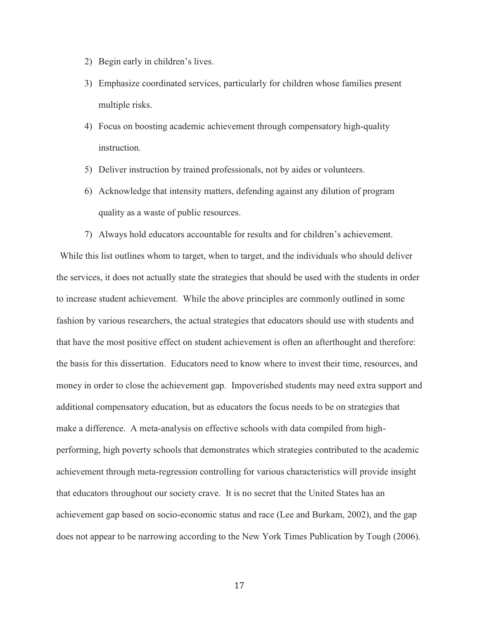- 2) Begin early in children's lives.
- 3) Emphasize coordinated services, particularly for children whose families present multiple risks.
- 4) Focus on boosting academic achievement through compensatory high-quality instruction.
- 5) Deliver instruction by trained professionals, not by aides or volunteers.
- 6) Acknowledge that intensity matters, defending against any dilution of program quality as a waste of public resources.
- 7) Always hold educators accountable for results and for children's achievement.

While this list outlines whom to target, when to target, and the individuals who should deliver the services, it does not actually state the strategies that should be used with the students in order to increase student achievement. While the above principles are commonly outlined in some fashion by various researchers, the actual strategies that educators should use with students and that have the most positive effect on student achievement is often an afterthought and therefore: the basis for this dissertation. Educators need to know where to invest their time, resources, and money in order to close the achievement gap. Impoverished students may need extra support and additional compensatory education, but as educators the focus needs to be on strategies that make a difference. A meta-analysis on effective schools with data compiled from highperforming, high poverty schools that demonstrates which strategies contributed to the academic achievement through meta-regression controlling for various characteristics will provide insight that educators throughout our society crave. It is no secret that the United States has an achievement gap based on socio-economic status and race (Lee and Burkam, 2002), and the gap does not appear to be narrowing according to the New York Times Publication by Tough (2006).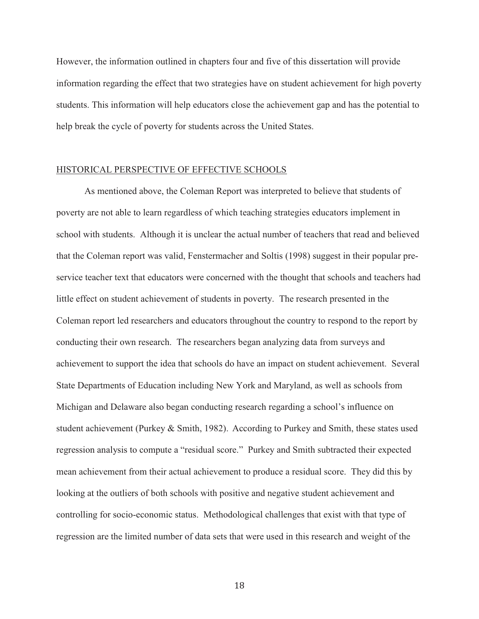However, the information outlined in chapters four and five of this dissertation will provide information regarding the effect that two strategies have on student achievement for high poverty students. This information will help educators close the achievement gap and has the potential to help break the cycle of poverty for students across the United States.

#### HISTORICAL PERSPECTIVE OF EFFECTIVE SCHOOLS

 As mentioned above, the Coleman Report was interpreted to believe that students of poverty are not able to learn regardless of which teaching strategies educators implement in school with students. Although it is unclear the actual number of teachers that read and believed that the Coleman report was valid, Fenstermacher and Soltis (1998) suggest in their popular preservice teacher text that educators were concerned with the thought that schools and teachers had little effect on student achievement of students in poverty. The research presented in the Coleman report led researchers and educators throughout the country to respond to the report by conducting their own research. The researchers began analyzing data from surveys and achievement to support the idea that schools do have an impact on student achievement. Several State Departments of Education including New York and Maryland, as well as schools from Michigan and Delaware also began conducting research regarding a school's influence on student achievement (Purkey & Smith, 1982). According to Purkey and Smith, these states used regression analysis to compute a "residual score." Purkey and Smith subtracted their expected mean achievement from their actual achievement to produce a residual score. They did this by looking at the outliers of both schools with positive and negative student achievement and controlling for socio-economic status. Methodological challenges that exist with that type of regression are the limited number of data sets that were used in this research and weight of the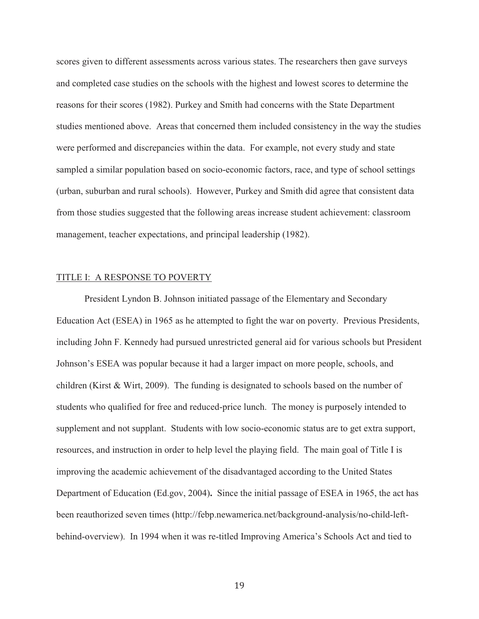scores given to different assessments across various states. The researchers then gave surveys and completed case studies on the schools with the highest and lowest scores to determine the reasons for their scores (1982). Purkey and Smith had concerns with the State Department studies mentioned above. Areas that concerned them included consistency in the way the studies were performed and discrepancies within the data. For example, not every study and state sampled a similar population based on socio-economic factors, race, and type of school settings (urban, suburban and rural schools). However, Purkey and Smith did agree that consistent data from those studies suggested that the following areas increase student achievement: classroom management, teacher expectations, and principal leadership (1982).

#### TITLE I: A RESPONSE TO POVERTY

President Lyndon B. Johnson initiated passage of the Elementary and Secondary Education Act (ESEA) in 1965 as he attempted to fight the war on poverty. Previous Presidents, including John F. Kennedy had pursued unrestricted general aid for various schools but President Johnson's ESEA was popular because it had a larger impact on more people, schools, and children (Kirst & Wirt, 2009). The funding is designated to schools based on the number of students who qualified for free and reduced-price lunch. The money is purposely intended to supplement and not supplant. Students with low socio-economic status are to get extra support, resources, and instruction in order to help level the playing field. The main goal of Title I is improving the academic achievement of the disadvantaged according to the United States Department of Education (Ed.gov, 2004)**.** Since the initial passage of ESEA in 1965, the act has been reauthorized seven times (http://febp.newamerica.net/background-analysis/no-child-leftbehind-overview). In 1994 when it was re-titled Improving America's Schools Act and tied to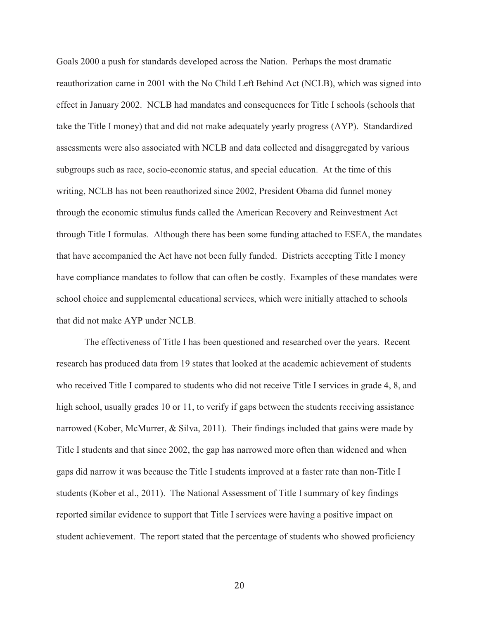Goals 2000 a push for standards developed across the Nation. Perhaps the most dramatic reauthorization came in 2001 with the No Child Left Behind Act (NCLB), which was signed into effect in January 2002. NCLB had mandates and consequences for Title I schools (schools that take the Title I money) that and did not make adequately yearly progress (AYP). Standardized assessments were also associated with NCLB and data collected and disaggregated by various subgroups such as race, socio-economic status, and special education. At the time of this writing, NCLB has not been reauthorized since 2002, President Obama did funnel money through the economic stimulus funds called the American Recovery and Reinvestment Act through Title I formulas. Although there has been some funding attached to ESEA, the mandates that have accompanied the Act have not been fully funded. Districts accepting Title I money have compliance mandates to follow that can often be costly. Examples of these mandates were school choice and supplemental educational services, which were initially attached to schools that did not make AYP under NCLB.

 The effectiveness of Title I has been questioned and researched over the years. Recent research has produced data from 19 states that looked at the academic achievement of students who received Title I compared to students who did not receive Title I services in grade 4, 8, and high school, usually grades 10 or 11, to verify if gaps between the students receiving assistance narrowed (Kober, McMurrer, & Silva, 2011). Their findings included that gains were made by Title I students and that since 2002, the gap has narrowed more often than widened and when gaps did narrow it was because the Title I students improved at a faster rate than non-Title I students (Kober et al., 2011). The National Assessment of Title I summary of key findings reported similar evidence to support that Title I services were having a positive impact on student achievement. The report stated that the percentage of students who showed proficiency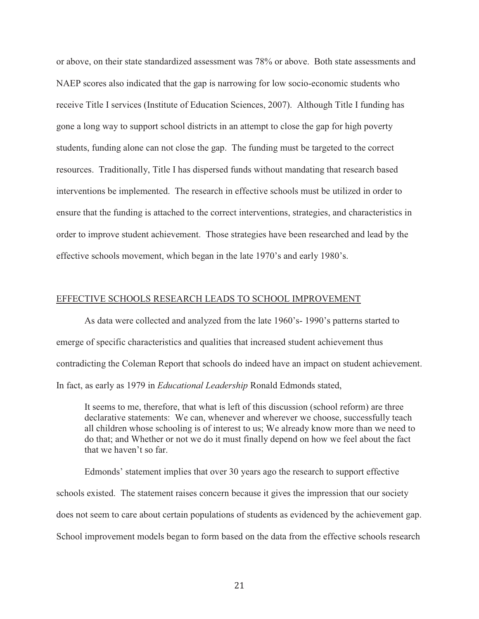or above, on their state standardized assessment was 78% or above. Both state assessments and NAEP scores also indicated that the gap is narrowing for low socio-economic students who receive Title I services (Institute of Education Sciences, 2007). Although Title I funding has gone a long way to support school districts in an attempt to close the gap for high poverty students, funding alone can not close the gap. The funding must be targeted to the correct resources. Traditionally, Title I has dispersed funds without mandating that research based interventions be implemented. The research in effective schools must be utilized in order to ensure that the funding is attached to the correct interventions, strategies, and characteristics in order to improve student achievement. Those strategies have been researched and lead by the effective schools movement, which began in the late 1970's and early 1980's.

#### EFFECTIVE SCHOOLS RESEARCH LEADS TO SCHOOL IMPROVEMENT

 As data were collected and analyzed from the late 1960's- 1990's patterns started to emerge of specific characteristics and qualities that increased student achievement thus contradicting the Coleman Report that schools do indeed have an impact on student achievement. In fact, as early as 1979 in *Educational Leadership* Ronald Edmonds stated,

It seems to me, therefore, that what is left of this discussion (school reform) are three declarative statements: We can, whenever and wherever we choose, successfully teach all children whose schooling is of interest to us; We already know more than we need to do that; and Whether or not we do it must finally depend on how we feel about the fact that we haven't so far.

Edmonds' statement implies that over 30 years ago the research to support effective schools existed. The statement raises concern because it gives the impression that our society does not seem to care about certain populations of students as evidenced by the achievement gap. School improvement models began to form based on the data from the effective schools research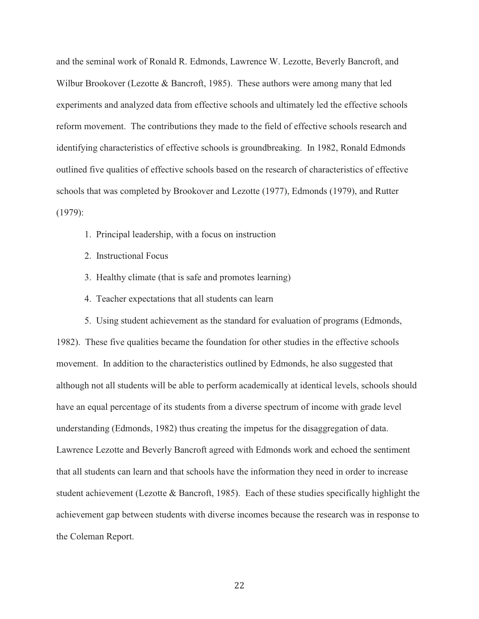and the seminal work of Ronald R. Edmonds, Lawrence W. Lezotte, Beverly Bancroft, and Wilbur Brookover (Lezotte & Bancroft, 1985). These authors were among many that led experiments and analyzed data from effective schools and ultimately led the effective schools reform movement. The contributions they made to the field of effective schools research and identifying characteristics of effective schools is groundbreaking. In 1982, Ronald Edmonds outlined five qualities of effective schools based on the research of characteristics of effective schools that was completed by Brookover and Lezotte (1977), Edmonds (1979), and Rutter (1979):

- 1. Principal leadership, with a focus on instruction
- 2. Instructional Focus
- 3. Healthy climate (that is safe and promotes learning)
- 4. Teacher expectations that all students can learn

 5. Using student achievement as the standard for evaluation of programs (Edmonds, 1982). These five qualities became the foundation for other studies in the effective schools movement. In addition to the characteristics outlined by Edmonds, he also suggested that although not all students will be able to perform academically at identical levels, schools should have an equal percentage of its students from a diverse spectrum of income with grade level understanding (Edmonds, 1982) thus creating the impetus for the disaggregation of data. Lawrence Lezotte and Beverly Bancroft agreed with Edmonds work and echoed the sentiment that all students can learn and that schools have the information they need in order to increase student achievement (Lezotte & Bancroft, 1985). Each of these studies specifically highlight the achievement gap between students with diverse incomes because the research was in response to the Coleman Report.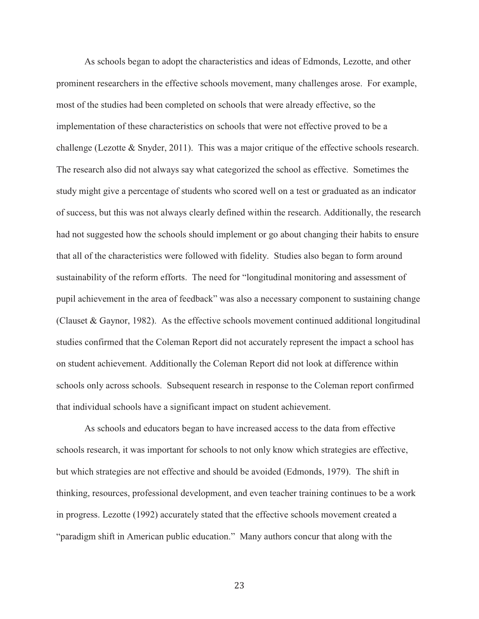As schools began to adopt the characteristics and ideas of Edmonds, Lezotte, and other prominent researchers in the effective schools movement, many challenges arose. For example, most of the studies had been completed on schools that were already effective, so the implementation of these characteristics on schools that were not effective proved to be a challenge (Lezotte & Snyder, 2011). This was a major critique of the effective schools research. The research also did not always say what categorized the school as effective. Sometimes the study might give a percentage of students who scored well on a test or graduated as an indicator of success, but this was not always clearly defined within the research. Additionally, the research had not suggested how the schools should implement or go about changing their habits to ensure that all of the characteristics were followed with fidelity. Studies also began to form around sustainability of the reform efforts. The need for "longitudinal monitoring and assessment of pupil achievement in the area of feedback" was also a necessary component to sustaining change (Clauset & Gaynor, 1982). As the effective schools movement continued additional longitudinal studies confirmed that the Coleman Report did not accurately represent the impact a school has on student achievement. Additionally the Coleman Report did not look at difference within schools only across schools. Subsequent research in response to the Coleman report confirmed that individual schools have a significant impact on student achievement.

 As schools and educators began to have increased access to the data from effective schools research, it was important for schools to not only know which strategies are effective, but which strategies are not effective and should be avoided (Edmonds, 1979). The shift in thinking, resources, professional development, and even teacher training continues to be a work in progress. Lezotte (1992) accurately stated that the effective schools movement created a "paradigm shift in American public education." Many authors concur that along with the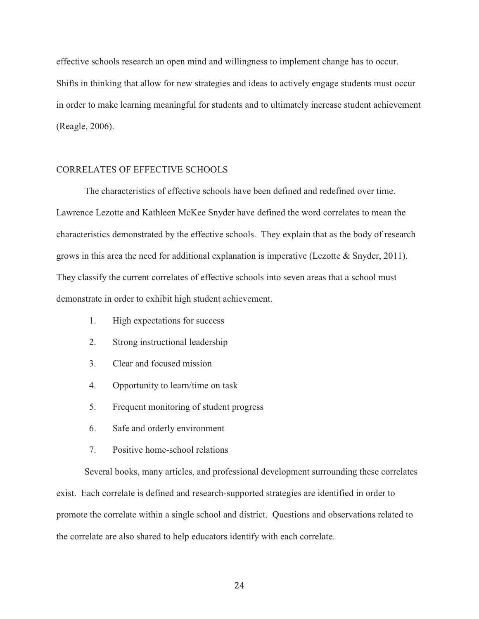effective schools research an open mind and willingness to implement change has to occur. Shifts in thinking that allow for new strategies and ideas to actively engage students must occur in order to make learning meaningful for students and to ultimately increase student achievement (Reagle, 2006).

### CORRELATES OF EFFECTIVE SCHOOLS

 The characteristics of effective schools have been defined and redefined over time. Lawrence Lezotte and Kathleen McKee Snyder have defined the word correlates to mean the characteristics demonstrated by the effective schools. They explain that as the body of research grows in this area the need for additional explanation is imperative (Lezotte & Snyder, 2011). They classify the current correlates of effective schools into seven areas that a school must demonstrate in order to exhibit high student achievement.

- 1. High expectations for success
- 2. Strong instructional leadership
- 3. Clear and focused mission
- 4. Opportunity to learn/time on task
- 5. Frequent monitoring of student progress
- 6. Safe and orderly environment
- 7. Positive home-school relations

 Several books, many articles, and professional development surrounding these correlates exist. Each correlate is defined and research-supported strategies are identified in order to promote the correlate within a single school and district. Questions and observations related to the correlate are also shared to help educators identify with each correlate.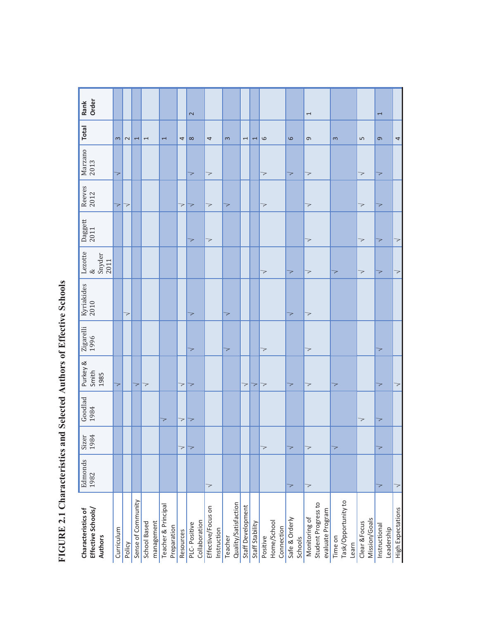| Order<br>Rank                                       |            |             |                    |                            |                                    |           | $\sim$                        |                                   |                                 |                          |                 |                                       |                           | $\overline{ }$                                           |                                         |                                | $\overline{ }$              |                   |
|-----------------------------------------------------|------------|-------------|--------------------|----------------------------|------------------------------------|-----------|-------------------------------|-----------------------------------|---------------------------------|--------------------------|-----------------|---------------------------------------|---------------------------|----------------------------------------------------------|-----------------------------------------|--------------------------------|-----------------------------|-------------------|
| <b>Total</b>                                        | $\infty$   | $\mathbf 2$ | $\overline{ }$     | $\overline{ }$             | $\overline{ }$                     | 4         | $\infty$                      | 4                                 | 3                               | $\overline{ }$           | 1               | 6                                     | $\circ$                   | G                                                        | $\infty$                                | $\mathsf{L}\cap$               | $\sigma$                    | 4                 |
| Marzano<br>2013                                     | 7          |             |                    |                            |                                    |           | 7                             | $\geq$                            |                                 |                          |                 | 7                                     | 7                         | 7                                                        |                                         | 7                              | マ                           |                   |
| Reeves<br>2012                                      | マ          | 7           |                    |                            |                                    | 7         | 7                             | $\overline{\phantom{0}}$          | $\prec$                         |                          |                 | 7                                     |                           | 7                                                        |                                         | 7                              | 7                           |                   |
| Daggett<br>2011                                     |            |             |                    |                            |                                    |           | 7                             | $\overline{\phantom{0}}$          |                                 |                          |                 |                                       |                           | 7                                                        |                                         | 7                              | マ                           | 7                 |
| Lezotte<br>Snyder<br>2011<br>$\infty$               |            |             |                    |                            |                                    |           |                               |                                   |                                 |                          |                 | 7                                     | 7                         | 7                                                        | 7                                       | 7                              | 7                           | 7                 |
| Kyriakides<br>2010                                  |            | 7           |                    |                            |                                    |           | 7                             |                                   | $\overline{\phantom{0}}$        |                          |                 |                                       | 7                         | 7                                                        |                                         |                                |                             |                   |
| Zigarelli<br>1996                                   |            |             |                    |                            |                                    |           | 7                             |                                   | 7                               |                          |                 | 7                                     |                           | 7                                                        |                                         |                                | 7                           |                   |
| Purkey &<br>Smith<br>1985                           | 7          |             | 7                  | 7                          |                                    | 7         | 7                             |                                   |                                 | $\overline{\phantom{0}}$ | 7               | 7                                     | 7                         | 7                                                        | 7                                       |                                | 7                           | 7                 |
| Goodlad<br>1984                                     |            |             |                    |                            | 7                                  | 7         | 7                             |                                   |                                 |                          |                 |                                       |                           |                                                          |                                         | 7                              | 7                           |                   |
| Sizer<br>1984                                       |            |             |                    |                            |                                    | 7         | 7                             |                                   |                                 |                          |                 | 7                                     | 7                         | 7                                                        | 7                                       |                                | 7                           |                   |
| Edmonds<br>1982                                     |            |             |                    |                            |                                    |           |                               | $\geq$                            |                                 |                          |                 |                                       | 7                         | 7                                                        |                                         |                                | 7                           | $\geq$            |
| Effective Schools/<br>Characteristics of<br>Authors | Curriculum | Policy      | Sense of Community | management<br>School Based | Teacher & Principal<br>Preparation | Resources | Collaboration<br>PLC-Positive | Effective/Focus on<br>Instruction | Quality/Satisfaction<br>Teacher | Staff Development        | Staff Stability | Home/School<br>Connection<br>Positive | Safe & Orderly<br>Schools | Student Progress to<br>evaluate Program<br>Monitoring of | Task/Opportunity to<br>Time on<br>Learn | Mission/Goals<br>Clear & Focus | Instructional<br>Leadership | High Expectations |

FIGURE 2.1 Characteristics and Selected Authors of Effective Schools **FIGURE 2.1 Characteristics and Selected Authors of Effective Schools**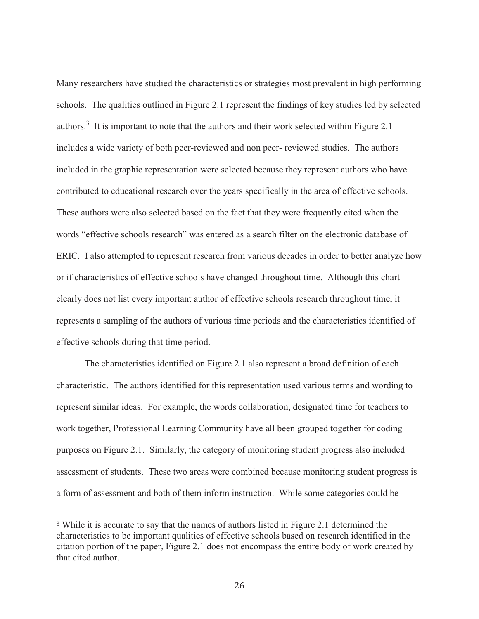Many researchers have studied the characteristics or strategies most prevalent in high performing schools. The qualities outlined in Figure 2.1 represent the findings of key studies led by selected authors.<sup>3</sup> It is important to note that the authors and their work selected within Figure 2.1 includes a wide variety of both peer-reviewed and non peer- reviewed studies. The authors included in the graphic representation were selected because they represent authors who have contributed to educational research over the years specifically in the area of effective schools. These authors were also selected based on the fact that they were frequently cited when the words "effective schools research" was entered as a search filter on the electronic database of ERIC. I also attempted to represent research from various decades in order to better analyze how or if characteristics of effective schools have changed throughout time. Although this chart clearly does not list every important author of effective schools research throughout time, it represents a sampling of the authors of various time periods and the characteristics identified of effective schools during that time period.

The characteristics identified on Figure 2.1 also represent a broad definition of each characteristic. The authors identified for this representation used various terms and wording to represent similar ideas. For example, the words collaboration, designated time for teachers to work together, Professional Learning Community have all been grouped together for coding purposes on Figure 2.1. Similarly, the category of monitoring student progress also included assessment of students. These two areas were combined because monitoring student progress is a form of assessment and both of them inform instruction. While some categories could be

 $\overline{a}$ 

<sup>3</sup> While it is accurate to say that the names of authors listed in Figure 2.1 determined the characteristics to be important qualities of effective schools based on research identified in the citation portion of the paper, Figure 2.1 does not encompass the entire body of work created by that cited author.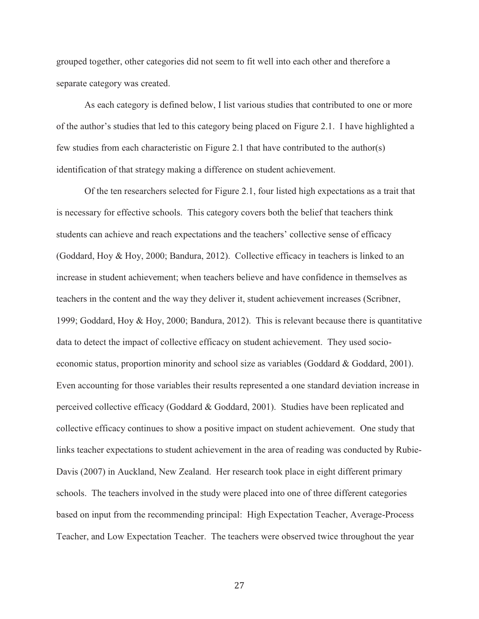grouped together, other categories did not seem to fit well into each other and therefore a separate category was created.

As each category is defined below, I list various studies that contributed to one or more of the author's studies that led to this category being placed on Figure 2.1. I have highlighted a few studies from each characteristic on Figure 2.1 that have contributed to the author(s) identification of that strategy making a difference on student achievement.

Of the ten researchers selected for Figure 2.1, four listed high expectations as a trait that is necessary for effective schools. This category covers both the belief that teachers think students can achieve and reach expectations and the teachers' collective sense of efficacy (Goddard, Hoy & Hoy, 2000; Bandura, 2012). Collective efficacy in teachers is linked to an increase in student achievement; when teachers believe and have confidence in themselves as teachers in the content and the way they deliver it, student achievement increases (Scribner, 1999; Goddard, Hoy & Hoy, 2000; Bandura, 2012). This is relevant because there is quantitative data to detect the impact of collective efficacy on student achievement. They used socioeconomic status, proportion minority and school size as variables (Goddard & Goddard, 2001). Even accounting for those variables their results represented a one standard deviation increase in perceived collective efficacy (Goddard & Goddard, 2001). Studies have been replicated and collective efficacy continues to show a positive impact on student achievement. One study that links teacher expectations to student achievement in the area of reading was conducted by Rubie-Davis (2007) in Auckland, New Zealand. Her research took place in eight different primary schools. The teachers involved in the study were placed into one of three different categories based on input from the recommending principal: High Expectation Teacher, Average-Process Teacher, and Low Expectation Teacher. The teachers were observed twice throughout the year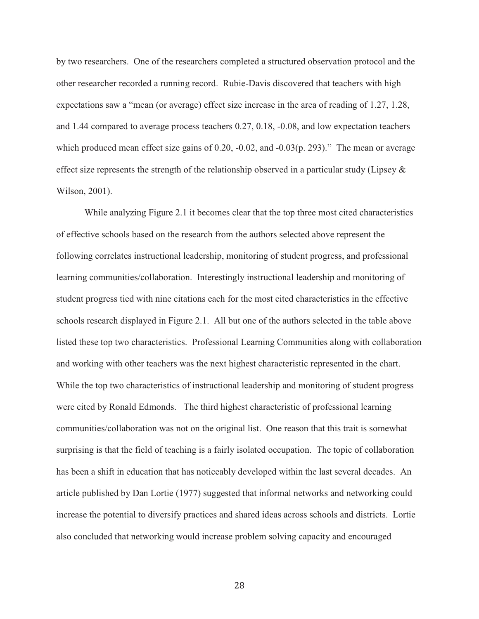by two researchers. One of the researchers completed a structured observation protocol and the other researcher recorded a running record. Rubie-Davis discovered that teachers with high expectations saw a "mean (or average) effect size increase in the area of reading of 1.27, 1.28, and 1.44 compared to average process teachers 0.27, 0.18, -0.08, and low expectation teachers which produced mean effect size gains of 0.20,  $-0.02$ , and  $-0.03(p. 293)$ ." The mean or average effect size represents the strength of the relationship observed in a particular study (Lipsey & Wilson, 2001).

While analyzing Figure 2.1 it becomes clear that the top three most cited characteristics of effective schools based on the research from the authors selected above represent the following correlates instructional leadership, monitoring of student progress, and professional learning communities/collaboration. Interestingly instructional leadership and monitoring of student progress tied with nine citations each for the most cited characteristics in the effective schools research displayed in Figure 2.1. All but one of the authors selected in the table above listed these top two characteristics. Professional Learning Communities along with collaboration and working with other teachers was the next highest characteristic represented in the chart. While the top two characteristics of instructional leadership and monitoring of student progress were cited by Ronald Edmonds. The third highest characteristic of professional learning communities/collaboration was not on the original list. One reason that this trait is somewhat surprising is that the field of teaching is a fairly isolated occupation.The topic of collaboration has been a shift in education that has noticeably developed within the last several decades. An article published by Dan Lortie (1977) suggested that informal networks and networking could increase the potential to diversify practices and shared ideas across schools and districts. Lortie also concluded that networking would increase problem solving capacity and encouraged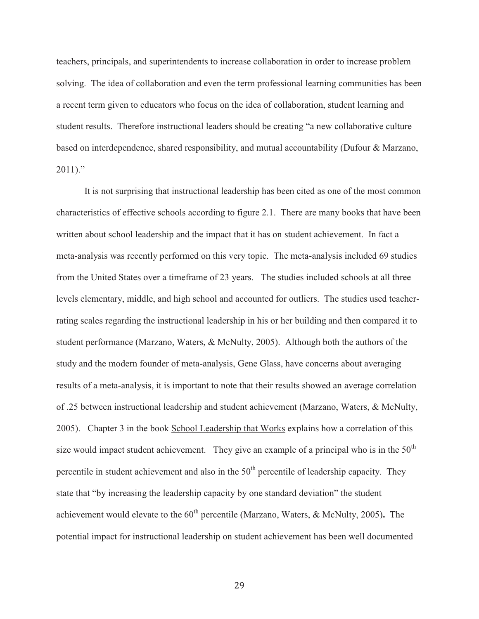teachers, principals, and superintendents to increase collaboration in order to increase problem solving. The idea of collaboration and even the term professional learning communities has been a recent term given to educators who focus on the idea of collaboration, student learning and student results. Therefore instructional leaders should be creating "a new collaborative culture based on interdependence, shared responsibility, and mutual accountability (Dufour & Marzano,  $2011$ ."

It is not surprising that instructional leadership has been cited as one of the most common characteristics of effective schools according to figure 2.1. There are many books that have been written about school leadership and the impact that it has on student achievement. In fact a meta-analysis was recently performed on this very topic. The meta-analysis included 69 studies from the United States over a timeframe of 23 years. The studies included schools at all three levels elementary, middle, and high school and accounted for outliers. The studies used teacherrating scales regarding the instructional leadership in his or her building and then compared it to student performance (Marzano, Waters, & McNulty, 2005). Although both the authors of the study and the modern founder of meta-analysis, Gene Glass, have concerns about averaging results of a meta-analysis, it is important to note that their results showed an average correlation of .25 between instructional leadership and student achievement (Marzano, Waters, & McNulty, 2005). Chapter 3 in the book School Leadership that Works explains how a correlation of this size would impact student achievement. They give an example of a principal who is in the  $50<sup>th</sup>$ percentile in student achievement and also in the  $50<sup>th</sup>$  percentile of leadership capacity. They state that "by increasing the leadership capacity by one standard deviation" the student achievement would elevate to the 60<sup>th</sup> percentile (Marzano, Waters, & McNulty, 2005). The potential impact for instructional leadership on student achievement has been well documented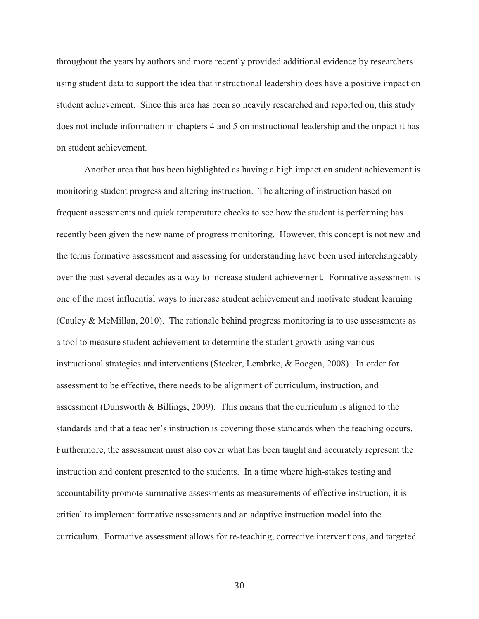throughout the years by authors and more recently provided additional evidence by researchers using student data to support the idea that instructional leadership does have a positive impact on student achievement. Since this area has been so heavily researched and reported on, this study does not include information in chapters 4 and 5 on instructional leadership and the impact it has on student achievement.

Another area that has been highlighted as having a high impact on student achievement is monitoring student progress and altering instruction. The altering of instruction based on frequent assessments and quick temperature checks to see how the student is performing has recently been given the new name of progress monitoring. However, this concept is not new and the terms formative assessment and assessing for understanding have been used interchangeably over the past several decades as a way to increase student achievement. Formative assessment is one of the most influential ways to increase student achievement and motivate student learning (Cauley & McMillan, 2010). The rationale behind progress monitoring is to use assessments as a tool to measure student achievement to determine the student growth using various instructional strategies and interventions (Stecker, Lembrke, & Foegen, 2008). In order for assessment to be effective, there needs to be alignment of curriculum, instruction, and assessment (Dunsworth & Billings, 2009). This means that the curriculum is aligned to the standards and that a teacher's instruction is covering those standards when the teaching occurs. Furthermore, the assessment must also cover what has been taught and accurately represent the instruction and content presented to the students. In a time where high-stakes testing and accountability promote summative assessments as measurements of effective instruction, it is critical to implement formative assessments and an adaptive instruction model into the curriculum. Formative assessment allows for re-teaching, corrective interventions, and targeted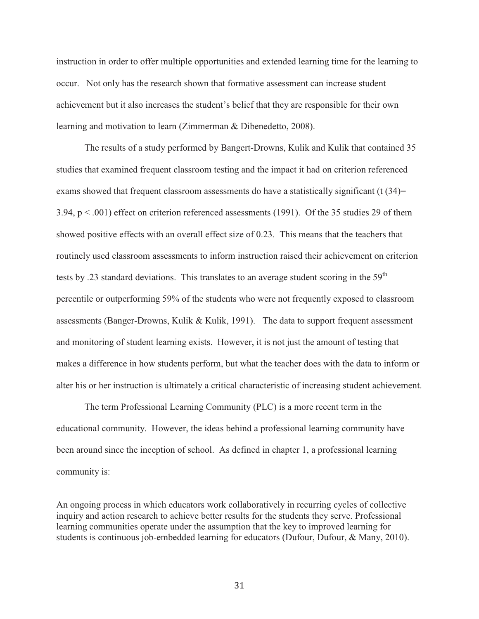instruction in order to offer multiple opportunities and extended learning time for the learning to occur. Not only has the research shown that formative assessment can increase student achievement but it also increases the student's belief that they are responsible for their own learning and motivation to learn (Zimmerman & Dibenedetto, 2008).

 The results of a study performed by Bangert-Drowns, Kulik and Kulik that contained 35 studies that examined frequent classroom testing and the impact it had on criterion referenced exams showed that frequent classroom assessments do have a statistically significant  $(t \cdot (34))$ = 3.94, p < .001) effect on criterion referenced assessments (1991). Of the 35 studies 29 of them showed positive effects with an overall effect size of 0.23. This means that the teachers that routinely used classroom assessments to inform instruction raised their achievement on criterion tests by .23 standard deviations. This translates to an average student scoring in the  $59<sup>th</sup>$ percentile or outperforming 59% of the students who were not frequently exposed to classroom assessments (Banger-Drowns, Kulik & Kulik, 1991). The data to support frequent assessment and monitoring of student learning exists. However, it is not just the amount of testing that makes a difference in how students perform, but what the teacher does with the data to inform or alter his or her instruction is ultimately a critical characteristic of increasing student achievement.

 The term Professional Learning Community (PLC) is a more recent term in the educational community. However, the ideas behind a professional learning community have been around since the inception of school. As defined in chapter 1, a professional learning community is:

An ongoing process in which educators work collaboratively in recurring cycles of collective inquiry and action research to achieve better results for the students they serve. Professional learning communities operate under the assumption that the key to improved learning for students is continuous job-embedded learning for educators (Dufour, Dufour, & Many, 2010).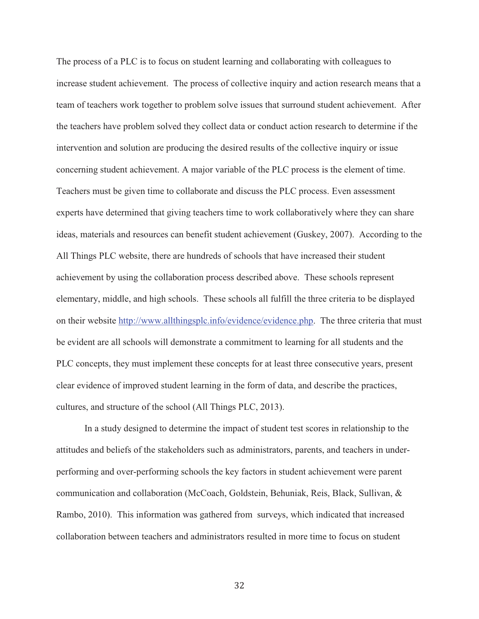The process of a PLC is to focus on student learning and collaborating with colleagues to increase student achievement. The process of collective inquiry and action research means that a team of teachers work together to problem solve issues that surround student achievement. After the teachers have problem solved they collect data or conduct action research to determine if the intervention and solution are producing the desired results of the collective inquiry or issue concerning student achievement. A major variable of the PLC process is the element of time. Teachers must be given time to collaborate and discuss the PLC process. Even assessment experts have determined that giving teachers time to work collaboratively where they can share ideas, materials and resources can benefit student achievement (Guskey, 2007). According to the All Things PLC website, there are hundreds of schools that have increased their student achievement by using the collaboration process described above. These schools represent elementary, middle, and high schools. These schools all fulfill the three criteria to be displayed on their website http://www.allthingsplc.info/evidence/evidence.php. The three criteria that must be evident are all schools will demonstrate a commitment to learning for all students and the PLC concepts, they must implement these concepts for at least three consecutive years, present clear evidence of improved student learning in the form of data, and describe the practices, cultures, and structure of the school (All Things PLC, 2013).

 In a study designed to determine the impact of student test scores in relationship to the attitudes and beliefs of the stakeholders such as administrators, parents, and teachers in underperforming and over-performing schools the key factors in student achievement were parent communication and collaboration (McCoach, Goldstein, Behuniak, Reis, Black, Sullivan, & Rambo, 2010). This information was gathered from surveys, which indicated that increased collaboration between teachers and administrators resulted in more time to focus on student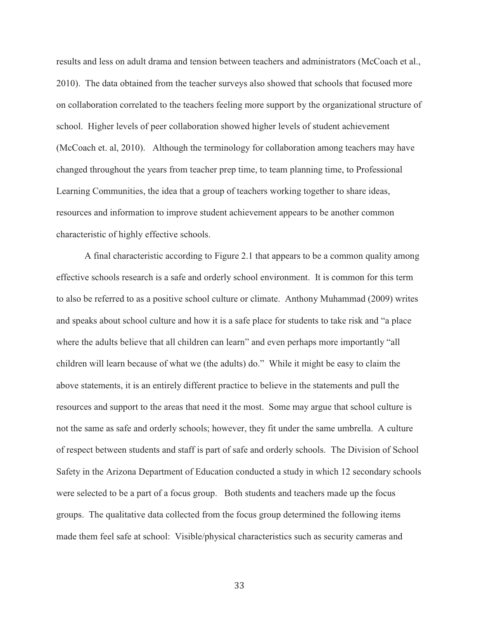results and less on adult drama and tension between teachers and administrators (McCoach et al., 2010). The data obtained from the teacher surveys also showed that schools that focused more on collaboration correlated to the teachers feeling more support by the organizational structure of school. Higher levels of peer collaboration showed higher levels of student achievement (McCoach et. al, 2010). Although the terminology for collaboration among teachers may have changed throughout the years from teacher prep time, to team planning time, to Professional Learning Communities, the idea that a group of teachers working together to share ideas, resources and information to improve student achievement appears to be another common characteristic of highly effective schools.

 A final characteristic according to Figure 2.1 that appears to be a common quality among effective schools research is a safe and orderly school environment. It is common for this term to also be referred to as a positive school culture or climate. Anthony Muhammad (2009) writes and speaks about school culture and how it is a safe place for students to take risk and "a place where the adults believe that all children can learn" and even perhaps more importantly "all children will learn because of what we (the adults) do." While it might be easy to claim the above statements, it is an entirely different practice to believe in the statements and pull the resources and support to the areas that need it the most. Some may argue that school culture is not the same as safe and orderly schools; however, they fit under the same umbrella. A culture of respect between students and staff is part of safe and orderly schools. The Division of School Safety in the Arizona Department of Education conducted a study in which 12 secondary schools were selected to be a part of a focus group. Both students and teachers made up the focus groups. The qualitative data collected from the focus group determined the following items made them feel safe at school: Visible/physical characteristics such as security cameras and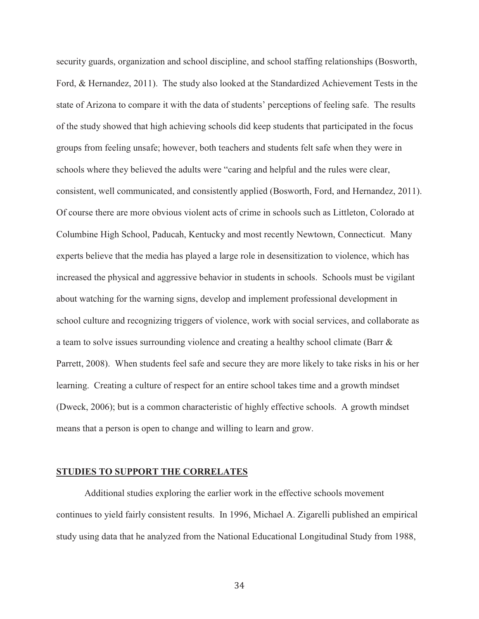security guards, organization and school discipline, and school staffing relationships (Bosworth, Ford, & Hernandez, 2011). The study also looked at the Standardized Achievement Tests in the state of Arizona to compare it with the data of students' perceptions of feeling safe. The results of the study showed that high achieving schools did keep students that participated in the focus groups from feeling unsafe; however, both teachers and students felt safe when they were in schools where they believed the adults were "caring and helpful and the rules were clear, consistent, well communicated, and consistently applied (Bosworth, Ford, and Hernandez, 2011). Of course there are more obvious violent acts of crime in schools such as Littleton, Colorado at Columbine High School, Paducah, Kentucky and most recently Newtown, Connecticut. Many experts believe that the media has played a large role in desensitization to violence, which has increased the physical and aggressive behavior in students in schools. Schools must be vigilant about watching for the warning signs, develop and implement professional development in school culture and recognizing triggers of violence, work with social services, and collaborate as a team to solve issues surrounding violence and creating a healthy school climate (Barr & Parrett, 2008). When students feel safe and secure they are more likely to take risks in his or her learning. Creating a culture of respect for an entire school takes time and a growth mindset (Dweck, 2006); but is a common characteristic of highly effective schools. A growth mindset means that a person is open to change and willing to learn and grow.

#### **STUDIES TO SUPPORT THE CORRELATES**

 Additional studies exploring the earlier work in the effective schools movement continues to yield fairly consistent results. In 1996, Michael A. Zigarelli published an empirical study using data that he analyzed from the National Educational Longitudinal Study from 1988,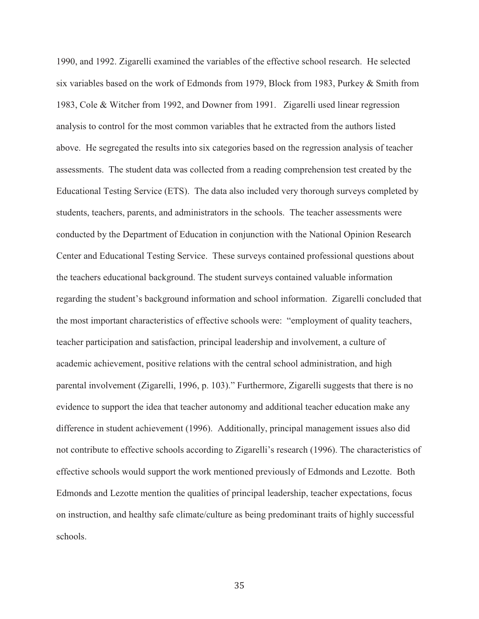1990, and 1992. Zigarelli examined the variables of the effective school research. He selected six variables based on the work of Edmonds from 1979, Block from 1983, Purkey & Smith from 1983, Cole & Witcher from 1992, and Downer from 1991. Zigarelli used linear regression analysis to control for the most common variables that he extracted from the authors listed above. He segregated the results into six categories based on the regression analysis of teacher assessments. The student data was collected from a reading comprehension test created by the Educational Testing Service (ETS). The data also included very thorough surveys completed by students, teachers, parents, and administrators in the schools. The teacher assessments were conducted by the Department of Education in conjunction with the National Opinion Research Center and Educational Testing Service. These surveys contained professional questions about the teachers educational background. The student surveys contained valuable information regarding the student's background information and school information. Zigarelli concluded that the most important characteristics of effective schools were: "employment of quality teachers, teacher participation and satisfaction, principal leadership and involvement, a culture of academic achievement, positive relations with the central school administration, and high parental involvement (Zigarelli, 1996, p. 103)." Furthermore, Zigarelli suggests that there is no evidence to support the idea that teacher autonomy and additional teacher education make any difference in student achievement (1996). Additionally, principal management issues also did not contribute to effective schools according to Zigarelli's research (1996). The characteristics of effective schools would support the work mentioned previously of Edmonds and Lezotte. Both Edmonds and Lezotte mention the qualities of principal leadership, teacher expectations, focus on instruction, and healthy safe climate/culture as being predominant traits of highly successful schools.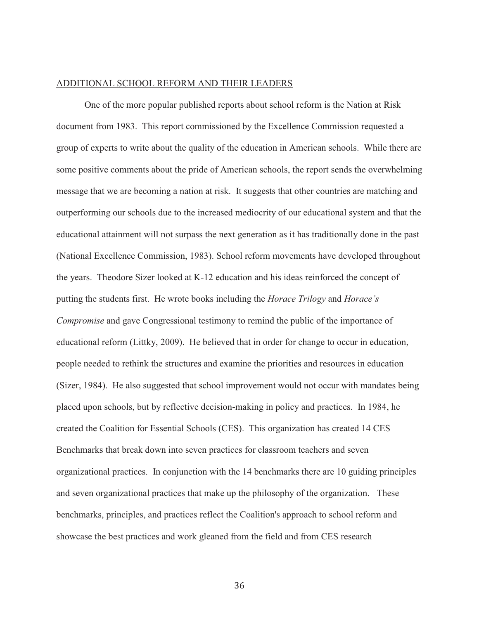# ADDITIONAL SCHOOL REFORM AND THEIR LEADERS

 One of the more popular published reports about school reform is the Nation at Risk document from 1983. This report commissioned by the Excellence Commission requested a group of experts to write about the quality of the education in American schools. While there are some positive comments about the pride of American schools, the report sends the overwhelming message that we are becoming a nation at risk. It suggests that other countries are matching and outperforming our schools due to the increased mediocrity of our educational system and that the educational attainment will not surpass the next generation as it has traditionally done in the past (National Excellence Commission, 1983). School reform movements have developed throughout the years. Theodore Sizer looked at K-12 education and his ideas reinforced the concept of putting the students first. He wrote books including the *Horace Trilogy* and *Horace's Compromise* and gave Congressional testimony to remind the public of the importance of educational reform (Littky, 2009). He believed that in order for change to occur in education, people needed to rethink the structures and examine the priorities and resources in education (Sizer, 1984). He also suggested that school improvement would not occur with mandates being placed upon schools, but by reflective decision-making in policy and practices. In 1984, he created the Coalition for Essential Schools (CES). This organization has created 14 CES Benchmarks that break down into seven practices for classroom teachers and seven organizational practices. In conjunction with the 14 benchmarks there are 10 guiding principles and seven organizational practices that make up the philosophy of the organization. These benchmarks, principles, and practices reflect the Coalition's approach to school reform and showcase the best practices and work gleaned from the field and from CES research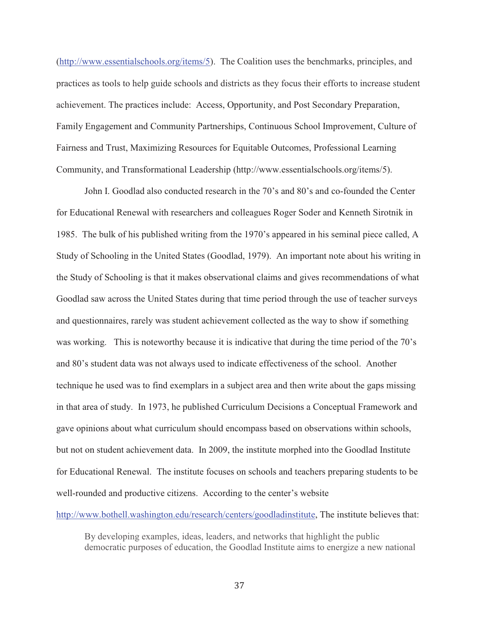(http://www.essentialschools.org/items/5). The Coalition uses the benchmarks, principles, and practices as tools to help guide schools and districts as they focus their efforts to increase student achievement. The practices include: Access, Opportunity, and Post Secondary Preparation, Family Engagement and Community Partnerships, Continuous School Improvement, Culture of Fairness and Trust, Maximizing Resources for Equitable Outcomes, Professional Learning Community, and Transformational Leadership (http://www.essentialschools.org/items/5).

John I. Goodlad also conducted research in the 70's and 80's and co-founded the Center for Educational Renewal with researchers and colleagues Roger Soder and Kenneth Sirotnik in 1985. The bulk of his published writing from the 1970's appeared in his seminal piece called, A Study of Schooling in the United States (Goodlad, 1979). An important note about his writing in the Study of Schooling is that it makes observational claims and gives recommendations of what Goodlad saw across the United States during that time period through the use of teacher surveys and questionnaires, rarely was student achievement collected as the way to show if something was working. This is noteworthy because it is indicative that during the time period of the 70's and 80's student data was not always used to indicate effectiveness of the school. Another technique he used was to find exemplars in a subject area and then write about the gaps missing in that area of study. In 1973, he published Curriculum Decisions a Conceptual Framework and gave opinions about what curriculum should encompass based on observations within schools, but not on student achievement data. In 2009, the institute morphed into the Goodlad Institute for Educational Renewal. The institute focuses on schools and teachers preparing students to be well-rounded and productive citizens. According to the center's website

http://www.bothell.washington.edu/research/centers/goodladinstitute, The institute believes that:

By developing examples, ideas, leaders, and networks that highlight the public democratic purposes of education, the Goodlad Institute aims to energize a new national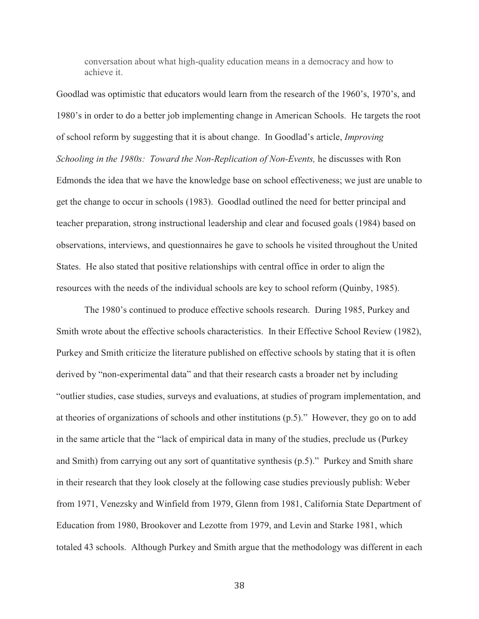conversation about what high-quality education means in a democracy and how to achieve it.

Goodlad was optimistic that educators would learn from the research of the 1960's, 1970's, and 1980's in order to do a better job implementing change in American Schools. He targets the root of school reform by suggesting that it is about change. In Goodlad's article, *Improving Schooling in the 1980s: Toward the Non-Replication of Non-Events,* he discusses with Ron Edmonds the idea that we have the knowledge base on school effectiveness; we just are unable to get the change to occur in schools (1983). Goodlad outlined the need for better principal and teacher preparation, strong instructional leadership and clear and focused goals (1984) based on observations, interviews, and questionnaires he gave to schools he visited throughout the United States. He also stated that positive relationships with central office in order to align the resources with the needs of the individual schools are key to school reform (Quinby, 1985).

 The 1980's continued to produce effective schools research. During 1985, Purkey and Smith wrote about the effective schools characteristics.In their Effective School Review (1982), Purkey and Smith criticize the literature published on effective schools by stating that it is often derived by "non-experimental data" and that their research casts a broader net by including "outlier studies, case studies, surveys and evaluations, at studies of program implementation, and at theories of organizations of schools and other institutions (p.5)." However, they go on to add in the same article that the "lack of empirical data in many of the studies, preclude us (Purkey and Smith) from carrying out any sort of quantitative synthesis (p.5)." Purkey and Smith share in their research that they look closely at the following case studies previously publish: Weber from 1971, Venezsky and Winfield from 1979, Glenn from 1981, California State Department of Education from 1980, Brookover and Lezotte from 1979, and Levin and Starke 1981, which totaled 43 schools. Although Purkey and Smith argue that the methodology was different in each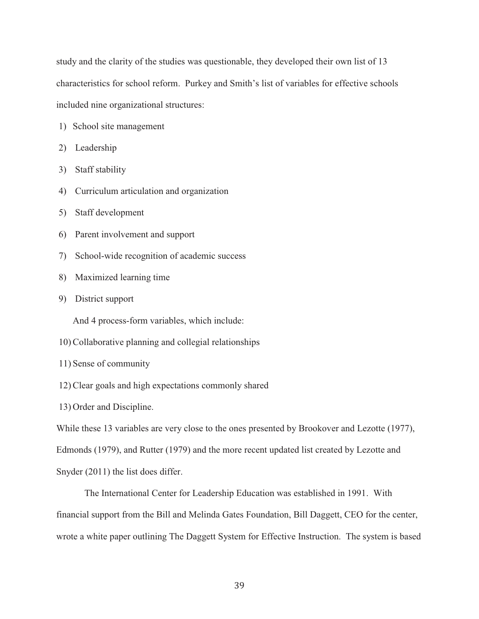study and the clarity of the studies was questionable, they developed their own list of 13 characteristics for school reform. Purkey and Smith's list of variables for effective schools included nine organizational structures:

- 1) School site management
- 2) Leadership
- 3) Staff stability
- 4) Curriculum articulation and organization
- 5) Staff development
- 6) Parent involvement and support
- 7) School-wide recognition of academic success
- 8) Maximized learning time
- 9) District support

And 4 process-form variables, which include:

- 10) Collaborative planning and collegial relationships
- 11) Sense of community
- 12) Clear goals and high expectations commonly shared
- 13) Order and Discipline.

While these 13 variables are very close to the ones presented by Brookover and Lezotte (1977),

Edmonds (1979), and Rutter (1979) and the more recent updated list created by Lezotte and

Snyder (2011) the list does differ.

 The International Center for Leadership Education was established in 1991. With financial support from the Bill and Melinda Gates Foundation, Bill Daggett, CEO for the center, wrote a white paper outlining The Daggett System for Effective Instruction. The system is based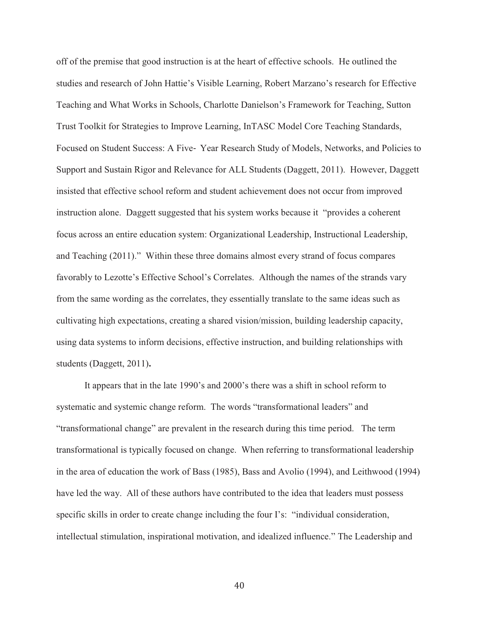off of the premise that good instruction is at the heart of effective schools. He outlined the studies and research of John Hattie's Visible Learning, Robert Marzano's research for Effective Teaching and What Works in Schools, Charlotte Danielson's Framework for Teaching, Sutton Trust Toolkit for Strategies to Improve Learning, InTASC Model Core Teaching Standards, Focused on Student Success: A Five-Year Research Study of Models, Networks, and Policies to Support and Sustain Rigor and Relevance for ALL Students (Daggett, 2011). However, Daggett insisted that effective school reform and student achievement does not occur from improved instruction alone. Daggett suggested that his system works because it "provides a coherent focus across an entire education system: Organizational Leadership, Instructional Leadership, and Teaching (2011)." Within these three domains almost every strand of focus compares favorably to Lezotte's Effective School's Correlates. Although the names of the strands vary from the same wording as the correlates, they essentially translate to the same ideas such as cultivating high expectations, creating a shared vision/mission, building leadership capacity, using data systems to inform decisions, effective instruction, and building relationships with students (Daggett, 2011)**.** 

It appears that in the late 1990's and 2000's there was a shift in school reform to systematic and systemic change reform. The words "transformational leaders" and "transformational change" are prevalent in the research during this time period. The term transformational is typically focused on change. When referring to transformational leadership in the area of education the work of Bass (1985), Bass and Avolio (1994), and Leithwood (1994) have led the way. All of these authors have contributed to the idea that leaders must possess specific skills in order to create change including the four I's: "individual consideration, intellectual stimulation, inspirational motivation, and idealized influence." The Leadership and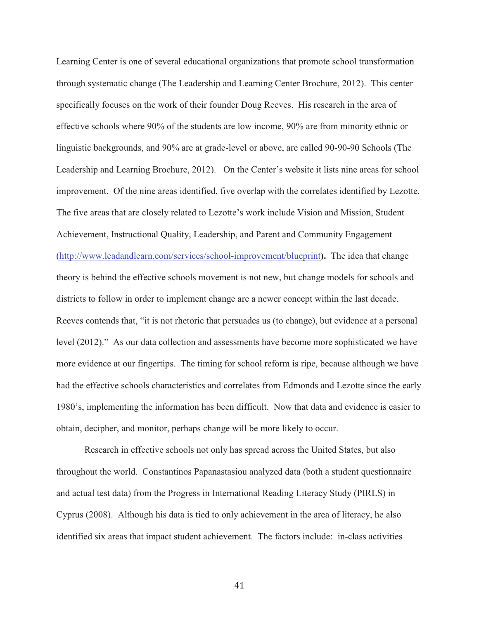Learning Center is one of several educational organizations that promote school transformation through systematic change (The Leadership and Learning Center Brochure, 2012). This center specifically focuses on the work of their founder Doug Reeves. His research in the area of effective schools where 90% of the students are low income, 90% are from minority ethnic or linguistic backgrounds, and 90% are at grade-level or above, are called 90-90-90 Schools (The Leadership and Learning Brochure, 2012). On the Center's website it lists nine areas for school improvement. Of the nine areas identified, five overlap with the correlates identified by Lezotte. The five areas that are closely related to Lezotte's work include Vision and Mission, Student Achievement, Instructional Quality, Leadership, and Parent and Community Engagement (http://www.leadandlearn.com/services/school-improvement/blueprint**).** The idea that change theory is behind the effective schools movement is not new, but change models for schools and districts to follow in order to implement change are a newer concept within the last decade. Reeves contends that, "it is not rhetoric that persuades us (to change), but evidence at a personal level (2012)." As our data collection and assessments have become more sophisticated we have more evidence at our fingertips. The timing for school reform is ripe, because although we have had the effective schools characteristics and correlates from Edmonds and Lezotte since the early 1980's, implementing the information has been difficult. Now that data and evidence is easier to obtain, decipher, and monitor, perhaps change will be more likely to occur.

 Research in effective schools not only has spread across the United States, but also throughout the world. Constantinos Papanastasiou analyzed data (both a student questionnaire and actual test data) from the Progress in International Reading Literacy Study (PIRLS) in Cyprus (2008). Although his data is tied to only achievement in the area of literacy, he also identified six areas that impact student achievement. The factors include: in-class activities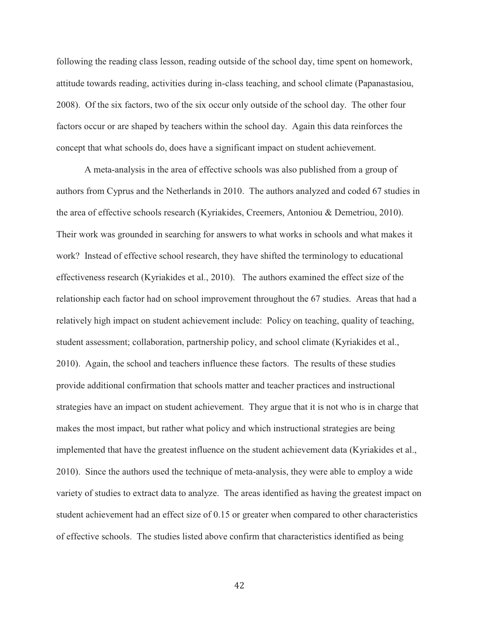following the reading class lesson, reading outside of the school day, time spent on homework, attitude towards reading, activities during in-class teaching, and school climate (Papanastasiou, 2008). Of the six factors, two of the six occur only outside of the school day. The other four factors occur or are shaped by teachers within the school day. Again this data reinforces the concept that what schools do, does have a significant impact on student achievement.

 A meta-analysis in the area of effective schools was also published from a group of authors from Cyprus and the Netherlands in 2010. The authors analyzed and coded 67 studies in the area of effective schools research (Kyriakides, Creemers, Antoniou & Demetriou, 2010). Their work was grounded in searching for answers to what works in schools and what makes it work? Instead of effective school research, they have shifted the terminology to educational effectiveness research (Kyriakides et al., 2010). The authors examined the effect size of the relationship each factor had on school improvement throughout the 67 studies. Areas that had a relatively high impact on student achievement include: Policy on teaching, quality of teaching, student assessment; collaboration, partnership policy, and school climate (Kyriakides et al., 2010). Again, the school and teachers influence these factors. The results of these studies provide additional confirmation that schools matter and teacher practices and instructional strategies have an impact on student achievement. They argue that it is not who is in charge that makes the most impact, but rather what policy and which instructional strategies are being implemented that have the greatest influence on the student achievement data (Kyriakides et al., 2010). Since the authors used the technique of meta-analysis, they were able to employ a wide variety of studies to extract data to analyze. The areas identified as having the greatest impact on student achievement had an effect size of 0.15 or greater when compared to other characteristics of effective schools. The studies listed above confirm that characteristics identified as being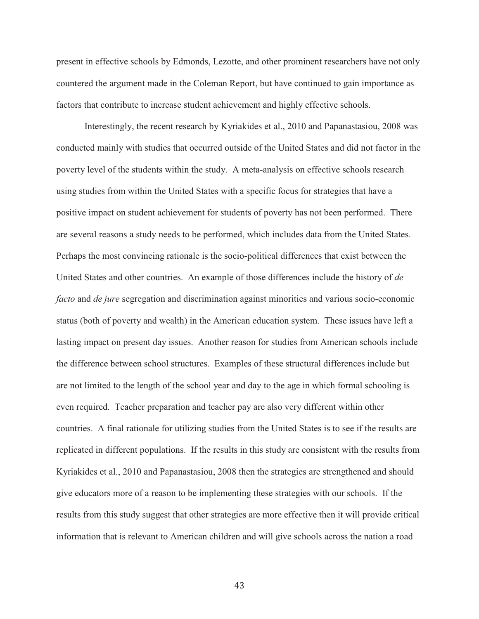present in effective schools by Edmonds, Lezotte, and other prominent researchers have not only countered the argument made in the Coleman Report, but have continued to gain importance as factors that contribute to increase student achievement and highly effective schools.

 Interestingly, the recent research by Kyriakides et al., 2010 and Papanastasiou, 2008 was conducted mainly with studies that occurred outside of the United States and did not factor in the poverty level of the students within the study. A meta-analysis on effective schools research using studies from within the United States with a specific focus for strategies that have a positive impact on student achievement for students of poverty has not been performed. There are several reasons a study needs to be performed, which includes data from the United States. Perhaps the most convincing rationale is the socio-political differences that exist between the United States and other countries. An example of those differences include the history of *de facto* and *de jure* segregation and discrimination against minorities and various socio-economic status (both of poverty and wealth) in the American education system. These issues have left a lasting impact on present day issues. Another reason for studies from American schools include the difference between school structures. Examples of these structural differences include but are not limited to the length of the school year and day to the age in which formal schooling is even required. Teacher preparation and teacher pay are also very different within other countries. A final rationale for utilizing studies from the United States is to see if the results are replicated in different populations. If the results in this study are consistent with the results from Kyriakides et al., 2010 and Papanastasiou, 2008 then the strategies are strengthened and should give educators more of a reason to be implementing these strategies with our schools. If the results from this study suggest that other strategies are more effective then it will provide critical information that is relevant to American children and will give schools across the nation a road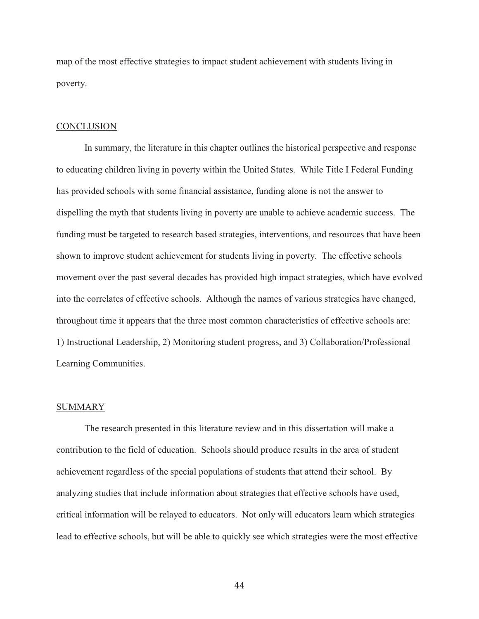map of the most effective strategies to impact student achievement with students living in poverty.

#### **CONCLUSION**

 In summary, the literature in this chapter outlines the historical perspective and response to educating children living in poverty within the United States. While Title I Federal Funding has provided schools with some financial assistance, funding alone is not the answer to dispelling the myth that students living in poverty are unable to achieve academic success. The funding must be targeted to research based strategies, interventions, and resources that have been shown to improve student achievement for students living in poverty. The effective schools movement over the past several decades has provided high impact strategies, which have evolved into the correlates of effective schools. Although the names of various strategies have changed, throughout time it appears that the three most common characteristics of effective schools are: 1) Instructional Leadership, 2) Monitoring student progress, and 3) Collaboration/Professional Learning Communities.

#### SUMMARY

The research presented in this literature review and in this dissertation will make a contribution to the field of education. Schools should produce results in the area of student achievement regardless of the special populations of students that attend their school. By analyzing studies that include information about strategies that effective schools have used, critical information will be relayed to educators. Not only will educators learn which strategies lead to effective schools, but will be able to quickly see which strategies were the most effective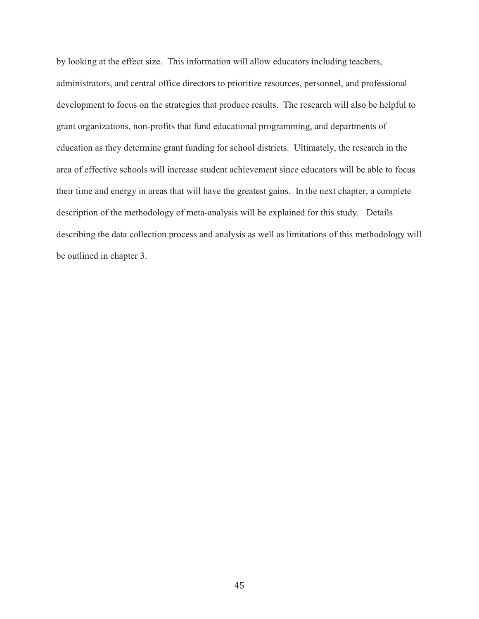by looking at the effect size. This information will allow educators including teachers, administrators, and central office directors to prioritize resources, personnel, and professional development to focus on the strategies that produce results. The research will also be helpful to grant organizations, non-profits that fund educational programming, and departments of education as they determine grant funding for school districts. Ultimately, the research in the area of effective schools will increase student achievement since educators will be able to focus their time and energy in areas that will have the greatest gains. In the next chapter, a complete description of the methodology of meta-analysis will be explained for this study. Details describing the data collection process and analysis as well as limitations of this methodology will be outlined in chapter 3.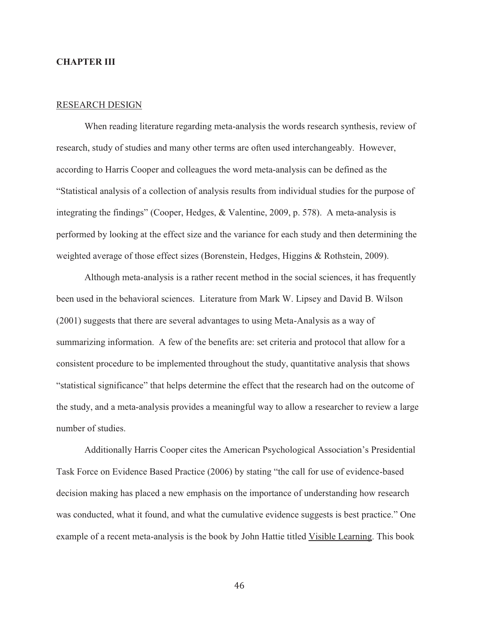# **CHAPTER III**

#### RESEARCH DESIGN

When reading literature regarding meta-analysis the words research synthesis, review of research, study of studies and many other terms are often used interchangeably. However, according to Harris Cooper and colleagues the word meta-analysis can be defined as the "Statistical analysis of a collection of analysis results from individual studies for the purpose of integrating the findings" (Cooper, Hedges, & Valentine, 2009, p. 578). A meta-analysis is performed by looking at the effect size and the variance for each study and then determining the weighted average of those effect sizes (Borenstein, Hedges, Higgins & Rothstein, 2009).

Although meta-analysis is a rather recent method in the social sciences, it has frequently been used in the behavioral sciences. Literature from Mark W. Lipsey and David B. Wilson (2001) suggests that there are several advantages to using Meta-Analysis as a way of summarizing information. A few of the benefits are: set criteria and protocol that allow for a consistent procedure to be implemented throughout the study, quantitative analysis that shows "statistical significance" that helps determine the effect that the research had on the outcome of the study, and a meta-analysis provides a meaningful way to allow a researcher to review a large number of studies.

 Additionally Harris Cooper cites the American Psychological Association's Presidential Task Force on Evidence Based Practice (2006) by stating "the call for use of evidence-based decision making has placed a new emphasis on the importance of understanding how research was conducted, what it found, and what the cumulative evidence suggests is best practice." One example of a recent meta-analysis is the book by John Hattie titled Visible Learning. This book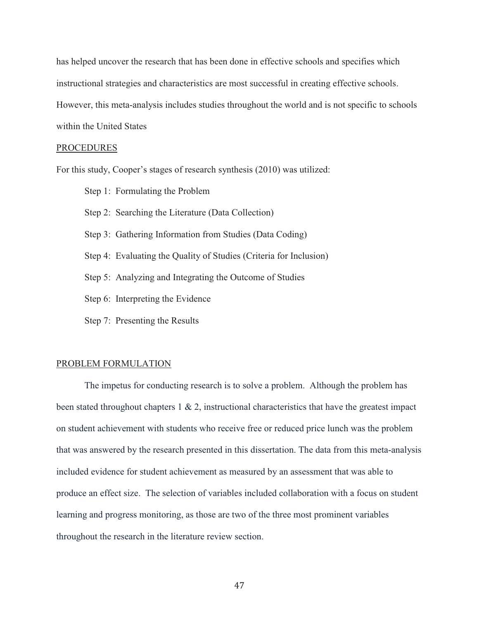has helped uncover the research that has been done in effective schools and specifies which instructional strategies and characteristics are most successful in creating effective schools. However, this meta-analysis includes studies throughout the world and is not specific to schools within the United States

#### PROCEDURES

For this study, Cooper's stages of research synthesis (2010) was utilized:

Step 1: Formulating the Problem

Step 2: Searching the Literature (Data Collection)

Step 3: Gathering Information from Studies (Data Coding)

Step 4: Evaluating the Quality of Studies (Criteria for Inclusion)

Step 5: Analyzing and Integrating the Outcome of Studies

Step 6: Interpreting the Evidence

Step 7: Presenting the Results

#### PROBLEM FORMULATION

The impetus for conducting research is to solve a problem. Although the problem has been stated throughout chapters  $1 \& 2$ , instructional characteristics that have the greatest impact on student achievement with students who receive free or reduced price lunch was the problem that was answered by the research presented in this dissertation. The data from this meta-analysis included evidence for student achievement as measured by an assessment that was able to produce an effect size. The selection of variables included collaboration with a focus on student learning and progress monitoring, as those are two of the three most prominent variables throughout the research in the literature review section.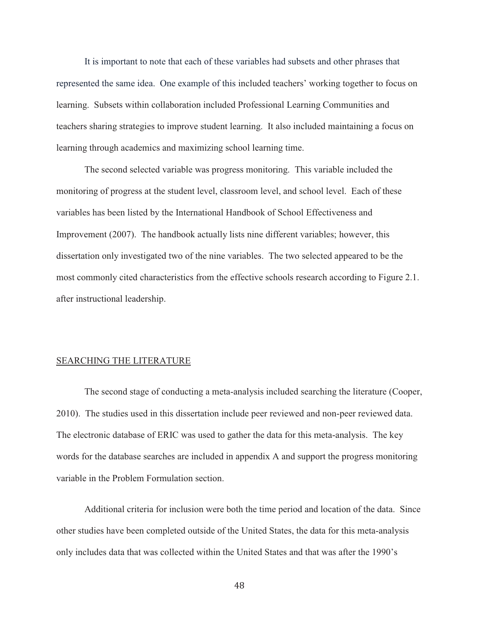It is important to note that each of these variables had subsets and other phrases that represented the same idea. One example of this included teachers' working together to focus on learning. Subsets within collaboration included Professional Learning Communities and teachers sharing strategies to improve student learning. It also included maintaining a focus on learning through academics and maximizing school learning time.

The second selected variable was progress monitoring. This variable included the monitoring of progress at the student level, classroom level, and school level. Each of these variables has been listed by the International Handbook of School Effectiveness and Improvement (2007). The handbook actually lists nine different variables; however, this dissertation only investigated two of the nine variables. The two selected appeared to be the most commonly cited characteristics from the effective schools research according to Figure 2.1. after instructional leadership.

#### SEARCHING THE LITERATURE

 The second stage of conducting a meta-analysis included searching the literature (Cooper, 2010). The studies used in this dissertation include peer reviewed and non-peer reviewed data. The electronic database of ERIC was used to gather the data for this meta-analysis. The key words for the database searches are included in appendix A and support the progress monitoring variable in the Problem Formulation section.

 Additional criteria for inclusion were both the time period and location of the data. Since other studies have been completed outside of the United States, the data for this meta-analysis only includes data that was collected within the United States and that was after the 1990's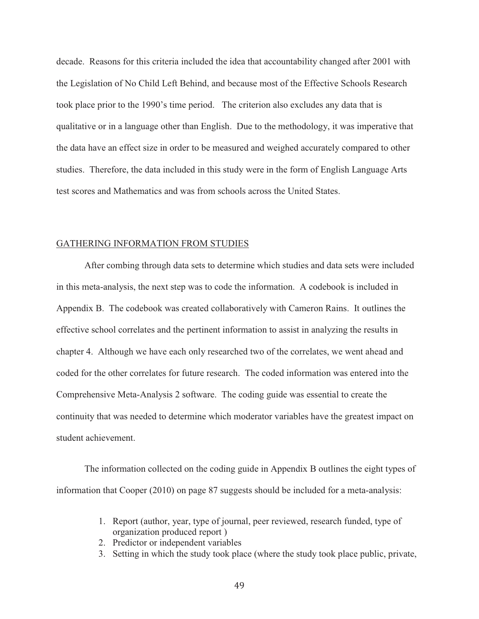decade. Reasons for this criteria included the idea that accountability changed after 2001 with the Legislation of No Child Left Behind, and because most of the Effective Schools Research took place prior to the 1990's time period. The criterion also excludes any data that is qualitative or in a language other than English. Due to the methodology, it was imperative that the data have an effect size in order to be measured and weighed accurately compared to other studies. Therefore, the data included in this study were in the form of English Language Arts test scores and Mathematics and was from schools across the United States.

#### GATHERING INFORMATION FROM STUDIES

 After combing through data sets to determine which studies and data sets were included in this meta-analysis, the next step was to code the information. A codebook is included in Appendix B. The codebook was created collaboratively with Cameron Rains. It outlines the effective school correlates and the pertinent information to assist in analyzing the results in chapter 4. Although we have each only researched two of the correlates, we went ahead and coded for the other correlates for future research. The coded information was entered into the Comprehensive Meta-Analysis 2 software. The coding guide was essential to create the continuity that was needed to determine which moderator variables have the greatest impact on student achievement.

 The information collected on the coding guide in Appendix B outlines the eight types of information that Cooper (2010) on page 87 suggests should be included for a meta-analysis:

- 1. Report (author, year, type of journal, peer reviewed, research funded, type of organization produced report )
- 2. Predictor or independent variables
- 3. Setting in which the study took place (where the study took place public, private,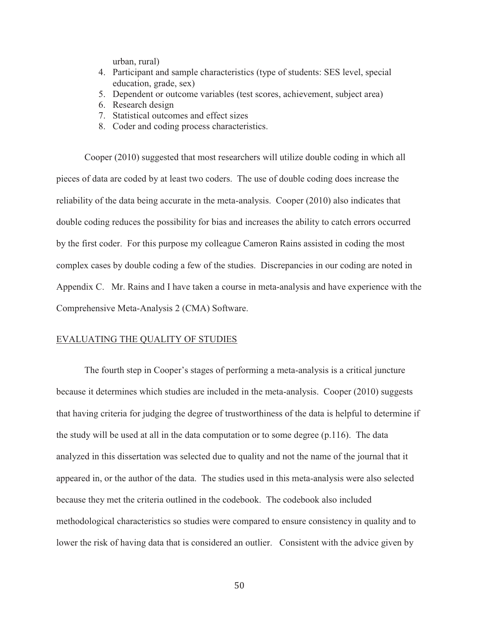urban, rural)

- 4. Participant and sample characteristics (type of students: SES level, special education, grade, sex)
- 5. Dependent or outcome variables (test scores, achievement, subject area)
- 6. Research design
- 7. Statistical outcomes and effect sizes
- 8. Coder and coding process characteristics.

Cooper (2010) suggested that most researchers will utilize double coding in which all pieces of data are coded by at least two coders. The use of double coding does increase the reliability of the data being accurate in the meta-analysis. Cooper (2010) also indicates that double coding reduces the possibility for bias and increases the ability to catch errors occurred by the first coder. For this purpose my colleague Cameron Rains assisted in coding the most complex cases by double coding a few of the studies. Discrepancies in our coding are noted in Appendix C. Mr. Rains and I have taken a course in meta-analysis and have experience with the Comprehensive Meta-Analysis 2 (CMA) Software.

# EVALUATING THE QUALITY OF STUDIES

The fourth step in Cooper's stages of performing a meta-analysis is a critical juncture because it determines which studies are included in the meta-analysis. Cooper (2010) suggests that having criteria for judging the degree of trustworthiness of the data is helpful to determine if the study will be used at all in the data computation or to some degree (p.116). The data analyzed in this dissertation was selected due to quality and not the name of the journal that it appeared in, or the author of the data. The studies used in this meta-analysis were also selected because they met the criteria outlined in the codebook. The codebook also included methodological characteristics so studies were compared to ensure consistency in quality and to lower the risk of having data that is considered an outlier. Consistent with the advice given by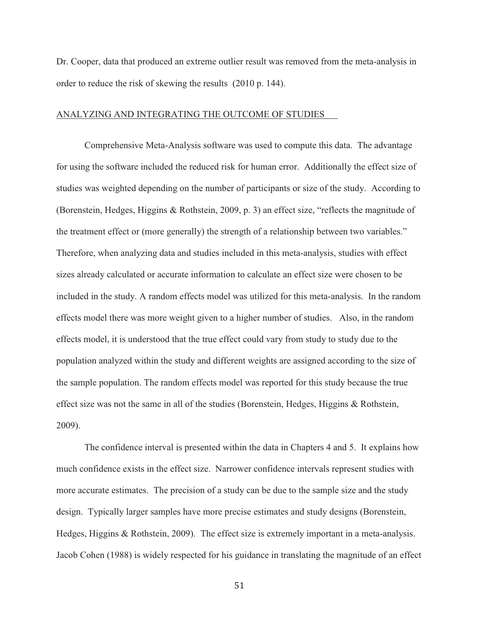Dr. Cooper, data that produced an extreme outlier result was removed from the meta-analysis in order to reduce the risk of skewing the results (2010 p. 144).

# ANALYZING AND INTEGRATING THE OUTCOME OF STUDIES

 Comprehensive Meta-Analysis software was used to compute this data. The advantage for using the software included the reduced risk for human error. Additionally the effect size of studies was weighted depending on the number of participants or size of the study. According to (Borenstein, Hedges, Higgins & Rothstein, 2009, p. 3) an effect size, "reflects the magnitude of the treatment effect or (more generally) the strength of a relationship between two variables." Therefore, when analyzing data and studies included in this meta-analysis, studies with effect sizes already calculated or accurate information to calculate an effect size were chosen to be included in the study. A random effects model was utilized for this meta-analysis. In the random effects model there was more weight given to a higher number of studies. Also, in the random effects model, it is understood that the true effect could vary from study to study due to the population analyzed within the study and different weights are assigned according to the size of the sample population. The random effects model was reported for this study because the true effect size was not the same in all of the studies (Borenstein, Hedges, Higgins & Rothstein, 2009).

The confidence interval is presented within the data in Chapters 4 and 5. It explains how much confidence exists in the effect size. Narrower confidence intervals represent studies with more accurate estimates. The precision of a study can be due to the sample size and the study design. Typically larger samples have more precise estimates and study designs (Borenstein, Hedges, Higgins & Rothstein, 2009). The effect size is extremely important in a meta-analysis. Jacob Cohen (1988) is widely respected for his guidance in translating the magnitude of an effect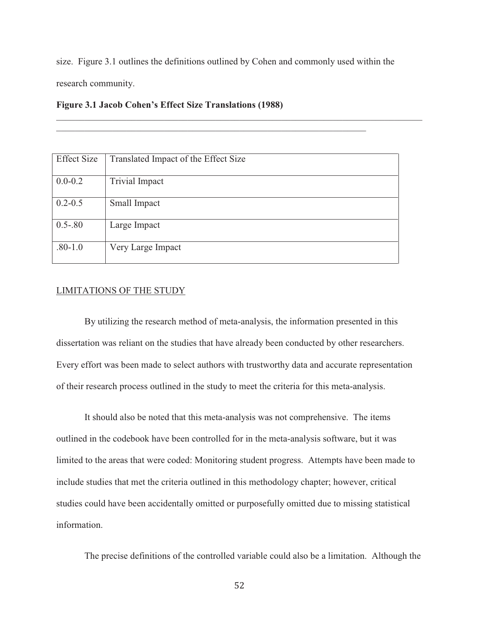size. Figure 3.1 outlines the definitions outlined by Cohen and commonly used within the

 $\_$  ,  $\_$  ,  $\_$  ,  $\_$  ,  $\_$  ,  $\_$  ,  $\_$  ,  $\_$  ,  $\_$  ,  $\_$  ,  $\_$  ,  $\_$  ,  $\_$  ,  $\_$  ,  $\_$  ,  $\_$  ,  $\_$  ,  $\_$  ,  $\_$  ,  $\_$ 

\_\_\_\_\_\_\_\_\_\_\_\_\_\_\_\_\_\_\_\_\_\_\_\_\_\_\_\_\_\_\_\_\_\_\_\_\_\_\_\_\_\_\_\_\_\_\_\_\_\_\_\_\_\_\_\_\_\_\_\_\_\_\_\_\_\_\_\_\_\_\_\_\_\_\_\_\_\_

research community.

|  |  |  |  | <b>Figure 3.1 Jacob Cohen's Effect Size Translations (1988)</b> |  |
|--|--|--|--|-----------------------------------------------------------------|--|
|--|--|--|--|-----------------------------------------------------------------|--|

| <b>Effect Size</b> | Translated Impact of the Effect Size |
|--------------------|--------------------------------------|
| $0.0 - 0.2$        | <b>Trivial Impact</b>                |
| $0.2 - 0.5$        | Small Impact                         |
| $0.5 - 80$         | Large Impact                         |
| $.80 - 1.0$        | Very Large Impact                    |

# LIMITATIONS OF THE STUDY

 By utilizing the research method of meta-analysis, the information presented in this dissertation was reliant on the studies that have already been conducted by other researchers. Every effort was been made to select authors with trustworthy data and accurate representation of their research process outlined in the study to meet the criteria for this meta-analysis.

It should also be noted that this meta-analysis was not comprehensive. The items outlined in the codebook have been controlled for in the meta-analysis software, but it was limited to the areas that were coded: Monitoring student progress. Attempts have been made to include studies that met the criteria outlined in this methodology chapter; however, critical studies could have been accidentally omitted or purposefully omitted due to missing statistical information.

The precise definitions of the controlled variable could also be a limitation. Although the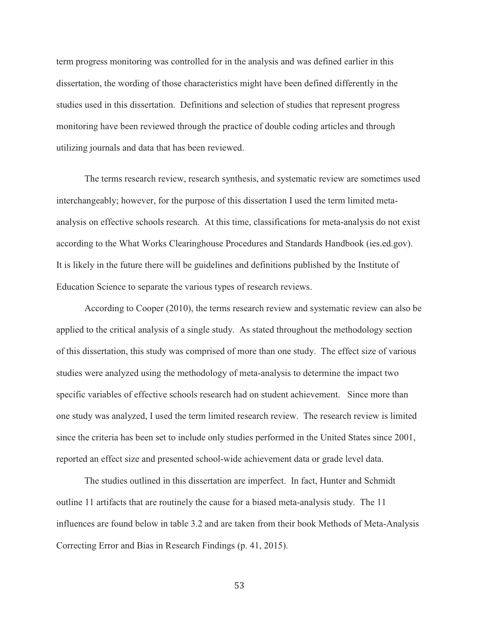term progress monitoring was controlled for in the analysis and was defined earlier in this dissertation, the wording of those characteristics might have been defined differently in the studies used in this dissertation. Definitions and selection of studies that represent progress monitoring have been reviewed through the practice of double coding articles and through utilizing journals and data that has been reviewed.

The terms research review, research synthesis, and systematic review are sometimes used interchangeably; however, for the purpose of this dissertation I used the term limited metaanalysis on effective schools research. At this time, classifications for meta-analysis do not exist according to the What Works Clearinghouse Procedures and Standards Handbook (ies.ed.gov). It is likely in the future there will be guidelines and definitions published by the Institute of Education Science to separate the various types of research reviews.

According to Cooper (2010), the terms research review and systematic review can also be applied to the critical analysis of a single study. As stated throughout the methodology section of this dissertation, this study was comprised of more than one study. The effect size of various studies were analyzed using the methodology of meta-analysis to determine the impact two specific variables of effective schools research had on student achievement. Since more than one study was analyzed, I used the term limited research review. The research review is limited since the criteria has been set to include only studies performed in the United States since 2001, reported an effect size and presented school-wide achievement data or grade level data.

 The studies outlined in this dissertation are imperfect. In fact, Hunter and Schmidt outline 11 artifacts that are routinely the cause for a biased meta-analysis study. The 11 influences are found below in table 3.2 and are taken from their book Methods of Meta-Analysis Correcting Error and Bias in Research Findings (p. 41, 2015).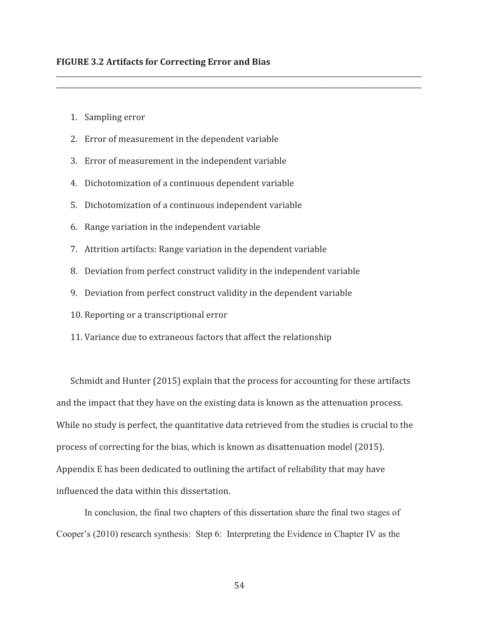- 1. Sampling error
- 2. Error of measurement in the dependent variable
- 3. Error of measurement in the independent variable
- 4. Dichotomization of a continuous dependent variable
- 5. Dichotomization of a continuous independent variable
- 6. Range variation in the independent variable
- 7. Attrition artifacts: Range variation in the dependent variable
- 8. Deviation from perfect construct validity in the independent variable

\_\_\_\_\_\_\_\_\_\_\_\_\_\_\_\_\_\_\_\_\_\_\_\_\_\_\_\_\_\_\_\_\_\_\_\_\_\_\_\_\_\_\_\_\_\_\_\_\_\_\_\_\_\_\_\_\_\_\_\_\_\_\_\_\_\_\_\_\_\_\_\_\_\_\_\_\_\_\_\_\_\_\_\_\_\_\_\_\_\_\_\_\_\_\_\_\_\_\_\_\_\_\_\_\_ \_\_\_\_\_\_\_\_\_\_\_\_\_\_\_\_\_\_\_\_\_\_\_\_\_\_\_\_\_\_\_\_\_\_\_\_\_\_\_\_\_\_\_\_\_\_\_\_\_\_\_\_\_\_\_\_\_\_\_\_\_\_\_\_\_\_\_\_\_\_\_\_\_\_\_\_\_\_\_\_\_\_\_\_\_\_\_\_\_\_\_\_\_\_\_\_\_\_\_\_\_\_\_\_\_

- 9. Deviation from perfect construct validity in the dependent variable
- 10. Reporting or a transcriptional error
- 11. Variance due to extraneous factors that affect the relationship

Schmidt and Hunter (2015) explain that the process for accounting for these artifacts and the impact that they have on the existing data is known as the attenuation process. While no study is perfect, the quantitative data retrieved from the studies is crucial to the process of correcting for the bias, which is known as disattenuation model (2015). Appendix E has been dedicated to outlining the artifact of reliability that may have influenced the data within this dissertation.

In conclusion, the final two chapters of this dissertation share the final two stages of Cooper's (2010) research synthesis: Step 6: Interpreting the Evidence in Chapter IV as the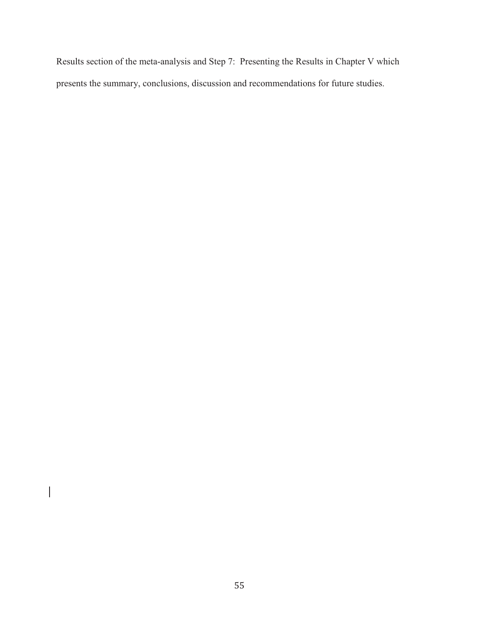Results section of the meta-analysis and Step 7: Presenting the Results in Chapter V which presents the summary, conclusions, discussion and recommendations for future studies.

 $\begin{array}{c} \hline \end{array}$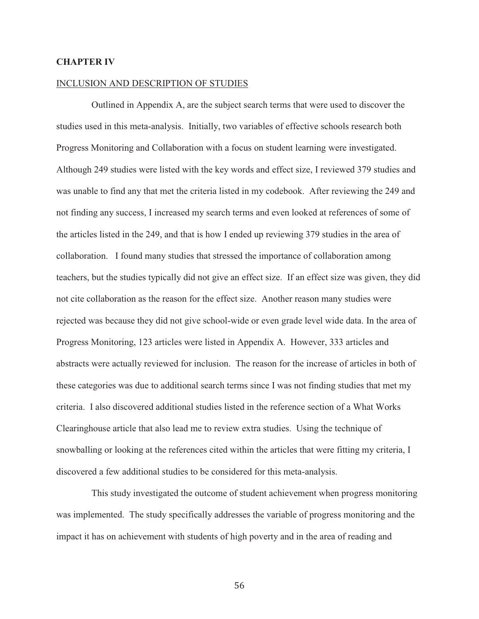# **CHAPTER IV**

#### INCLUSION AND DESCRIPTION OF STUDIES

 Outlined in Appendix A, are the subject search terms that were used to discover the studies used in this meta-analysis. Initially, two variables of effective schools research both Progress Monitoring and Collaboration with a focus on student learning were investigated. Although 249 studies were listed with the key words and effect size, I reviewed 379 studies and was unable to find any that met the criteria listed in my codebook. After reviewing the 249 and not finding any success, I increased my search terms and even looked at references of some of the articles listed in the 249, and that is how I ended up reviewing 379 studies in the area of collaboration. I found many studies that stressed the importance of collaboration among teachers, but the studies typically did not give an effect size. If an effect size was given, they did not cite collaboration as the reason for the effect size. Another reason many studies were rejected was because they did not give school-wide or even grade level wide data. In the area of Progress Monitoring, 123 articles were listed in Appendix A. However, 333 articles and abstracts were actually reviewed for inclusion. The reason for the increase of articles in both of these categories was due to additional search terms since I was not finding studies that met my criteria. I also discovered additional studies listed in the reference section of a What Works Clearinghouse article that also lead me to review extra studies. Using the technique of snowballing or looking at the references cited within the articles that were fitting my criteria, I discovered a few additional studies to be considered for this meta-analysis.

 This study investigated the outcome of student achievement when progress monitoring was implemented. The study specifically addresses the variable of progress monitoring and the impact it has on achievement with students of high poverty and in the area of reading and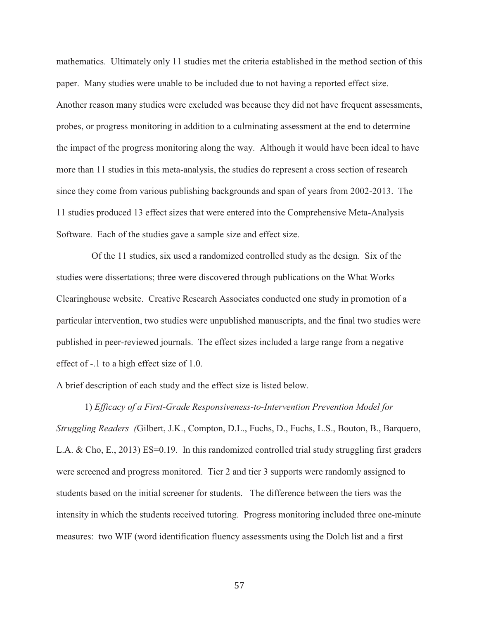mathematics. Ultimately only 11 studies met the criteria established in the method section of this paper. Many studies were unable to be included due to not having a reported effect size. Another reason many studies were excluded was because they did not have frequent assessments, probes, or progress monitoring in addition to a culminating assessment at the end to determine the impact of the progress monitoring along the way. Although it would have been ideal to have more than 11 studies in this meta-analysis, the studies do represent a cross section of research since they come from various publishing backgrounds and span of years from 2002-2013. The 11 studies produced 13 effect sizes that were entered into the Comprehensive Meta-Analysis Software. Each of the studies gave a sample size and effect size.

 Of the 11 studies, six used a randomized controlled study as the design. Six of the studies were dissertations; three were discovered through publications on the What Works Clearinghouse website. Creative Research Associates conducted one study in promotion of a particular intervention, two studies were unpublished manuscripts, and the final two studies were published in peer-reviewed journals. The effect sizes included a large range from a negative effect of -.1 to a high effect size of 1.0.

A brief description of each study and the effect size is listed below.

1) *Efficacy of a First-Grade Responsiveness-to-Intervention Prevention Model for Struggling Readers (*Gilbert, J.K., Compton, D.L., Fuchs, D., Fuchs, L.S., Bouton, B., Barquero, L.A. & Cho, E., 2013) ES=0.19. In this randomized controlled trial study struggling first graders were screened and progress monitored. Tier 2 and tier 3 supports were randomly assigned to students based on the initial screener for students. The difference between the tiers was the intensity in which the students received tutoring. Progress monitoring included three one-minute measures: two WIF (word identification fluency assessments using the Dolch list and a first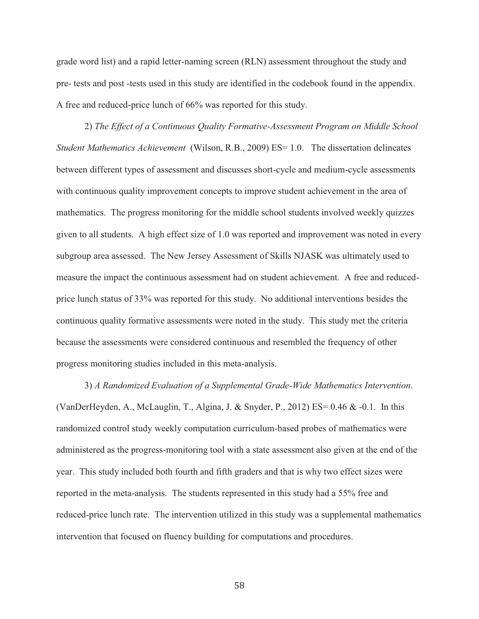grade word list) and a rapid letter-naming screen (RLN) assessment throughout the study and pre- tests and post -tests used in this study are identified in the codebook found in the appendix. A free and reduced-price lunch of 66% was reported for this study.

2) *The Effect of a Continuous Quality Formative-Assessment Program on Middle School Student Mathematics Achievement* (Wilson, R.B., 2009) ES= 1.0. The dissertation delineates between different types of assessment and discusses short-cycle and medium-cycle assessments with continuous quality improvement concepts to improve student achievement in the area of mathematics. The progress monitoring for the middle school students involved weekly quizzes given to all students. A high effect size of 1.0 was reported and improvement was noted in every subgroup area assessed. The New Jersey Assessment of Skills NJASK was ultimately used to measure the impact the continuous assessment had on student achievement. A free and reducedprice lunch status of 33% was reported for this study. No additional interventions besides the continuous quality formative assessments were noted in the study. This study met the criteria because the assessments were considered continuous and resembled the frequency of other progress monitoring studies included in this meta-analysis.

3) *A Randomized Evaluation of a Supplemental Grade-Wide Mathematics Intervention*. (VanDerHeyden, A., McLauglin, T., Algina, J. & Snyder, P., 2012) ES=  $0.46$  &  $-0.1$ . In this randomized control study weekly computation curriculum-based probes of mathematics were administered as the progress-monitoring tool with a state assessment also given at the end of the year. This study included both fourth and fifth graders and that is why two effect sizes were reported in the meta-analysis. The students represented in this study had a 55% free and reduced-price lunch rate. The intervention utilized in this study was a supplemental mathematics intervention that focused on fluency building for computations and procedures.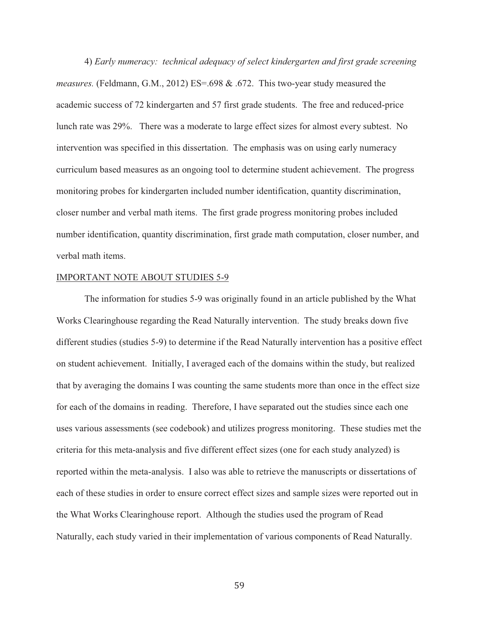4) *Early numeracy: technical adequacy of select kindergarten and first grade screening measures.* (Feldmann, G.M., 2012) ES=.698 & .672. This two-year study measured the academic success of 72 kindergarten and 57 first grade students. The free and reduced-price lunch rate was 29%. There was a moderate to large effect sizes for almost every subtest. No intervention was specified in this dissertation. The emphasis was on using early numeracy curriculum based measures as an ongoing tool to determine student achievement. The progress monitoring probes for kindergarten included number identification, quantity discrimination, closer number and verbal math items. The first grade progress monitoring probes included number identification, quantity discrimination, first grade math computation, closer number, and verbal math items.

#### IMPORTANT NOTE ABOUT STUDIES 5-9

The information for studies 5-9 was originally found in an article published by the What Works Clearinghouse regarding the Read Naturally intervention. The study breaks down five different studies (studies 5-9) to determine if the Read Naturally intervention has a positive effect on student achievement. Initially, I averaged each of the domains within the study, but realized that by averaging the domains I was counting the same students more than once in the effect size for each of the domains in reading. Therefore, I have separated out the studies since each one uses various assessments (see codebook) and utilizes progress monitoring. These studies met the criteria for this meta-analysis and five different effect sizes (one for each study analyzed) is reported within the meta-analysis. I also was able to retrieve the manuscripts or dissertations of each of these studies in order to ensure correct effect sizes and sample sizes were reported out in the What Works Clearinghouse report. Although the studies used the program of Read Naturally, each study varied in their implementation of various components of Read Naturally.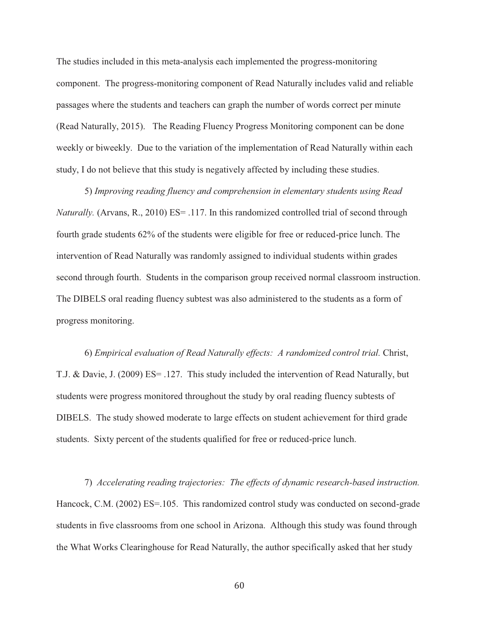The studies included in this meta-analysis each implemented the progress-monitoring component. The progress-monitoring component of Read Naturally includes valid and reliable passages where the students and teachers can graph the number of words correct per minute (Read Naturally, 2015). The Reading Fluency Progress Monitoring component can be done weekly or biweekly. Due to the variation of the implementation of Read Naturally within each study, I do not believe that this study is negatively affected by including these studies.

5) *Improving reading fluency and comprehension in elementary students using Read Naturally.* (Arvans, R., 2010) ES= .117. In this randomized controlled trial of second through fourth grade students 62% of the students were eligible for free or reduced-price lunch. The intervention of Read Naturally was randomly assigned to individual students within grades second through fourth. Students in the comparison group received normal classroom instruction. The DIBELS oral reading fluency subtest was also administered to the students as a form of progress monitoring.

 6) *Empirical evaluation of Read Naturally effects: A randomized control trial.* Christ, T.J. & Davie, J. (2009) ES= .127. This study included the intervention of Read Naturally, but students were progress monitored throughout the study by oral reading fluency subtests of DIBELS. The study showed moderate to large effects on student achievement for third grade students. Sixty percent of the students qualified for free or reduced-price lunch.

7) *Accelerating reading trajectories: The effects of dynamic research-based instruction.*  Hancock, C.M. (2002) ES=.105. This randomized control study was conducted on second-grade students in five classrooms from one school in Arizona. Although this study was found through the What Works Clearinghouse for Read Naturally, the author specifically asked that her study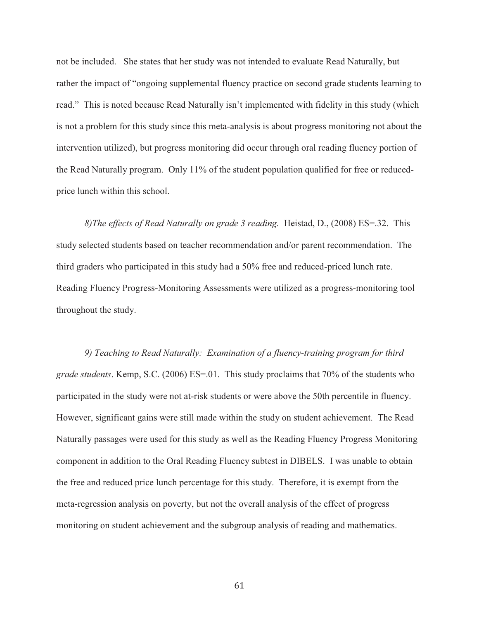not be included. She states that her study was not intended to evaluate Read Naturally, but rather the impact of "ongoing supplemental fluency practice on second grade students learning to read." This is noted because Read Naturally isn't implemented with fidelity in this study (which is not a problem for this study since this meta-analysis is about progress monitoring not about the intervention utilized), but progress monitoring did occur through oral reading fluency portion of the Read Naturally program. Only 11% of the student population qualified for free or reducedprice lunch within this school.

*8)The effects of Read Naturally on grade 3 reading.* Heistad, D., (2008) ES=.32. This study selected students based on teacher recommendation and/or parent recommendation. The third graders who participated in this study had a 50% free and reduced-priced lunch rate. Reading Fluency Progress-Monitoring Assessments were utilized as a progress-monitoring tool throughout the study.

*9) Teaching to Read Naturally: Examination of a fluency-training program for third grade students*. Kemp, S.C. (2006) ES=.01. This study proclaims that 70% of the students who participated in the study were not at-risk students or were above the 50th percentile in fluency. However, significant gains were still made within the study on student achievement. The Read Naturally passages were used for this study as well as the Reading Fluency Progress Monitoring component in addition to the Oral Reading Fluency subtest in DIBELS. I was unable to obtain the free and reduced price lunch percentage for this study. Therefore, it is exempt from the meta-regression analysis on poverty, but not the overall analysis of the effect of progress monitoring on student achievement and the subgroup analysis of reading and mathematics.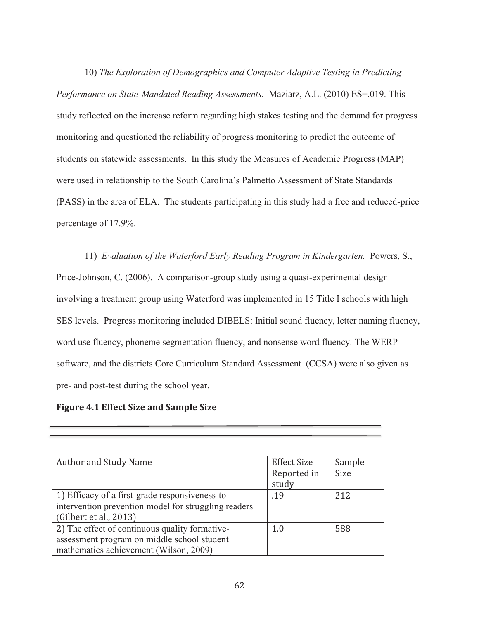10) *The Exploration of Demographics and Computer Adaptive Testing in Predicting Performance on State-Mandated Reading Assessments.* Maziarz, A.L. (2010) ES=.019. This study reflected on the increase reform regarding high stakes testing and the demand for progress monitoring and questioned the reliability of progress monitoring to predict the outcome of students on statewide assessments. In this study the Measures of Academic Progress (MAP) were used in relationship to the South Carolina's Palmetto Assessment of State Standards (PASS) in the area of ELA. The students participating in this study had a free and reduced-price percentage of 17.9%.

11) *Evaluation of the Waterford Early Reading Program in Kindergarten.* Powers, S., Price-Johnson, C. (2006). A comparison-group study using a quasi-experimental design involving a treatment group using Waterford was implemented in 15 Title I schools with high SES levels. Progress monitoring included DIBELS: Initial sound fluency, letter naming fluency, word use fluency, phoneme segmentation fluency, and nonsense word fluency. The WERP software, and the districts Core Curriculum Standard Assessment (CCSA) were also given as pre- and post-test during the school year.

# **Figure 4.1 Effect Size and Sample Size**

Ī

| <b>Author and Study Name</b>                                                                                                            | <b>Effect Size</b><br>Reported in<br>study | Sample<br><b>Size</b> |
|-----------------------------------------------------------------------------------------------------------------------------------------|--------------------------------------------|-----------------------|
| 1) Efficacy of a first-grade responsiveness-to-<br>intervention prevention model for struggling readers<br>(Gilbert et al., 2013)       | .19                                        | 2.12                  |
| 2) The effect of continuous quality formative-<br>assessment program on middle school student<br>mathematics achievement (Wilson, 2009) | 1.0                                        | 588                   |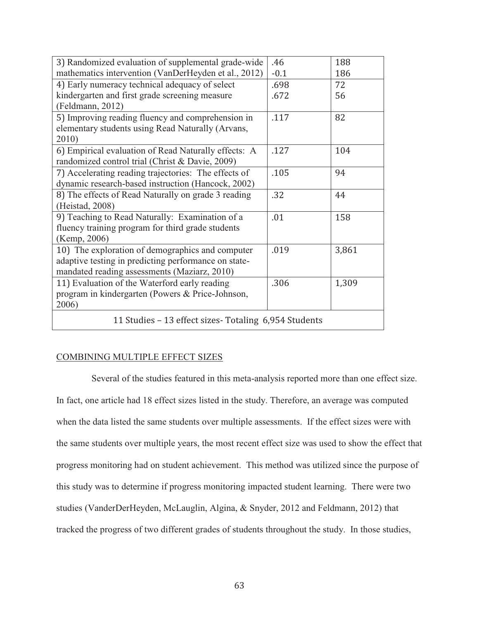| 3) Randomized evaluation of supplemental grade-wide   | .46    | 188   |
|-------------------------------------------------------|--------|-------|
| mathematics intervention (VanDerHeyden et al., 2012)  | $-0.1$ | 186   |
| 4) Early numeracy technical adequacy of select        | .698   | 72    |
| kindergarten and first grade screening measure        | .672   | 56    |
| (Feldmann, 2012)                                      |        |       |
| 5) Improving reading fluency and comprehension in     | .117   | 82    |
| elementary students using Read Naturally (Arvans,     |        |       |
| 2010)                                                 |        |       |
| 6) Empirical evaluation of Read Naturally effects: A  | .127   | 104   |
| randomized control trial (Christ & Davie, 2009)       |        |       |
| 7) Accelerating reading trajectories: The effects of  | .105   | 94    |
| dynamic research-based instruction (Hancock, 2002)    |        |       |
| 8) The effects of Read Naturally on grade 3 reading   | .32    | 44    |
| (Heistad, 2008)                                       |        |       |
| 9) Teaching to Read Naturally: Examination of a       | .01    | 158   |
| fluency training program for third grade students     |        |       |
| (Kemp, 2006)                                          |        |       |
| 10) The exploration of demographics and computer      | .019   | 3,861 |
| adaptive testing in predicting performance on state-  |        |       |
| mandated reading assessments (Maziarz, 2010)          |        |       |
| 11) Evaluation of the Waterford early reading         | .306   | 1,309 |
| program in kindergarten (Powers & Price-Johnson,      |        |       |
| 2006)                                                 |        |       |
| 11 Studies - 13 effect sizes- Totaling 6,954 Students |        |       |

# COMBINING MULTIPLE EFFECT SIZES

 Several of the studies featured in this meta-analysis reported more than one effect size. In fact, one article had 18 effect sizes listed in the study. Therefore, an average was computed when the data listed the same students over multiple assessments. If the effect sizes were with the same students over multiple years, the most recent effect size was used to show the effect that progress monitoring had on student achievement. This method was utilized since the purpose of this study was to determine if progress monitoring impacted student learning. There were two studies (VanderDerHeyden, McLauglin, Algina, & Snyder, 2012 and Feldmann, 2012) that tracked the progress of two different grades of students throughout the study. In those studies,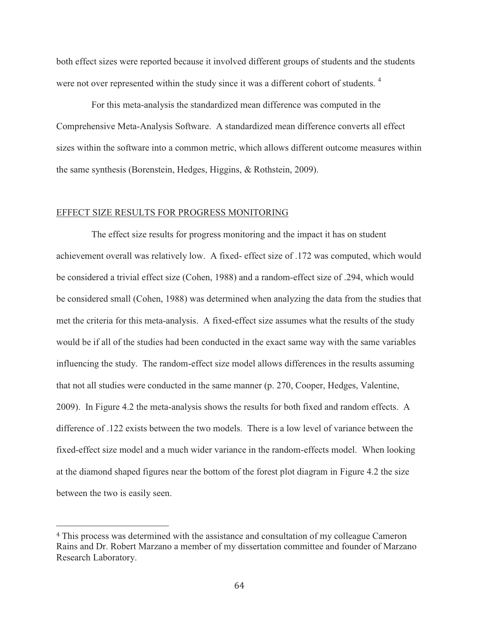both effect sizes were reported because it involved different groups of students and the students were not over represented within the study since it was a different cohort of students.<sup>4</sup>

 For this meta-analysis the standardized mean difference was computed in the Comprehensive Meta-Analysis Software. A standardized mean difference converts all effect sizes within the software into a common metric, which allows different outcome measures within the same synthesis (Borenstein, Hedges, Higgins, & Rothstein, 2009).

## EFFECT SIZE RESULTS FOR PROGRESS MONITORING

 $\overline{a}$ 

 The effect size results for progress monitoring and the impact it has on student achievement overall was relatively low. A fixed- effect size of .172 was computed, which would be considered a trivial effect size (Cohen, 1988) and a random-effect size of .294, which would be considered small (Cohen, 1988) was determined when analyzing the data from the studies that met the criteria for this meta-analysis. A fixed-effect size assumes what the results of the study would be if all of the studies had been conducted in the exact same way with the same variables influencing the study. The random-effect size model allows differences in the results assuming that not all studies were conducted in the same manner (p. 270, Cooper, Hedges, Valentine, 2009). In Figure 4.2 the meta-analysis shows the results for both fixed and random effects. A difference of .122 exists between the two models. There is a low level of variance between the fixed-effect size model and a much wider variance in the random-effects model. When looking at the diamond shaped figures near the bottom of the forest plot diagram in Figure 4.2 the size between the two is easily seen.

<sup>4</sup> This process was determined with the assistance and consultation of my colleague Cameron Rains and Dr. Robert Marzano a member of my dissertation committee and founder of Marzano Research Laboratory.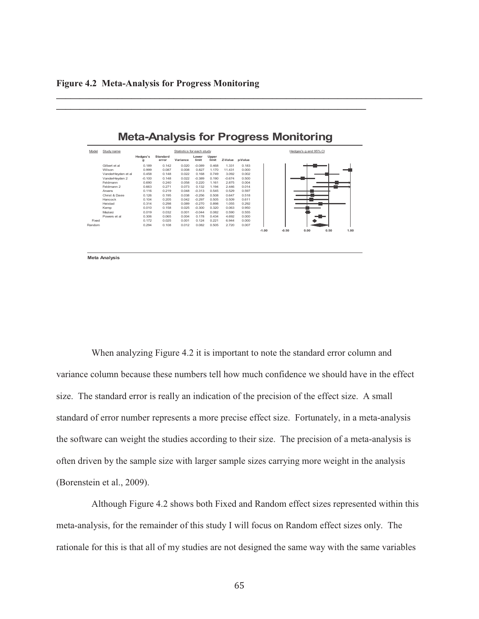|        |                    |               |                   |                           |                |                |                 |       |         |         | <b>Meta-Analysis for Progress Monitoring</b> |      |      |
|--------|--------------------|---------------|-------------------|---------------------------|----------------|----------------|-----------------|-------|---------|---------|----------------------------------------------|------|------|
| Model  | Study name         |               |                   | Statistics for each study |                |                |                 |       |         |         | Hedges's g and 95% CI                        |      |      |
|        |                    | Hedges's<br>я | Standard<br>error | Variance                  | Lower<br>limit | Upper<br>limit | Z-Value p-Value |       |         |         |                                              |      |      |
|        | Gilbert et al.     | 0.189         | 0.142             | 0.020                     | $-0.089$       | 0.468          | 1.331           | 0.183 |         |         |                                              |      |      |
|        | Wilson             | 0.999         | 0.087             | 0.008                     | 0.827          | 1.170          | 11 4 3 1        | 0.000 |         |         |                                              |      |      |
|        | VanderHevden et al | 0.458         | 0.148             | 0.022                     | 0.168          | 0.749          | 3.092           | 0.002 |         |         |                                              |      |      |
|        | VanderHevden 2     | $-0.100$      | 0.148             | 0.022                     | $-0.389$       | 0.190          | $-0.674$        | 0.500 |         |         |                                              |      |      |
|        | Feldmann           | 0.690         | 0.240             | 0.058                     | 0.220          | 1.161          | 2.875           | 0.004 |         |         |                                              |      |      |
|        | Feldmann 2         | 0.663         | 0.271             | 0.073                     | 0.132          | 1 1 9 4        | 2446            | 0.014 |         |         |                                              |      |      |
|        | Arvans             | 0.116         | 0.219             | 0.048                     | $-0.313$       | 0.545          | 0.529           | 0.597 |         |         |                                              |      |      |
|        | Christ & Davie     | 0.126         | 0.195             | 0.038                     | $-0.256$       | 0.508          | 0.647           | 0.518 |         |         |                                              |      |      |
|        | Hancock            | 0.104         | 0.205             | 0.042                     | $-0.297$       | 0.505          | 0.509           | 0.611 |         |         |                                              |      |      |
|        | Heistad            | 0.314         | 0.298             | 0.089                     | $-0.270$       | 0.898          | 1.055           | 0.292 |         |         |                                              |      |      |
|        | Kemp               | 0.010         | 0.158             | 0.025                     | $-0.300$       | 0.320          | 0.063           | 0.950 |         |         |                                              |      |      |
|        | Maziarz            | 0.019         | 0.032             | 0.001                     | $-0.044$       | 0.082          | 0.590           | 0.555 |         |         |                                              |      |      |
|        | Powers et al.      | 0.306         | 0.065             | 0.004                     | 0.178          | 0.434          | 4.692           | 0.000 |         |         |                                              |      |      |
| Fixed  |                    | 0.172         | 0.025             | 0.001                     | 0.124          | 0.221          | 6.944           | 0.000 |         |         |                                              |      |      |
| Random |                    | 0.294         | 0.108             | 0.012                     | 0.082          | 0.505          | 2.720           | 0.007 |         |         |                                              |      |      |
|        |                    |               |                   |                           |                |                |                 |       | $-1.00$ | $-0.50$ | 0.00                                         | 0.50 | 1.00 |

**\_\_\_\_\_\_\_\_\_\_\_\_\_\_\_\_\_\_\_\_\_\_\_\_\_\_\_\_\_\_\_\_\_\_\_\_\_\_\_\_\_\_\_\_\_\_\_\_\_\_\_\_\_\_\_\_\_\_\_\_\_\_\_\_\_\_** 

**\_\_\_\_\_\_\_\_\_\_\_\_\_\_\_\_\_\_\_\_\_\_\_\_\_\_\_\_\_\_\_\_\_\_\_\_\_\_\_\_\_\_\_\_\_\_\_\_\_\_\_\_\_\_\_\_\_\_\_\_\_\_\_\_\_\_\_\_\_\_\_\_\_\_\_\_\_\_**

**Meta Analysis**

 When analyzing Figure 4.2 it is important to note the standard error column and variance column because these numbers tell how much confidence we should have in the effect size. The standard error is really an indication of the precision of the effect size. A small standard of error number represents a more precise effect size. Fortunately, in a meta-analysis the software can weight the studies according to their size. The precision of a meta-analysis is often driven by the sample size with larger sample sizes carrying more weight in the analysis (Borenstein et al., 2009).

 Although Figure 4.2 shows both Fixed and Random effect sizes represented within this meta-analysis, for the remainder of this study I will focus on Random effect sizes only. The rationale for this is that all of my studies are not designed the same way with the same variables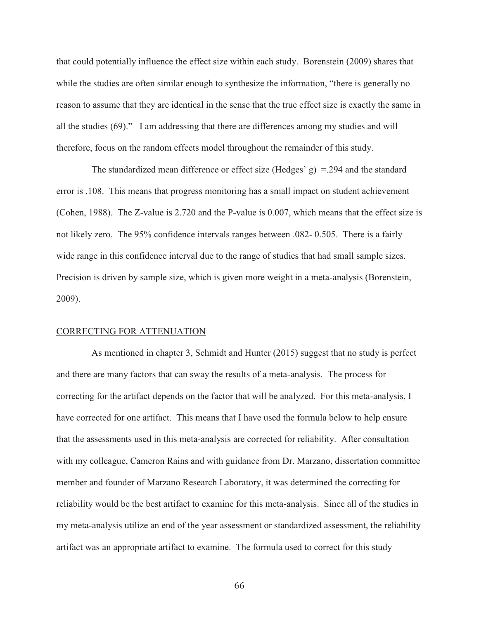that could potentially influence the effect size within each study. Borenstein (2009) shares that while the studies are often similar enough to synthesize the information, "there is generally no reason to assume that they are identical in the sense that the true effect size is exactly the same in all the studies (69)." I am addressing that there are differences among my studies and will therefore, focus on the random effects model throughout the remainder of this study.

The standardized mean difference or effect size (Hedges'  $g$ ) = .294 and the standard error is .108. This means that progress monitoring has a small impact on student achievement (Cohen, 1988). The Z-value is 2.720 and the P-value is 0.007, which means that the effect size is not likely zero. The 95% confidence intervals ranges between .082- 0.505. There is a fairly wide range in this confidence interval due to the range of studies that had small sample sizes. Precision is driven by sample size, which is given more weight in a meta-analysis (Borenstein, 2009).

### CORRECTING FOR ATTENUATION

 As mentioned in chapter 3, Schmidt and Hunter (2015) suggest that no study is perfect and there are many factors that can sway the results of a meta-analysis. The process for correcting for the artifact depends on the factor that will be analyzed. For this meta-analysis, I have corrected for one artifact. This means that I have used the formula below to help ensure that the assessments used in this meta-analysis are corrected for reliability. After consultation with my colleague, Cameron Rains and with guidance from Dr. Marzano, dissertation committee member and founder of Marzano Research Laboratory, it was determined the correcting for reliability would be the best artifact to examine for this meta-analysis. Since all of the studies in my meta-analysis utilize an end of the year assessment or standardized assessment, the reliability artifact was an appropriate artifact to examine. The formula used to correct for this study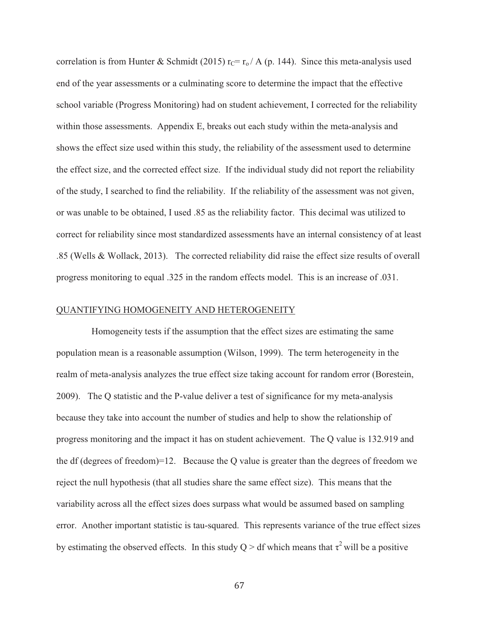correlation is from Hunter & Schmidt (2015)  $r_c = r_o / A$  (p. 144). Since this meta-analysis used end of the year assessments or a culminating score to determine the impact that the effective school variable (Progress Monitoring) had on student achievement, I corrected for the reliability within those assessments. Appendix E, breaks out each study within the meta-analysis and shows the effect size used within this study, the reliability of the assessment used to determine the effect size, and the corrected effect size. If the individual study did not report the reliability of the study, I searched to find the reliability. If the reliability of the assessment was not given, or was unable to be obtained, I used .85 as the reliability factor. This decimal was utilized to correct for reliability since most standardized assessments have an internal consistency of at least .85 (Wells & Wollack, 2013). The corrected reliability did raise the effect size results of overall progress monitoring to equal .325 in the random effects model. This is an increase of .031.

## QUANTIFYING HOMOGENEITY AND HETEROGENEITY

 Homogeneity tests if the assumption that the effect sizes are estimating the same population mean is a reasonable assumption (Wilson, 1999). The term heterogeneity in the realm of meta-analysis analyzes the true effect size taking account for random error (Borestein, 2009). The Q statistic and the P-value deliver a test of significance for my meta-analysis because they take into account the number of studies and help to show the relationship of progress monitoring and the impact it has on student achievement. The Q value is 132.919 and the df (degrees of freedom)=12. Because the Q value is greater than the degrees of freedom we reject the null hypothesis (that all studies share the same effect size). This means that the variability across all the effect sizes does surpass what would be assumed based on sampling error. Another important statistic is tau-squared. This represents variance of the true effect sizes by estimating the observed effects. In this study  $Q > df$  which means that  $\tau^2$  will be a positive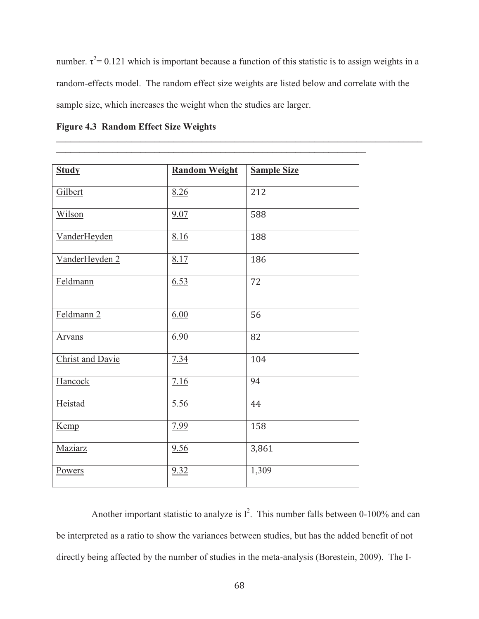number.  $\tau^2$  = 0.121 which is important because a function of this statistic is to assign weights in a random-effects model. The random effect size weights are listed below and correlate with the sample size, which increases the weight when the studies are larger.

**\_\_\_\_\_\_\_\_\_\_\_\_\_\_\_\_\_\_\_\_\_\_\_\_\_\_\_\_\_\_\_\_\_\_\_\_\_\_\_\_\_\_\_\_\_\_\_\_\_\_\_\_\_\_\_\_\_\_\_\_\_\_\_\_\_\_\_\_\_\_\_\_\_\_\_\_\_\_**

**\_\_\_\_\_\_\_\_\_\_\_\_\_\_\_\_\_\_\_\_\_\_\_\_\_\_\_\_\_\_\_\_\_\_\_\_\_\_\_\_\_\_\_\_\_\_\_\_\_\_\_\_\_\_\_\_\_\_\_\_\_\_\_\_\_\_** 

| <b>Study</b>            | <b>Random Weight</b> | <b>Sample Size</b> |
|-------------------------|----------------------|--------------------|
| Gilbert                 | 8.26                 | 212                |
| Wilson                  | 9.07                 | 588                |
| VanderHeyden            | 8.16                 | 188                |
| VanderHeyden 2          | 8.17                 | 186                |
| Feldmann                | 6.53                 | 72                 |
| Feldmann <sub>2</sub>   | 6.00                 | 56                 |
| <b>Arvans</b>           | 6.90                 | 82                 |
| <b>Christ and Davie</b> | 7.34                 | 104                |
| Hancock                 | 7.16                 | 94                 |
| Heistad                 | 5.56                 | 44                 |
| Kemp                    | 7.99                 | 158                |
| Maziarz                 | 9.56                 | 3,861              |
| Powers                  | 9.32                 | 1,309              |

Another important statistic to analyze is  $I^2$ . This number falls between 0-100% and can be interpreted as a ratio to show the variances between studies, but has the added benefit of not directly being affected by the number of studies in the meta-analysis (Borestein, 2009). The I-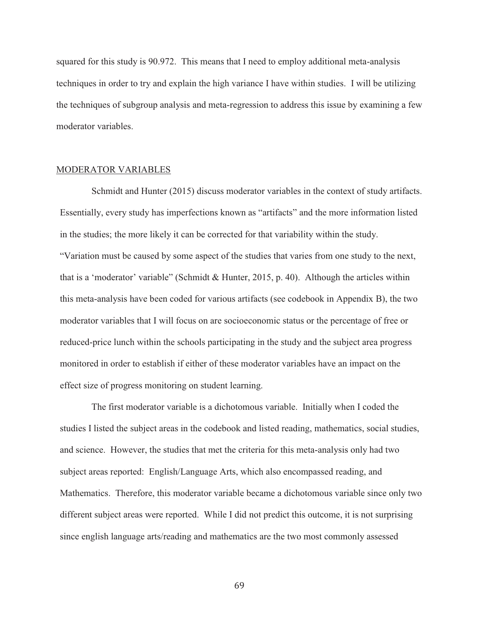squared for this study is 90.972. This means that I need to employ additional meta-analysis techniques in order to try and explain the high variance I have within studies. I will be utilizing the techniques of subgroup analysis and meta-regression to address this issue by examining a few moderator variables.

### MODERATOR VARIABLES

 Schmidt and Hunter (2015) discuss moderator variables in the context of study artifacts. Essentially, every study has imperfections known as "artifacts" and the more information listed in the studies; the more likely it can be corrected for that variability within the study. "Variation must be caused by some aspect of the studies that varies from one study to the next, that is a 'moderator' variable" (Schmidt & Hunter, 2015, p. 40). Although the articles within this meta-analysis have been coded for various artifacts (see codebook in Appendix B), the two moderator variables that I will focus on are socioeconomic status or the percentage of free or reduced-price lunch within the schools participating in the study and the subject area progress monitored in order to establish if either of these moderator variables have an impact on the effect size of progress monitoring on student learning.

 The first moderator variable is a dichotomous variable. Initially when I coded the studies I listed the subject areas in the codebook and listed reading, mathematics, social studies, and science. However, the studies that met the criteria for this meta-analysis only had two subject areas reported: English/Language Arts, which also encompassed reading, and Mathematics. Therefore, this moderator variable became a dichotomous variable since only two different subject areas were reported. While I did not predict this outcome, it is not surprising since english language arts/reading and mathematics are the two most commonly assessed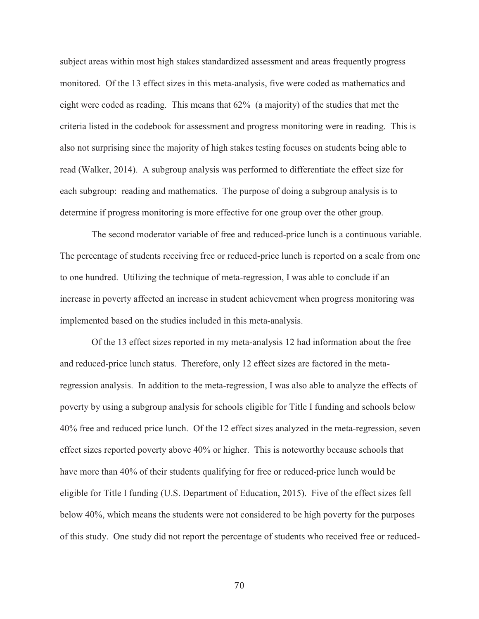subject areas within most high stakes standardized assessment and areas frequently progress monitored. Of the 13 effect sizes in this meta-analysis, five were coded as mathematics and eight were coded as reading. This means that 62% (a majority) of the studies that met the criteria listed in the codebook for assessment and progress monitoring were in reading. This is also not surprising since the majority of high stakes testing focuses on students being able to read (Walker, 2014). A subgroup analysis was performed to differentiate the effect size for each subgroup: reading and mathematics. The purpose of doing a subgroup analysis is to determine if progress monitoring is more effective for one group over the other group.

 The second moderator variable of free and reduced-price lunch is a continuous variable. The percentage of students receiving free or reduced-price lunch is reported on a scale from one to one hundred. Utilizing the technique of meta-regression, I was able to conclude if an increase in poverty affected an increase in student achievement when progress monitoring was implemented based on the studies included in this meta-analysis.

 Of the 13 effect sizes reported in my meta-analysis 12 had information about the free and reduced-price lunch status. Therefore, only 12 effect sizes are factored in the metaregression analysis. In addition to the meta-regression, I was also able to analyze the effects of poverty by using a subgroup analysis for schools eligible for Title I funding and schools below 40% free and reduced price lunch. Of the 12 effect sizes analyzed in the meta-regression, seven effect sizes reported poverty above 40% or higher. This is noteworthy because schools that have more than 40% of their students qualifying for free or reduced-price lunch would be eligible for Title I funding (U.S. Department of Education, 2015). Five of the effect sizes fell below 40%, which means the students were not considered to be high poverty for the purposes of this study. One study did not report the percentage of students who received free or reduced-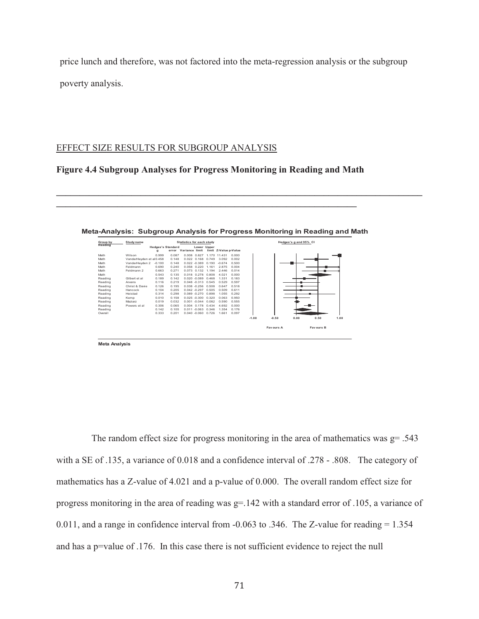price lunch and therefore, was not factored into the meta-regression analysis or the subgroup poverty analysis.

## EFFECT SIZE RESULTS FOR SUBGROUP ANALYSIS

## **Figure 4.4 Subgroup Analyses for Progress Monitoring in Reading and Math**

**\_\_\_\_\_\_\_\_\_\_\_\_\_\_\_\_\_\_\_\_\_\_\_\_\_\_\_\_\_\_\_\_\_\_\_\_\_\_\_\_\_\_\_\_\_\_\_\_\_\_\_\_\_\_\_\_\_\_\_\_\_\_\_\_** 

| Group by | Study name              |                               |       | <b>Statistics for each study</b> |             |                       |       | Hedges's g and 95% CI |           |      |                  |      |  |  |
|----------|-------------------------|-------------------------------|-------|----------------------------------|-------------|-----------------------|-------|-----------------------|-----------|------|------------------|------|--|--|
| Reading  |                         | <b>Hedges's Standard</b><br>a | error | Variance limit                   | Lower Upper | limit Z-Value p-Value |       |                       |           |      |                  |      |  |  |
| Math     | Wilson                  | 0.999                         | 0.087 | 0.008 0.827                      |             | 1.170 11.431          | 0.000 |                       |           |      |                  |      |  |  |
| Math     | VanderHevden et al0.458 |                               | 0.148 | $0.022$ $0.168$                  | 0.749       | 3.092                 | 0.002 |                       |           |      |                  |      |  |  |
| Math     | VanderHevden 2          | $-0.100$                      | 0.148 | $0.022 - 0.389$                  | 0.190       | $-0.674$              | 0.500 |                       |           |      |                  |      |  |  |
| Math     | Feldmann                | 0.690                         | 0.240 | 0.058 0.220                      | 1.161       | 2.875                 | 0.004 |                       |           |      |                  |      |  |  |
| Math     | Feldmann 2              | 0.663                         | 0.271 | 0.073 0.132                      | 1.194       | 2.446                 | 0.014 |                       |           |      |                  |      |  |  |
| Math     |                         | 0.543                         | 0.135 | 0.018 0.278                      | 0.808       | 4.021                 | 0.000 |                       |           |      |                  |      |  |  |
| Reading  | Gilbert et al           | 0.189                         | 0.142 | $0.020 - 0.089$                  | 0468        | 1.331                 | 0.183 |                       |           |      |                  |      |  |  |
| Reading  | Arvans                  | 0 116                         | 0.219 | $0.048 - 0.313$                  | 0.545       | 0.529                 | 0.597 |                       |           |      |                  |      |  |  |
| Reading  | Christ & Davie          | 0.126                         | 0.195 | $0.038 - 0.256$                  | 0.508       | 0.647                 | 0.518 |                       |           |      |                  |      |  |  |
| Reading  | Hancock                 | 0.104                         | 0.205 | $0.042 - 0.297$                  | 0.505       | 0.509                 | 0.611 |                       |           |      |                  |      |  |  |
| Reading  | Heistad                 | 0.314                         | 0.298 | $0.089 - 0.270$                  | 0.898       | 1.055                 | 0.292 |                       |           |      |                  |      |  |  |
| Reading  | Kemp                    | 0.010                         | 0.158 | $0.025 - 0.300$                  | 0.320       | 0.063                 | 0.950 |                       |           |      |                  |      |  |  |
| Reading  | Maziarz                 | 0.019                         | 0.032 | $0.001 - 0.044$                  | 0.082       | 0.590                 | 0.555 |                       |           |      |                  |      |  |  |
| Reading  | Powers et al            | 0.306                         | 0.065 | 0.004 0.178                      | 0.434       | 4 692                 | 0.000 |                       |           |      |                  |      |  |  |
| Reading  |                         | 0.142                         | 0.105 | $0.011 - 0.063$                  | 0.346       | 1.354                 | 0.176 |                       |           |      |                  |      |  |  |
| Overall  |                         | 0.333                         | 0.201 | $0.040 - 0.060$                  | 0.726       | 1.661                 | 0.097 |                       |           |      |                  |      |  |  |
|          |                         |                               |       |                                  |             |                       |       | $-1.00$               | $-0.50$   | 0.00 | 0.50             | 1.00 |  |  |
|          |                         |                               |       |                                  |             |                       |       |                       | Favours A |      | <b>Favours B</b> |      |  |  |

|  |  |  |  |  | Meta-Analysis: Subgroup Analysis for Progress Monitoring in Reading and Math |
|--|--|--|--|--|------------------------------------------------------------------------------|
|--|--|--|--|--|------------------------------------------------------------------------------|

**\_\_\_\_\_\_\_\_\_\_\_\_\_\_\_\_\_\_\_\_\_\_\_\_\_\_\_\_\_\_\_\_\_\_\_\_\_\_\_\_\_\_\_\_\_\_\_\_\_\_\_\_\_\_\_\_\_\_\_\_\_\_\_\_\_\_\_\_\_\_\_\_\_\_\_\_\_\_**

**Meta Analysis**

The random effect size for progress monitoring in the area of mathematics was  $g = .543$ with a SE of .135, a variance of 0.018 and a confidence interval of .278 - .808. The category of mathematics has a Z-value of 4.021 and a p-value of 0.000. The overall random effect size for progress monitoring in the area of reading was g=.142 with a standard error of .105, a variance of 0.011, and a range in confidence interval from -0.063 to .346. The Z-value for reading = 1.354 and has a p=value of .176. In this case there is not sufficient evidence to reject the null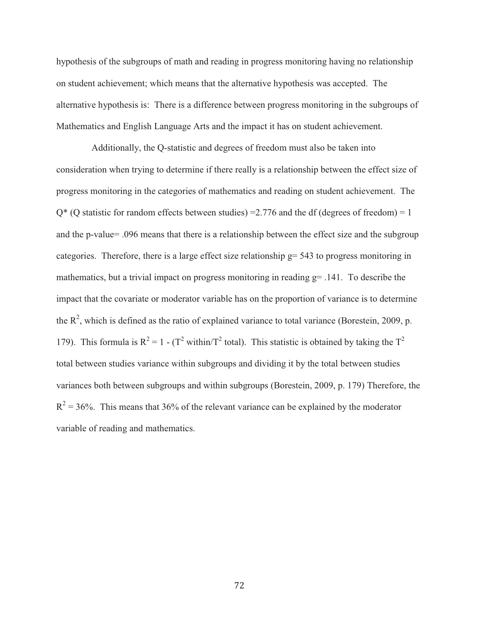hypothesis of the subgroups of math and reading in progress monitoring having no relationship on student achievement; which means that the alternative hypothesis was accepted. The alternative hypothesis is: There is a difference between progress monitoring in the subgroups of Mathematics and English Language Arts and the impact it has on student achievement.

 Additionally, the Q-statistic and degrees of freedom must also be taken into consideration when trying to determine if there really is a relationship between the effect size of progress monitoring in the categories of mathematics and reading on student achievement. The  $Q^*$  (Q statistic for random effects between studies) = 2.776 and the df (degrees of freedom) = 1 and the p-value= .096 means that there is a relationship between the effect size and the subgroup categories. Therefore, there is a large effect size relationship g= 543 to progress monitoring in mathematics, but a trivial impact on progress monitoring in reading  $g=$  .141. To describe the impact that the covariate or moderator variable has on the proportion of variance is to determine the  $R^2$ , which is defined as the ratio of explained variance to total variance (Borestein, 2009, p. 179). This formula is  $R^2 = 1 - (T^2 \text{ within} / T^2 \text{ total})$ . This statistic is obtained by taking the  $T^2$ total between studies variance within subgroups and dividing it by the total between studies variances both between subgroups and within subgroups (Borestein, 2009, p. 179) Therefore, the  $R^2 = 36\%$ . This means that 36% of the relevant variance can be explained by the moderator variable of reading and mathematics.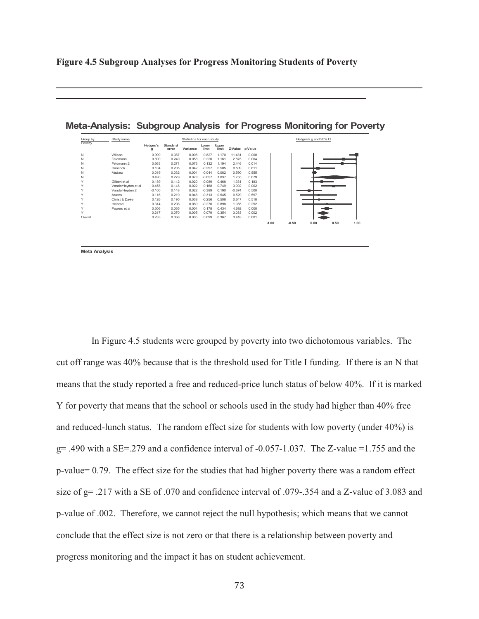**Figure 4.5 Subgroup Analyses for Progress Monitoring Students of Poverty** 

 $\mathcal{L}_\mathcal{L} = \mathcal{L}_\mathcal{L} = \mathcal{L}_\mathcal{L} = \mathcal{L}_\mathcal{L} = \mathcal{L}_\mathcal{L} = \mathcal{L}_\mathcal{L} = \mathcal{L}_\mathcal{L} = \mathcal{L}_\mathcal{L} = \mathcal{L}_\mathcal{L} = \mathcal{L}_\mathcal{L} = \mathcal{L}_\mathcal{L} = \mathcal{L}_\mathcal{L} = \mathcal{L}_\mathcal{L} = \mathcal{L}_\mathcal{L} = \mathcal{L}_\mathcal{L} = \mathcal{L}_\mathcal{L} = \mathcal{L}_\mathcal{L}$ 

| Group by | Study name         |               |                   | Statistics for each study |                |                |          |         |         |         | Hedges's g and 95% CI |      |      |
|----------|--------------------|---------------|-------------------|---------------------------|----------------|----------------|----------|---------|---------|---------|-----------------------|------|------|
| Poverty  |                    | Hedges's<br>g | Standard<br>error | Variance                  | Lower<br>limit | Upper<br>limit | Z-Value  | p-Value |         |         |                       |      |      |
|          | Wilson             | 0.999         | 0.087             | 0.008                     | 0.827          | 1.170          | 11.431   | 0.000   |         |         |                       |      |      |
|          | Feldmann           | 0.690         | 0.240             | 0.058                     | 0.220          | 1.161          | 2.875    | 0.004   |         |         |                       |      |      |
|          | Feldmann 2         | 0.663         | 0.271             | 0.073                     | 0.132          | 1.194          | 2.446    | 0.014   |         |         |                       |      |      |
|          | Hancock            | 0.104         | 0.205             | 0.042                     | $-0.297$       | 0.505          | 0.509    | 0.611   |         |         |                       |      |      |
|          | Maziarz            | 0.019         | 0.032             | 0.001                     | $-0.044$       | 0.082          | 0.590    | 0.555   |         |         |                       |      |      |
|          |                    | 0.490         | 0.279             | 0.078                     | $-0.057$       | 1.037          | 1.755    | 0.079   |         |         |                       |      |      |
|          | Gilbert et al      | 0.189         | 0.142             | 0.020                     | $-0.089$       | 0.468          | 1.331    | 0.183   |         |         |                       |      |      |
|          | VanderHeyden et al | 0.458         | 0.148             | 0.022                     | 0.168          | 0.749          | 3.092    | 0.002   |         |         |                       |      |      |
|          | VanderHevden 2     | $-0.100$      | 0.148             | 0.022                     | $-0.389$       | 0.190          | $-0.674$ | 0.500   |         |         |                       |      |      |
|          | Arvans             | 0.116         | 0.219             | 0.048                     | $-0.313$       | 0.545          | 0.529    | 0.597   |         |         |                       |      |      |
|          | Christ & Davie     | 0.126         | 0.195             | 0.038                     | $-0.256$       | 0.508          | 0.647    | 0.518   |         |         |                       |      |      |
|          | Heistad            | 0.314         | 0.298             | 0.089                     | $-0.270$       | 0.898          | 1.055    | 0.292   |         |         |                       |      |      |
|          | Powers et al       | 0.306         | 0.065             | 0.004                     | 0.178          | 0.434          | 4.692    | 0.000   |         |         |                       |      |      |
|          |                    | 0.217         | 0.070             | 0.005                     | 0.079          | 0.354          | 3.083    | 0.002   |         |         |                       |      |      |
| Overall  |                    | 0.233         | 0.068             | 0.005                     | 0.099          | 0.367          | 3.418    | 0.001   |         |         |                       |      |      |
|          |                    |               |                   |                           |                |                |          |         | $-1.00$ | $-0.50$ | 0.00                  | 0.50 | 1.00 |

**Meta-Analysis: Subgroup Analysis for Progress Monitoring for Poverty**

\_\_\_\_\_\_\_\_\_\_\_\_\_\_\_\_\_\_\_\_\_\_\_\_\_\_\_\_\_\_\_\_\_\_\_\_\_\_\_\_\_\_\_\_\_\_\_\_\_\_\_\_\_\_\_\_\_\_\_\_\_\_\_\_\_\_\_\_\_\_\_\_\_\_\_\_\_\_

**Meta Analysis**

 In Figure 4.5 students were grouped by poverty into two dichotomous variables. The cut off range was 40% because that is the threshold used for Title I funding. If there is an N that means that the study reported a free and reduced-price lunch status of below 40%. If it is marked Y for poverty that means that the school or schools used in the study had higher than 40% free and reduced-lunch status. The random effect size for students with low poverty (under 40%) is  $g= .490$  with a SE=.279 and a confidence interval of  $-0.057-1.037$ . The Z-value =1.755 and the p-value= 0.79. The effect size for the studies that had higher poverty there was a random effect size of g= .217 with a SE of .070 and confidence interval of .079-.354 and a Z-value of 3.083 and p-value of .002. Therefore, we cannot reject the null hypothesis; which means that we cannot conclude that the effect size is not zero or that there is a relationship between poverty and progress monitoring and the impact it has on student achievement.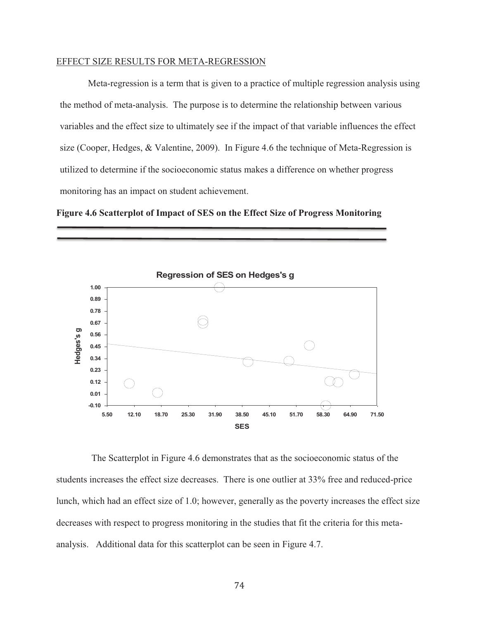### EFFECT SIZE RESULTS FOR META-REGRESSION

Meta-regression is a term that is given to a practice of multiple regression analysis using the method of meta-analysis. The purpose is to determine the relationship between various variables and the effect size to ultimately see if the impact of that variable influences the effect size (Cooper, Hedges, & Valentine, 2009). In Figure 4.6 the technique of Meta-Regression is utilized to determine if the socioeconomic status makes a difference on whether progress monitoring has an impact on student achievement.

**Figure 4.6 Scatterplot of Impact of SES on the Effect Size of Progress Monitoring** 



 The Scatterplot in Figure 4.6 demonstrates that as the socioeconomic status of the students increases the effect size decreases. There is one outlier at 33% free and reduced-price lunch, which had an effect size of 1.0; however, generally as the poverty increases the effect size decreases with respect to progress monitoring in the studies that fit the criteria for this metaanalysis. Additional data for this scatterplot can be seen in Figure 4.7.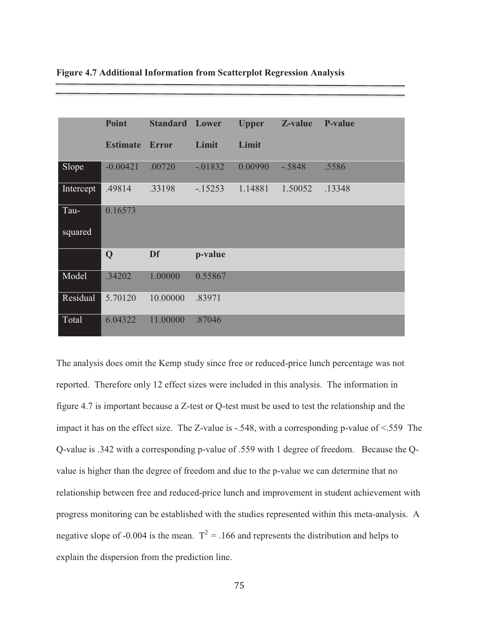|           | <b>Point</b>    | <b>Standard Lower</b> |            | <b>Upper</b> | Z-value  | P-value |
|-----------|-----------------|-----------------------|------------|--------------|----------|---------|
|           |                 |                       |            |              |          |         |
|           | <b>Estimate</b> | <b>Error</b>          | Limit      | Limit        |          |         |
|           |                 |                       |            |              |          |         |
| Slope     | $-0.00421$      | .00720                | $-0.01832$ | 0.00990      | $-.5848$ | .5586   |
| Intercept | .49814          | .33198                | $-15253$   | 1.14881      | 1.50052  | .13348  |
| Tau-      | 0.16573         |                       |            |              |          |         |
| squared   |                 |                       |            |              |          |         |
|           | Q               | Df                    | p-value    |              |          |         |
| Model     | .34202          | 1.00000               | 0.55867    |              |          |         |
| Residual  | 5.70120         | 10.00000              | .83971     |              |          |         |
| Total     | 6.04322         | 11.00000              | .87046     |              |          |         |

**Figure 4.7 Additional Information from Scatterplot Regression Analysis** 

The analysis does omit the Kemp study since free or reduced-price lunch percentage was not reported. Therefore only 12 effect sizes were included in this analysis. The information in figure 4.7 is important because a Z-test or Q-test must be used to test the relationship and the impact it has on the effect size. The Z-value is -.548, with a corresponding p-value of <.559 The Q-value is .342 with a corresponding p-value of .559 with 1 degree of freedom. Because the Qvalue is higher than the degree of freedom and due to the p-value we can determine that no relationship between free and reduced-price lunch and improvement in student achievement with progress monitoring can be established with the studies represented within this meta-analysis. A negative slope of -0.004 is the mean.  $T^2 = 0.166$  and represents the distribution and helps to explain the dispersion from the prediction line.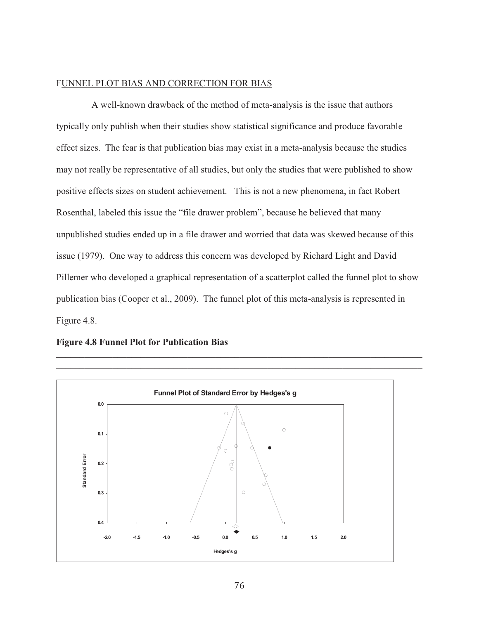## FUNNEL PLOT BIAS AND CORRECTION FOR BIAS

 A well-known drawback of the method of meta-analysis is the issue that authors typically only publish when their studies show statistical significance and produce favorable effect sizes. The fear is that publication bias may exist in a meta-analysis because the studies may not really be representative of all studies, but only the studies that were published to show positive effects sizes on student achievement. This is not a new phenomena, in fact Robert Rosenthal, labeled this issue the "file drawer problem", because he believed that many unpublished studies ended up in a file drawer and worried that data was skewed because of this issue (1979). One way to address this concern was developed by Richard Light and David Pillemer who developed a graphical representation of a scatterplot called the funnel plot to show publication bias (Cooper et al., 2009). The funnel plot of this meta-analysis is represented in Figure 4.8.

 $\mathcal{L}_\mathcal{L} = \mathcal{L}_\mathcal{L} = \mathcal{L}_\mathcal{L} = \mathcal{L}_\mathcal{L} = \mathcal{L}_\mathcal{L} = \mathcal{L}_\mathcal{L} = \mathcal{L}_\mathcal{L} = \mathcal{L}_\mathcal{L} = \mathcal{L}_\mathcal{L} = \mathcal{L}_\mathcal{L} = \mathcal{L}_\mathcal{L} = \mathcal{L}_\mathcal{L} = \mathcal{L}_\mathcal{L} = \mathcal{L}_\mathcal{L} = \mathcal{L}_\mathcal{L} = \mathcal{L}_\mathcal{L} = \mathcal{L}_\mathcal{L}$ 



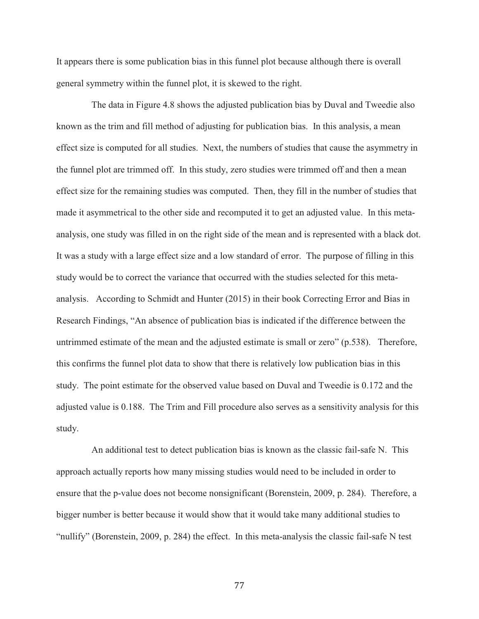It appears there is some publication bias in this funnel plot because although there is overall general symmetry within the funnel plot, it is skewed to the right.

 The data in Figure 4.8 shows the adjusted publication bias by Duval and Tweedie also known as the trim and fill method of adjusting for publication bias. In this analysis, a mean effect size is computed for all studies. Next, the numbers of studies that cause the asymmetry in the funnel plot are trimmed off. In this study, zero studies were trimmed off and then a mean effect size for the remaining studies was computed. Then, they fill in the number of studies that made it asymmetrical to the other side and recomputed it to get an adjusted value. In this metaanalysis, one study was filled in on the right side of the mean and is represented with a black dot. It was a study with a large effect size and a low standard of error. The purpose of filling in this study would be to correct the variance that occurred with the studies selected for this metaanalysis. According to Schmidt and Hunter (2015) in their book Correcting Error and Bias in Research Findings, "An absence of publication bias is indicated if the difference between the untrimmed estimate of the mean and the adjusted estimate is small or zero" (p.538). Therefore, this confirms the funnel plot data to show that there is relatively low publication bias in this study. The point estimate for the observed value based on Duval and Tweedie is 0.172 and the adjusted value is 0.188. The Trim and Fill procedure also serves as a sensitivity analysis for this study.

 An additional test to detect publication bias is known as the classic fail-safe N. This approach actually reports how many missing studies would need to be included in order to ensure that the p-value does not become nonsignificant (Borenstein, 2009, p. 284). Therefore, a bigger number is better because it would show that it would take many additional studies to "nullify" (Borenstein, 2009, p. 284) the effect. In this meta-analysis the classic fail-safe N test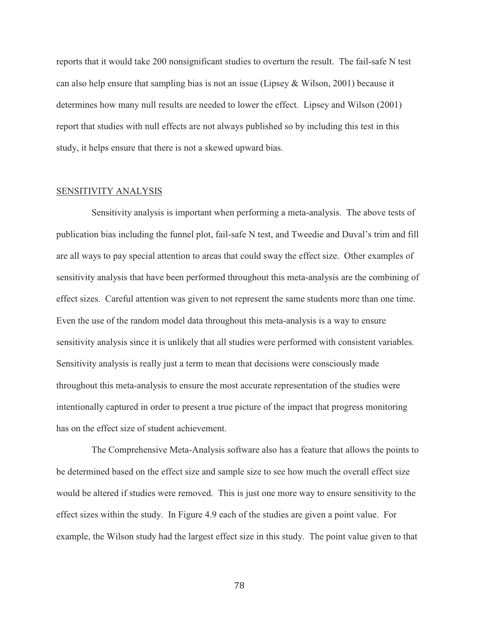reports that it would take 200 nonsignificant studies to overturn the result. The fail-safe N test can also help ensure that sampling bias is not an issue (Lipsey & Wilson, 2001) because it determines how many null results are needed to lower the effect. Lipsey and Wilson (2001) report that studies with null effects are not always published so by including this test in this study, it helps ensure that there is not a skewed upward bias.

### SENSITIVITY ANALYSIS

 Sensitivity analysis is important when performing a meta-analysis. The above tests of publication bias including the funnel plot, fail-safe N test, and Tweedie and Duval's trim and fill are all ways to pay special attention to areas that could sway the effect size. Other examples of sensitivity analysis that have been performed throughout this meta-analysis are the combining of effect sizes. Careful attention was given to not represent the same students more than one time. Even the use of the random model data throughout this meta-analysis is a way to ensure sensitivity analysis since it is unlikely that all studies were performed with consistent variables. Sensitivity analysis is really just a term to mean that decisions were consciously made throughout this meta-analysis to ensure the most accurate representation of the studies were intentionally captured in order to present a true picture of the impact that progress monitoring has on the effect size of student achievement.

 The Comprehensive Meta-Analysis software also has a feature that allows the points to be determined based on the effect size and sample size to see how much the overall effect size would be altered if studies were removed. This is just one more way to ensure sensitivity to the effect sizes within the study. In Figure 4.9 each of the studies are given a point value. For example, the Wilson study had the largest effect size in this study. The point value given to that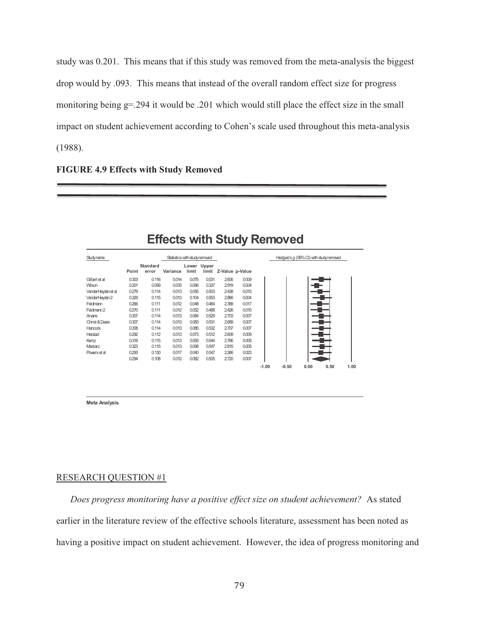study was 0.201. This means that if this study was removed from the meta-analysis the biggest drop would by .093. This means that instead of the overall random effect size for progress monitoring being g=.294 it would be .201 which would still place the effect size in the small impact on student achievement according to Cohen's scale used throughout this meta-analysis (1988).

**FIGURE 4.9 Effects with Study Removed** 

| Studyname             |       |                          |          | Statistics with study removed |       |                 |       |  | Hedges's g (95% CI) with study removed |  |
|-----------------------|-------|--------------------------|----------|-------------------------------|-------|-----------------|-------|--|----------------------------------------|--|
|                       | Point | <b>Standard</b><br>error | Variance | Lower Upper<br>limit          | limit | Z-Value p-Value |       |  |                                        |  |
| Gilbert et al         | 0.303 | 0.116                    | 0.014    | 0.075                         | 0.531 | 2606            | 0.009 |  |                                        |  |
| <b>Wilson</b>         | 0.201 | 0.069                    | 0.005    | 0.066                         | 0.337 | 2.919           | 0.004 |  |                                        |  |
| VanderHeyden et al    | 0.279 | 0.114                    | 0.013    | 0.055                         | 0.503 | 2.438           | 0.015 |  |                                        |  |
| VanderHeyden 2        | 0.329 | 0.115                    | 0.013    | 0.104                         | 0.553 | 2.866           | 0.004 |  |                                        |  |
| Feldmann              | 0.266 | 0.111                    | 0.012    | 0.048                         | 0.484 | 2.389           | 0.017 |  |                                        |  |
| Feldmann <sub>2</sub> | 0.270 | 0.111                    | 0.012    | 0.052                         | 0.488 | 2.426           | 0.015 |  |                                        |  |
| Arvans                | 0.307 | 0.114                    | 0.013    | 0.084                         | 0.529 | 2.703           | 0.007 |  |                                        |  |
| Christ & Davie        | 0.307 | 0.114                    | 0.013    | 0.083                         | 0.531 | 2.689           | 0.007 |  |                                        |  |
| Hancock               | 0.308 | 0.114                    | 0.013    | 0.085                         | 0.532 | 2.707           | 0.007 |  |                                        |  |
| Heistad               | 0.292 | 0.112                    | 0.013    | 0.073                         | 0.512 | 2609            | 0.009 |  |                                        |  |
| Kemp                  | 0.318 | 0.115                    | 0.013    | 0.093                         | 0.544 | 2.766           | 0.006 |  |                                        |  |
| Maziarz               | 0.323 | 0.115                    | 0.013    | 0.098                         | 0.547 | 2.815           | 0.005 |  |                                        |  |
| Povers et al          | 0.293 | 0.130                    | 0.017    | 0.040                         | 0.547 | 2.266           | 0.023 |  |                                        |  |
|                       | 0.294 | 0.108                    | 0.012    | 0.082                         | 0.505 | 2.720           | 0.007 |  |                                        |  |

**Effects with Study Removed**

**Meta Analysis**

### RESEARCH QUESTION #1

*Does progress monitoring have a positive effect size on student achievement?* As stated earlier in the literature review of the effective schools literature, assessment has been noted as having a positive impact on student achievement. However, the idea of progress monitoring and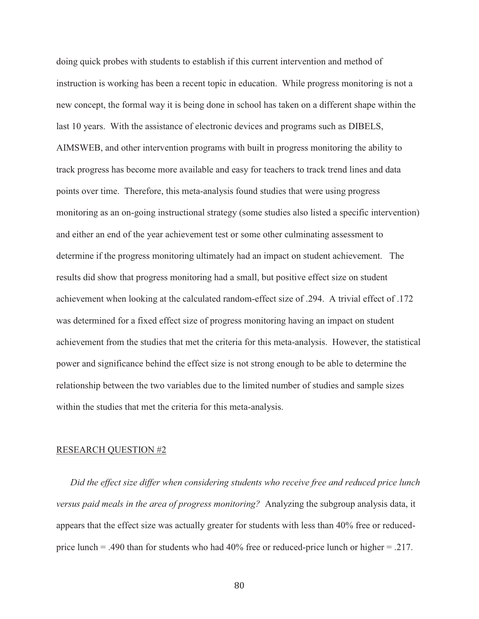doing quick probes with students to establish if this current intervention and method of instruction is working has been a recent topic in education. While progress monitoring is not a new concept, the formal way it is being done in school has taken on a different shape within the last 10 years. With the assistance of electronic devices and programs such as DIBELS, AIMSWEB, and other intervention programs with built in progress monitoring the ability to track progress has become more available and easy for teachers to track trend lines and data points over time. Therefore, this meta-analysis found studies that were using progress monitoring as an on-going instructional strategy (some studies also listed a specific intervention) and either an end of the year achievement test or some other culminating assessment to determine if the progress monitoring ultimately had an impact on student achievement. The results did show that progress monitoring had a small, but positive effect size on student achievement when looking at the calculated random-effect size of .294. A trivial effect of .172 was determined for a fixed effect size of progress monitoring having an impact on student achievement from the studies that met the criteria for this meta-analysis. However, the statistical power and significance behind the effect size is not strong enough to be able to determine the relationship between the two variables due to the limited number of studies and sample sizes within the studies that met the criteria for this meta-analysis.

#### RESEARCH QUESTION #2

*Did the effect size differ when considering students who receive free and reduced price lunch versus paid meals in the area of progress monitoring?* Analyzing the subgroup analysis data, it appears that the effect size was actually greater for students with less than 40% free or reducedprice lunch = .490 than for students who had 40% free or reduced-price lunch or higher = .217.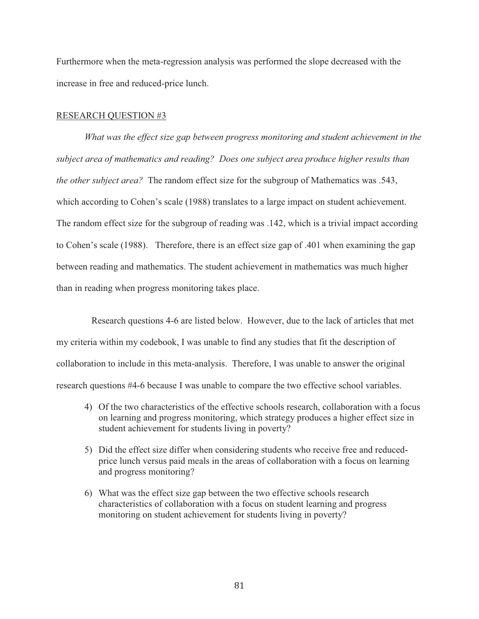Furthermore when the meta-regression analysis was performed the slope decreased with the increase in free and reduced-price lunch.

### RESEARCH QUESTION #3

*What was the effect size gap between progress monitoring and student achievement in the subject area of mathematics and reading? Does one subject area produce higher results than the other subject area?* The random effect size for the subgroup of Mathematics was .543, which according to Cohen's scale (1988) translates to a large impact on student achievement. The random effect size for the subgroup of reading was .142, which is a trivial impact according to Cohen's scale (1988). Therefore, there is an effect size gap of .401 when examining the gap between reading and mathematics. The student achievement in mathematics was much higher than in reading when progress monitoring takes place.

 Research questions 4-6 are listed below. However, due to the lack of articles that met my criteria within my codebook, I was unable to find any studies that fit the description of collaboration to include in this meta-analysis. Therefore, I was unable to answer the original research questions #4-6 because I was unable to compare the two effective school variables.

- 4) Of the two characteristics of the effective schools research, collaboration with a focus on learning and progress monitoring, which strategy produces a higher effect size in student achievement for students living in poverty?
- 5) Did the effect size differ when considering students who receive free and reducedprice lunch versus paid meals in the areas of collaboration with a focus on learning and progress monitoring?
- 6) What was the effect size gap between the two effective schools research characteristics of collaboration with a focus on student learning and progress monitoring on student achievement for students living in poverty?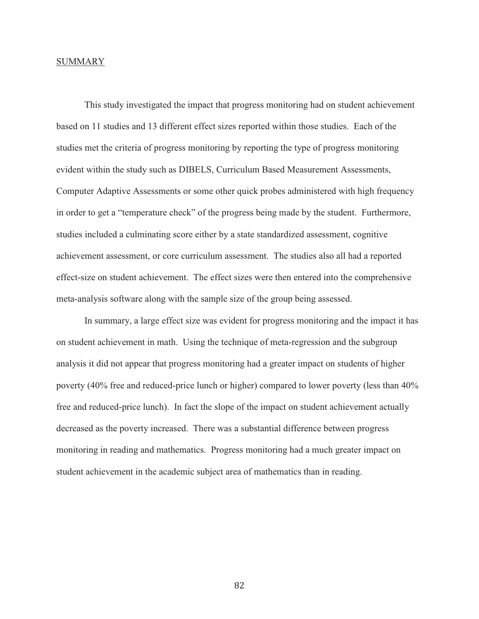### **SUMMARY**

This study investigated the impact that progress monitoring had on student achievement based on 11 studies and 13 different effect sizes reported within those studies. Each of the studies met the criteria of progress monitoring by reporting the type of progress monitoring evident within the study such as DIBELS, Curriculum Based Measurement Assessments, Computer Adaptive Assessments or some other quick probes administered with high frequency in order to get a "temperature check" of the progress being made by the student. Furthermore, studies included a culminating score either by a state standardized assessment, cognitive achievement assessment, or core curriculum assessment. The studies also all had a reported effect-size on student achievement. The effect sizes were then entered into the comprehensive meta-analysis software along with the sample size of the group being assessed.

 In summary, a large effect size was evident for progress monitoring and the impact it has on student achievement in math. Using the technique of meta-regression and the subgroup analysis it did not appear that progress monitoring had a greater impact on students of higher poverty (40% free and reduced-price lunch or higher) compared to lower poverty (less than 40% free and reduced-price lunch). In fact the slope of the impact on student achievement actually decreased as the poverty increased. There was a substantial difference between progress monitoring in reading and mathematics. Progress monitoring had a much greater impact on student achievement in the academic subject area of mathematics than in reading.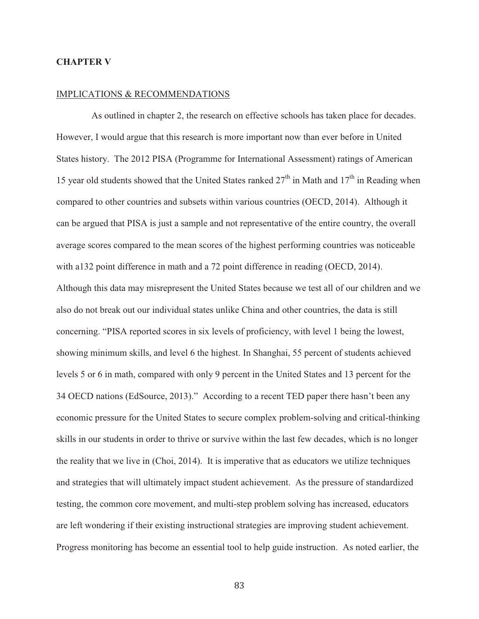## **CHAPTER V**

# IMPLICATIONS & RECOMMENDATIONS

 As outlined in chapter 2, the research on effective schools has taken place for decades. However, I would argue that this research is more important now than ever before in United States history. The 2012 PISA (Programme for International Assessment) ratings of American 15 year old students showed that the United States ranked  $27<sup>th</sup>$  in Math and  $17<sup>th</sup>$  in Reading when compared to other countries and subsets within various countries (OECD, 2014). Although it can be argued that PISA is just a sample and not representative of the entire country, the overall average scores compared to the mean scores of the highest performing countries was noticeable with a132 point difference in math and a 72 point difference in reading (OECD, 2014). Although this data may misrepresent the United States because we test all of our children and we also do not break out our individual states unlike China and other countries, the data is still concerning. "PISA reported scores in six levels of proficiency, with level 1 being the lowest, showing minimum skills, and level 6 the highest. In Shanghai, 55 percent of students achieved levels 5 or 6 in math, compared with only 9 percent in the United States and 13 percent for the 34 OECD nations (EdSource, 2013)." According to a recent TED paper there hasn't been any economic pressure for the United States to secure complex problem-solving and critical-thinking skills in our students in order to thrive or survive within the last few decades, which is no longer the reality that we live in (Choi, 2014). It is imperative that as educators we utilize techniques and strategies that will ultimately impact student achievement. As the pressure of standardized testing, the common core movement, and multi-step problem solving has increased, educators are left wondering if their existing instructional strategies are improving student achievement. Progress monitoring has become an essential tool to help guide instruction. As noted earlier, the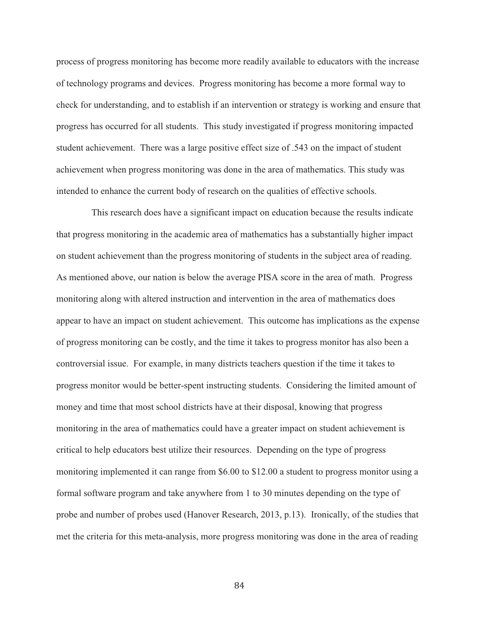process of progress monitoring has become more readily available to educators with the increase of technology programs and devices. Progress monitoring has become a more formal way to check for understanding, and to establish if an intervention or strategy is working and ensure that progress has occurred for all students. This study investigated if progress monitoring impacted student achievement. There was a large positive effect size of .543 on the impact of student achievement when progress monitoring was done in the area of mathematics. This study was intended to enhance the current body of research on the qualities of effective schools.

 This research does have a significant impact on education because the results indicate that progress monitoring in the academic area of mathematics has a substantially higher impact on student achievement than the progress monitoring of students in the subject area of reading. As mentioned above, our nation is below the average PISA score in the area of math. Progress monitoring along with altered instruction and intervention in the area of mathematics does appear to have an impact on student achievement. This outcome has implications as the expense of progress monitoring can be costly, and the time it takes to progress monitor has also been a controversial issue. For example, in many districts teachers question if the time it takes to progress monitor would be better-spent instructing students. Considering the limited amount of money and time that most school districts have at their disposal, knowing that progress monitoring in the area of mathematics could have a greater impact on student achievement is critical to help educators best utilize their resources. Depending on the type of progress monitoring implemented it can range from \$6.00 to \$12.00 a student to progress monitor using a formal software program and take anywhere from 1 to 30 minutes depending on the type of probe and number of probes used (Hanover Research, 2013, p.13). Ironically, of the studies that met the criteria for this meta-analysis, more progress monitoring was done in the area of reading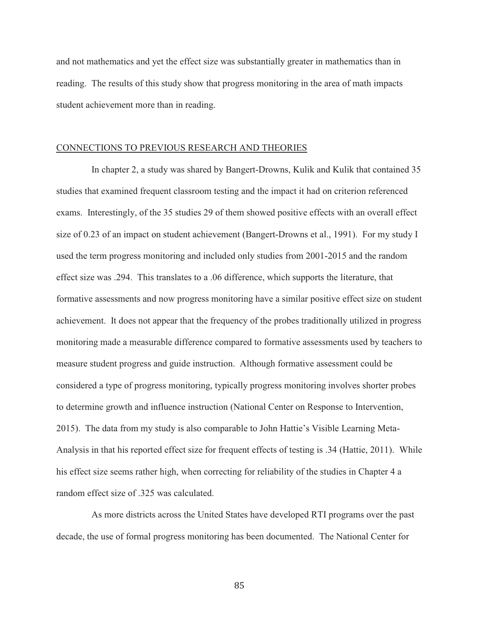and not mathematics and yet the effect size was substantially greater in mathematics than in reading. The results of this study show that progress monitoring in the area of math impacts student achievement more than in reading.

### CONNECTIONS TO PREVIOUS RESEARCH AND THEORIES

 In chapter 2, a study was shared by Bangert-Drowns, Kulik and Kulik that contained 35 studies that examined frequent classroom testing and the impact it had on criterion referenced exams. Interestingly, of the 35 studies 29 of them showed positive effects with an overall effect size of 0.23 of an impact on student achievement (Bangert-Drowns et al., 1991). For my study I used the term progress monitoring and included only studies from 2001-2015 and the random effect size was .294. This translates to a .06 difference, which supports the literature, that formative assessments and now progress monitoring have a similar positive effect size on student achievement. It does not appear that the frequency of the probes traditionally utilized in progress monitoring made a measurable difference compared to formative assessments used by teachers to measure student progress and guide instruction. Although formative assessment could be considered a type of progress monitoring, typically progress monitoring involves shorter probes to determine growth and influence instruction (National Center on Response to Intervention, 2015). The data from my study is also comparable to John Hattie's Visible Learning Meta-Analysis in that his reported effect size for frequent effects of testing is .34 (Hattie, 2011). While his effect size seems rather high, when correcting for reliability of the studies in Chapter 4 a random effect size of .325 was calculated.

 As more districts across the United States have developed RTI programs over the past decade, the use of formal progress monitoring has been documented. The National Center for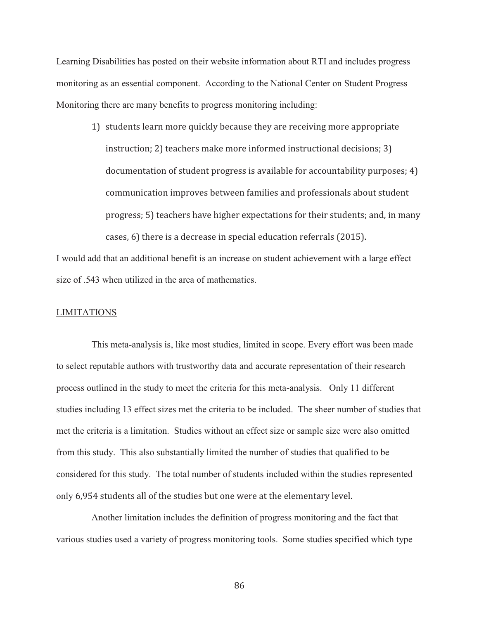Learning Disabilities has posted on their website information about RTI and includes progress monitoring as an essential component. According to the National Center on Student Progress Monitoring there are many benefits to progress monitoring including:

1) students learn more quickly because they are receiving more appropriate instruction; 2) teachers make more informed instructional decisions; 3) documentation of student progress is available for accountability purposes; 4) communication improves between families and professionals about student progress; 5) teachers have higher expectations for their students; and, in many cases, 6) there is a decrease in special education referrals (2015).

I would add that an additional benefit is an increase on student achievement with a large effect size of .543 when utilized in the area of mathematics.

## LIMITATIONS

 This meta-analysis is, like most studies, limited in scope. Every effort was been made to select reputable authors with trustworthy data and accurate representation of their research process outlined in the study to meet the criteria for this meta-analysis. Only 11 different studies including 13 effect sizes met the criteria to be included. The sheer number of studies that met the criteria is a limitation. Studies without an effect size or sample size were also omitted from this study. This also substantially limited the number of studies that qualified to be considered for this study. The total number of students included within the studies represented only 6,954 students all of the studies but one were at the elementary level.

 Another limitation includes the definition of progress monitoring and the fact that various studies used a variety of progress monitoring tools. Some studies specified which type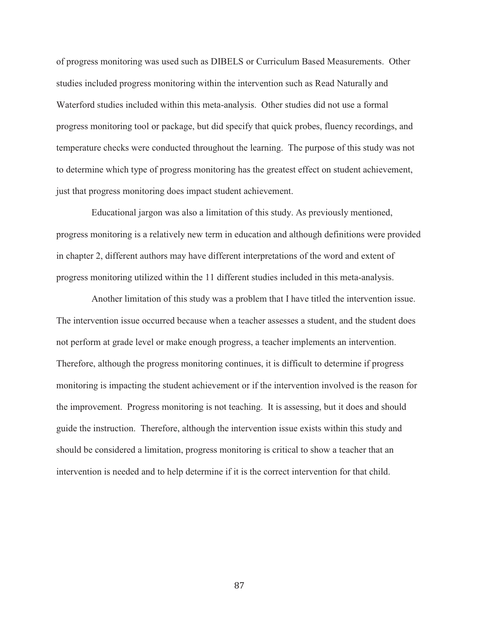of progress monitoring was used such as DIBELS or Curriculum Based Measurements. Other studies included progress monitoring within the intervention such as Read Naturally and Waterford studies included within this meta-analysis. Other studies did not use a formal progress monitoring tool or package, but did specify that quick probes, fluency recordings, and temperature checks were conducted throughout the learning. The purpose of this study was not to determine which type of progress monitoring has the greatest effect on student achievement, just that progress monitoring does impact student achievement.

 Educational jargon was also a limitation of this study. As previously mentioned, progress monitoring is a relatively new term in education and although definitions were provided in chapter 2, different authors may have different interpretations of the word and extent of progress monitoring utilized within the 11 different studies included in this meta-analysis.

 Another limitation of this study was a problem that I have titled the intervention issue. The intervention issue occurred because when a teacher assesses a student, and the student does not perform at grade level or make enough progress, a teacher implements an intervention. Therefore, although the progress monitoring continues, it is difficult to determine if progress monitoring is impacting the student achievement or if the intervention involved is the reason for the improvement. Progress monitoring is not teaching. It is assessing, but it does and should guide the instruction. Therefore, although the intervention issue exists within this study and should be considered a limitation, progress monitoring is critical to show a teacher that an intervention is needed and to help determine if it is the correct intervention for that child.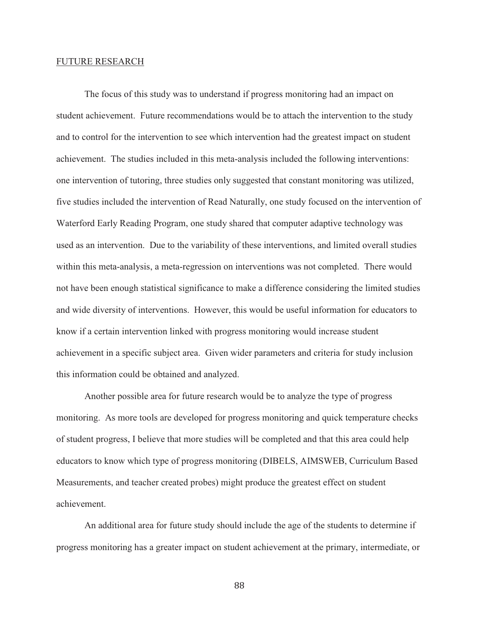### FUTURE RESEARCH

 The focus of this study was to understand if progress monitoring had an impact on student achievement. Future recommendations would be to attach the intervention to the study and to control for the intervention to see which intervention had the greatest impact on student achievement. The studies included in this meta-analysis included the following interventions: one intervention of tutoring, three studies only suggested that constant monitoring was utilized, five studies included the intervention of Read Naturally, one study focused on the intervention of Waterford Early Reading Program, one study shared that computer adaptive technology was used as an intervention. Due to the variability of these interventions, and limited overall studies within this meta-analysis, a meta-regression on interventions was not completed. There would not have been enough statistical significance to make a difference considering the limited studies and wide diversity of interventions. However, this would be useful information for educators to know if a certain intervention linked with progress monitoring would increase student achievement in a specific subject area. Given wider parameters and criteria for study inclusion this information could be obtained and analyzed.

 Another possible area for future research would be to analyze the type of progress monitoring. As more tools are developed for progress monitoring and quick temperature checks of student progress, I believe that more studies will be completed and that this area could help educators to know which type of progress monitoring (DIBELS, AIMSWEB, Curriculum Based Measurements, and teacher created probes) might produce the greatest effect on student achievement.

 An additional area for future study should include the age of the students to determine if progress monitoring has a greater impact on student achievement at the primary, intermediate, or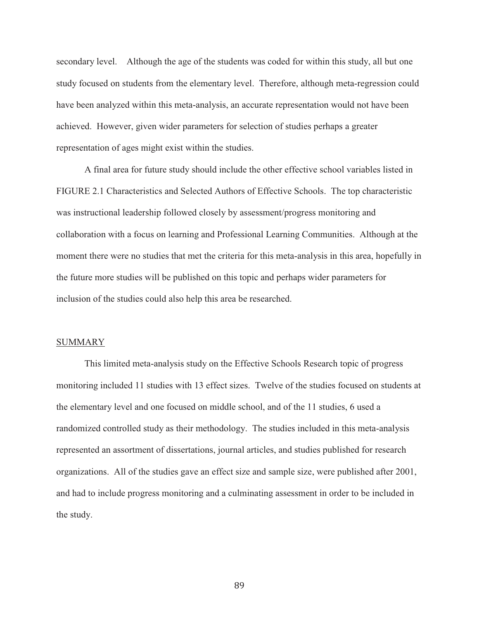secondary level. Although the age of the students was coded for within this study, all but one study focused on students from the elementary level. Therefore, although meta-regression could have been analyzed within this meta-analysis, an accurate representation would not have been achieved. However, given wider parameters for selection of studies perhaps a greater representation of ages might exist within the studies.

 A final area for future study should include the other effective school variables listed in FIGURE 2.1 Characteristics and Selected Authors of Effective Schools. The top characteristic was instructional leadership followed closely by assessment/progress monitoring and collaboration with a focus on learning and Professional Learning Communities. Although at the moment there were no studies that met the criteria for this meta-analysis in this area, hopefully in the future more studies will be published on this topic and perhaps wider parameters for inclusion of the studies could also help this area be researched.

### SUMMARY

 This limited meta-analysis study on the Effective Schools Research topic of progress monitoring included 11 studies with 13 effect sizes. Twelve of the studies focused on students at the elementary level and one focused on middle school, and of the 11 studies, 6 used a randomized controlled study as their methodology. The studies included in this meta-analysis represented an assortment of dissertations, journal articles, and studies published for research organizations. All of the studies gave an effect size and sample size, were published after 2001, and had to include progress monitoring and a culminating assessment in order to be included in the study.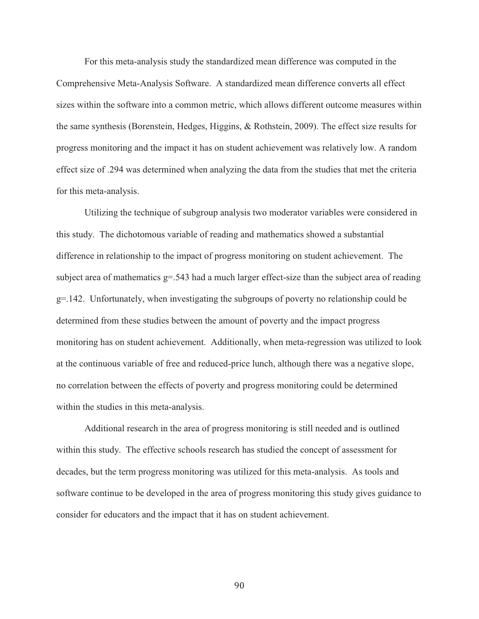For this meta-analysis study the standardized mean difference was computed in the Comprehensive Meta-Analysis Software. A standardized mean difference converts all effect sizes within the software into a common metric, which allows different outcome measures within the same synthesis (Borenstein, Hedges, Higgins, & Rothstein, 2009). The effect size results for progress monitoring and the impact it has on student achievement was relatively low. A random effect size of .294 was determined when analyzing the data from the studies that met the criteria for this meta-analysis.

 Utilizing the technique of subgroup analysis two moderator variables were considered in this study. The dichotomous variable of reading and mathematics showed a substantial difference in relationship to the impact of progress monitoring on student achievement. The subject area of mathematics  $g = 0.543$  had a much larger effect-size than the subject area of reading  $g=142$ . Unfortunately, when investigating the subgroups of poverty no relationship could be determined from these studies between the amount of poverty and the impact progress monitoring has on student achievement. Additionally, when meta-regression was utilized to look at the continuous variable of free and reduced-price lunch, although there was a negative slope, no correlation between the effects of poverty and progress monitoring could be determined within the studies in this meta-analysis.

 Additional research in the area of progress monitoring is still needed and is outlined within this study. The effective schools research has studied the concept of assessment for decades, but the term progress monitoring was utilized for this meta-analysis. As tools and software continue to be developed in the area of progress monitoring this study gives guidance to consider for educators and the impact that it has on student achievement.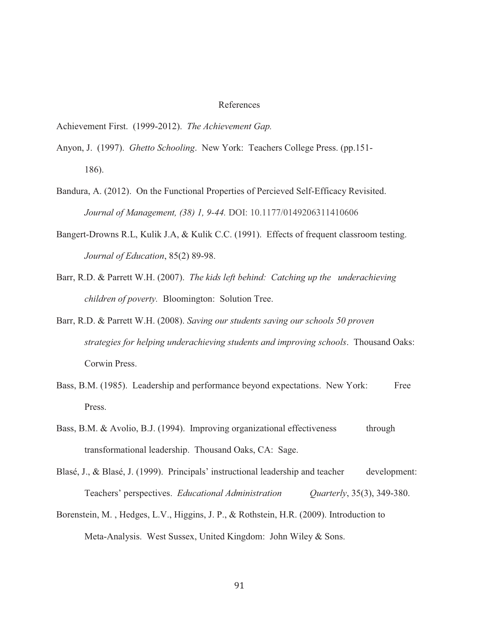### References

Achievement First. (1999-2012). *The Achievement Gap.*

- Anyon, J. (1997). *Ghetto Schooling*. New York: Teachers College Press. (pp.151- 186).
- Bandura, A. (2012). On the Functional Properties of Percieved Self-Efficacy Revisited. *Journal of Management, (38) 1, 9-44.* DOI: 10.1177/0149206311410606
- Bangert-Drowns R.L, Kulik J.A, & Kulik C.C. (1991). Effects of frequent classroom testing. *Journal of Education*, 85(2) 89-98.
- Barr, R.D. & Parrett W.H. (2007). *The kids left behind: Catching up the underachieving children of poverty.* Bloomington: Solution Tree.
- Barr, R.D. & Parrett W.H. (2008). *Saving our students saving our schools 50 proven strategies for helping underachieving students and improving schools*. Thousand Oaks: Corwin Press.
- Bass, B.M. (1985). Leadership and performance beyond expectations. New York: Free Press.
- Bass, B.M. & Avolio, B.J. (1994). Improving organizational effectiveness through transformational leadership. Thousand Oaks, CA: Sage.
- Blasé, J., & Blasé, J. (1999). Principals' instructional leadership and teacher development: Teachers' perspectives. *Educational Administration Quarterly*, 35(3), 349-380.
- Borenstein, M. , Hedges, L.V., Higgins, J. P., & Rothstein, H.R. (2009). Introduction to Meta-Analysis. West Sussex, United Kingdom: John Wiley & Sons.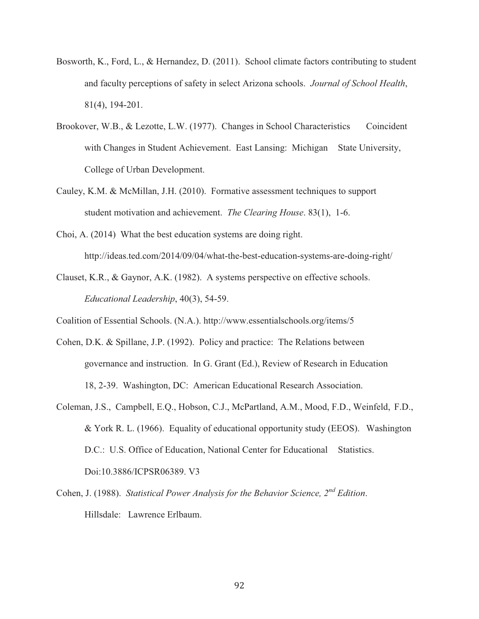- Bosworth, K., Ford, L., & Hernandez, D. (2011). School climate factors contributing to student and faculty perceptions of safety in select Arizona schools. *Journal of School Health*, 81(4), 194-201.
- Brookover, W.B., & Lezotte, L.W. (1977). Changes in School Characteristics Coincident with Changes in Student Achievement. East Lansing: Michigan State University, College of Urban Development.
- Cauley, K.M. & McMillan, J.H. (2010). Formative assessment techniques to support student motivation and achievement. *The Clearing House*. 83(1), 1-6.
- Choi, A. (2014) What the best education systems are doing right. http://ideas.ted.com/2014/09/04/what-the-best-education-systems-are-doing-right/
- Clauset, K.R., & Gaynor, A.K. (1982). A systems perspective on effective schools. *Educational Leadership*, 40(3), 54-59.

Coalition of Essential Schools. (N.A.). http://www.essentialschools.org/items/5

- Cohen, D.K. & Spillane, J.P. (1992). Policy and practice: The Relations between governance and instruction. In G. Grant (Ed.), Review of Research in Education 18, 2-39. Washington, DC: American Educational Research Association.
- Coleman, J.S., Campbell, E.Q., Hobson, C.J., McPartland, A.M., Mood, F.D., Weinfeld, F.D., & York R. L. (1966). Equality of educational opportunity study (EEOS). Washington D.C.: U.S. Office of Education, National Center for Educational Statistics. Doi:10.3886/ICPSR06389. V3
- Cohen, J. (1988). *Statistical Power Analysis for the Behavior Science, 2nd Edition*. Hillsdale: Lawrence Erlbaum.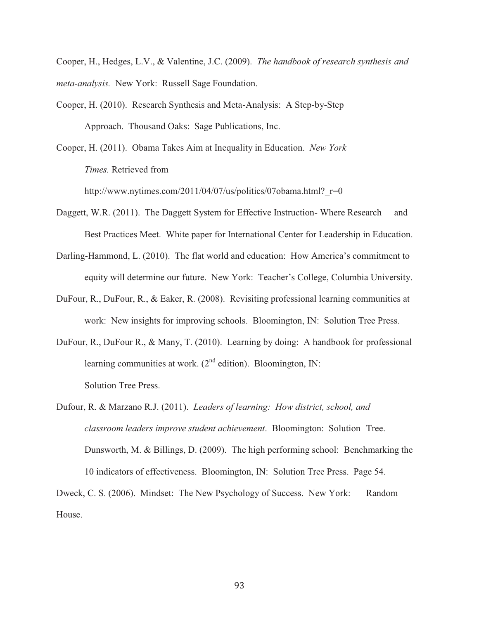Cooper, H., Hedges, L.V., & Valentine, J.C. (2009). *The handbook of research synthesis and meta-analysis.* New York: Russell Sage Foundation.

Cooper, H. (2010). Research Synthesis and Meta-Analysis: A Step-by-Step Approach. Thousand Oaks: Sage Publications, Inc.

Cooper, H. (2011). Obama Takes Aim at Inequality in Education. *New York Times.* Retrieved from

http://www.nytimes.com/2011/04/07/us/politics/07obama.html? r=0

- Daggett, W.R. (2011). The Daggett System for Effective Instruction-Where Research and Best Practices Meet. White paper for International Center for Leadership in Education.
- Darling-Hammond, L. (2010). The flat world and education: How America's commitment to equity will determine our future. New York: Teacher's College, Columbia University.
- DuFour, R., DuFour, R., & Eaker, R. (2008). Revisiting professional learning communities at work: New insights for improving schools. Bloomington, IN: Solution Tree Press.
- DuFour, R., DuFour R., & Many, T. (2010). Learning by doing: A handbook for professional learning communities at work.  $(2<sup>nd</sup>$  edition). Bloomington, IN: Solution Tree Press.
- Dufour, R. & Marzano R.J. (2011). *Leaders of learning: How district, school, and classroom leaders improve student achievement*. Bloomington: Solution Tree. Dunsworth, M. & Billings, D. (2009). The high performing school: Benchmarking the 10 indicators of effectiveness. Bloomington, IN: Solution Tree Press. Page 54.

Dweck, C. S. (2006). Mindset: The New Psychology of Success. New York: Random House.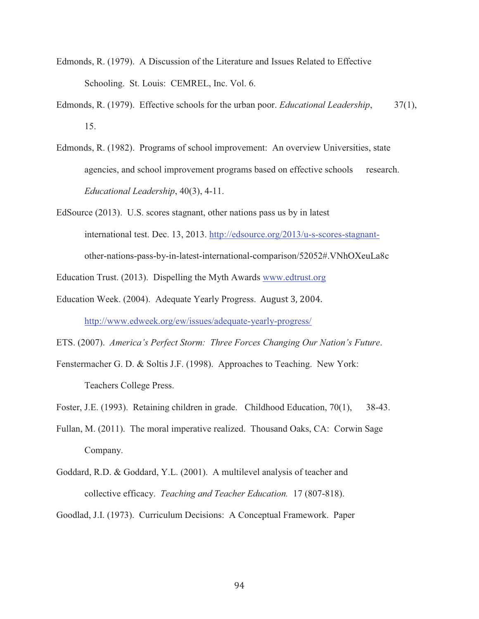- Edmonds, R. (1979). A Discussion of the Literature and Issues Related to Effective Schooling. St. Louis: CEMREL, Inc. Vol. 6.
- Edmonds, R. (1979). Effective schools for the urban poor. *Educational Leadership*, 37(1), 15.
- Edmonds, R. (1982). Programs of school improvement: An overview Universities, state agencies, and school improvement programs based on effective schools research. *Educational Leadership*, 40(3), 4-11.
- EdSource (2013). U.S. scores stagnant, other nations pass us by in latest international test. Dec. 13, 2013. http://edsource.org/2013/u-s-scores-stagnantother-nations-pass-by-in-latest-international-comparison/52052#.VNhOXeuLa8c

Education Trust. (2013). Dispelling the Myth Awards www.edtrust.org

- Education Week. (2004). Adequate Yearly Progress. August 3, 2004. http://www.edweek.org/ew/issues/adequate-yearly-progress/
- ETS. (2007). *America's Perfect Storm: Three Forces Changing Our Nation's Future*.
- Fenstermacher G. D. & Soltis J.F. (1998). Approaches to Teaching. New York: Teachers College Press.
- Foster, J.E. (1993). Retaining children in grade. Childhood Education, 70(1), 38-43.
- Fullan, M. (2011). The moral imperative realized. Thousand Oaks, CA: Corwin Sage Company.
- Goddard, R.D. & Goddard, Y.L. (2001). A multilevel analysis of teacher and collective efficacy. *Teaching and Teacher Education.* 17 (807-818).
- Goodlad, J.I. (1973). Curriculum Decisions: A Conceptual Framework. Paper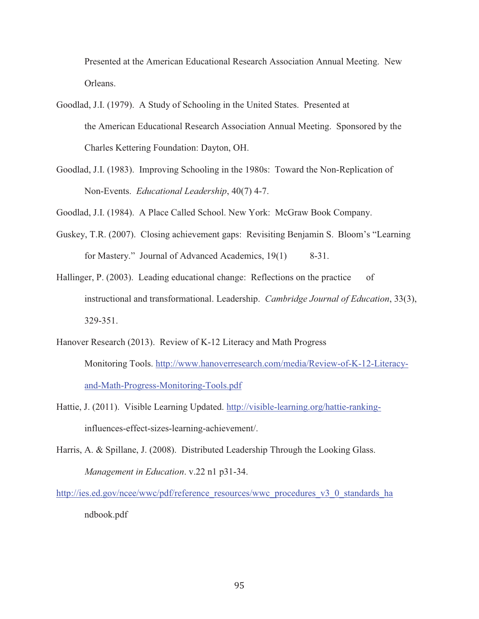Presented at the American Educational Research Association Annual Meeting. New Orleans.

- Goodlad, J.I. (1979). A Study of Schooling in the United States. Presented at the American Educational Research Association Annual Meeting. Sponsored by the Charles Kettering Foundation: Dayton, OH.
- Goodlad, J.I. (1983). Improving Schooling in the 1980s: Toward the Non-Replication of Non-Events. *Educational Leadership*, 40(7) 4-7.

Goodlad, J.I. (1984). A Place Called School. New York: McGraw Book Company.

- Guskey, T.R. (2007). Closing achievement gaps: Revisiting Benjamin S. Bloom's "Learning for Mastery." Journal of Advanced Academics, 19(1) 8-31.
- Hallinger, P. (2003). Leading educational change: Reflections on the practice of instructional and transformational. Leadership. *Cambridge Journal of Education*, 33(3), 329-351.
- Hanover Research (2013). Review of K-12 Literacy and Math Progress Monitoring Tools. http://www.hanoverresearch.com/media/Review-of-K-12-Literacyand-Math-Progress-Monitoring-Tools.pdf
- Hattie, J. (2011). Visible Learning Updated. http://visible-learning.org/hattie-ranking influences-effect-sizes-learning-achievement/.
- Harris, A. & Spillane, J. (2008). Distributed Leadership Through the Looking Glass. *Management in Education*. v.22 n1 p31-34.

http://ies.ed.gov/ncee/wwc/pdf/reference\_resources/wwc\_procedures\_v3\_0\_standards\_ha ndbook.pdf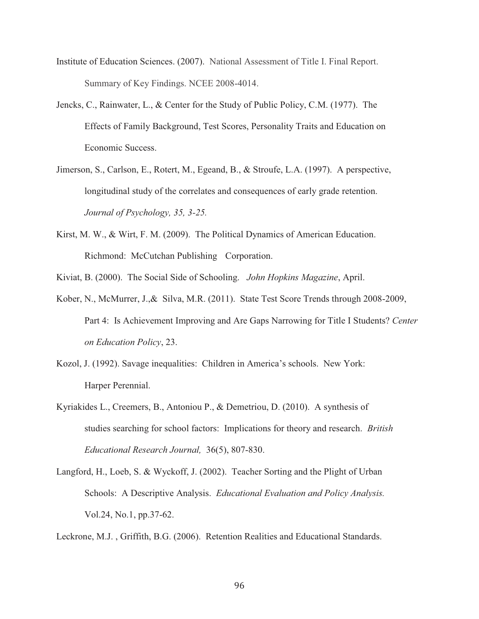- Institute of Education Sciences. (2007). National Assessment of Title I. Final Report. Summary of Key Findings. NCEE 2008-4014.
- Jencks, C., Rainwater, L., & Center for the Study of Public Policy, C.M. (1977). The Effects of Family Background, Test Scores, Personality Traits and Education on Economic Success.
- Jimerson, S., Carlson, E., Rotert, M., Egeand, B., & Stroufe, L.A. (1997). A perspective, longitudinal study of the correlates and consequences of early grade retention. *Journal of Psychology, 35, 3-25.*
- Kirst, M. W., & Wirt, F. M. (2009). The Political Dynamics of American Education. Richmond: McCutchan Publishing Corporation.
- Kiviat, B. (2000). The Social Side of Schooling. *John Hopkins Magazine*, April.
- Kober, N., McMurrer, J.,& Silva, M.R. (2011). State Test Score Trends through 2008-2009, Part 4: Is Achievement Improving and Are Gaps Narrowing for Title I Students? *Center on Education Policy*, 23.
- Kozol, J. (1992). Savage inequalities: Children in America's schools. New York: Harper Perennial.
- Kyriakides L., Creemers, B., Antoniou P., & Demetriou, D. (2010). A synthesis of studies searching for school factors: Implications for theory and research. *British Educational Research Journal,* 36(5), 807-830.
- Langford, H., Loeb, S. & Wyckoff, J. (2002). Teacher Sorting and the Plight of Urban Schools: A Descriptive Analysis. *Educational Evaluation and Policy Analysis.*  Vol.24, No.1, pp.37-62.

Leckrone, M.J. , Griffith, B.G. (2006). Retention Realities and Educational Standards.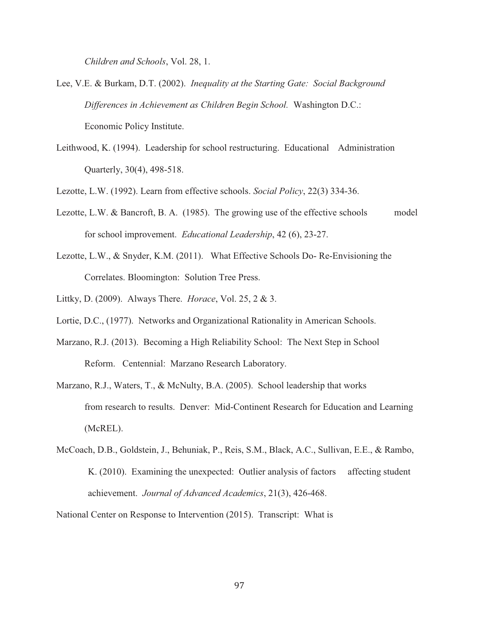*Children and Schools*, Vol. 28, 1.

- Lee, V.E. & Burkam, D.T. (2002). *Inequality at the Starting Gate: Social Background Differences in Achievement as Children Begin School.* Washington D.C.: Economic Policy Institute.
- Leithwood, K. (1994). Leadership for school restructuring. Educational Administration Quarterly, 30(4), 498-518.

Lezotte, L.W. (1992). Learn from effective schools. *Social Policy*, 22(3) 334-36.

- Lezotte, L.W. & Bancroft, B. A. (1985). The growing use of the effective schools model for school improvement. *Educational Leadership*, 42 (6), 23-27.
- Lezotte, L.W., & Snyder, K.M. (2011). What Effective Schools Do- Re-Envisioning the Correlates. Bloomington: Solution Tree Press.
- Littky, D. (2009). Always There. *Horace*, Vol. 25, 2 & 3.
- Lortie, D.C., (1977). Networks and Organizational Rationality in American Schools.
- Marzano, R.J. (2013). Becoming a High Reliability School: The Next Step in School Reform. Centennial: Marzano Research Laboratory.
- Marzano, R.J., Waters, T., & McNulty, B.A. (2005). School leadership that works from research to results. Denver: Mid-Continent Research for Education and Learning (McREL).

McCoach, D.B., Goldstein, J., Behuniak, P., Reis, S.M., Black, A.C., Sullivan, E.E., & Rambo, K. (2010). Examining the unexpected: Outlier analysis of factors affecting student achievement. *Journal of Advanced Academics*, 21(3), 426-468.

National Center on Response to Intervention (2015). Transcript: What is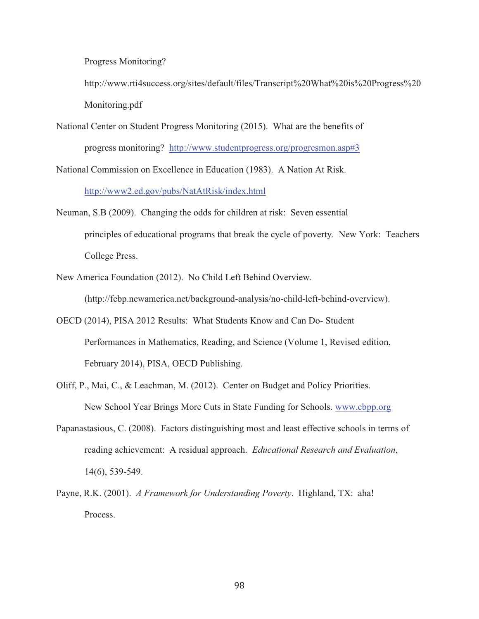Progress Monitoring?

http://www.rti4success.org/sites/default/files/Transcript%20What%20is%20Progress%20 Monitoring.pdf

National Center on Student Progress Monitoring (2015). What are the benefits of progress monitoring? http://www.studentprogress.org/progresmon.asp#3

National Commission on Excellence in Education (1983). A Nation At Risk.

http://www2.ed.gov/pubs/NatAtRisk/index.html

- Neuman, S.B (2009). Changing the odds for children at risk: Seven essential principles of educational programs that break the cycle of poverty. New York: Teachers College Press.
- New America Foundation (2012). No Child Left Behind Overview.

(http://febp.newamerica.net/background-analysis/no-child-left-behind-overview).

- OECD (2014), PISA 2012 Results: What Students Know and Can Do- Student Performances in Mathematics, Reading, and Science (Volume 1, Revised edition, February 2014), PISA, OECD Publishing.
- Oliff, P., Mai, C., & Leachman, M. (2012). Center on Budget and Policy Priorities. New School Year Brings More Cuts in State Funding for Schools. www.cbpp.org
- Papanastasious, C. (2008). Factors distinguishing most and least effective schools in terms of reading achievement: A residual approach. *Educational Research and Evaluation*, 14(6), 539-549.
- Payne, R.K. (2001). *A Framework for Understanding Poverty*. Highland, TX: aha! Process.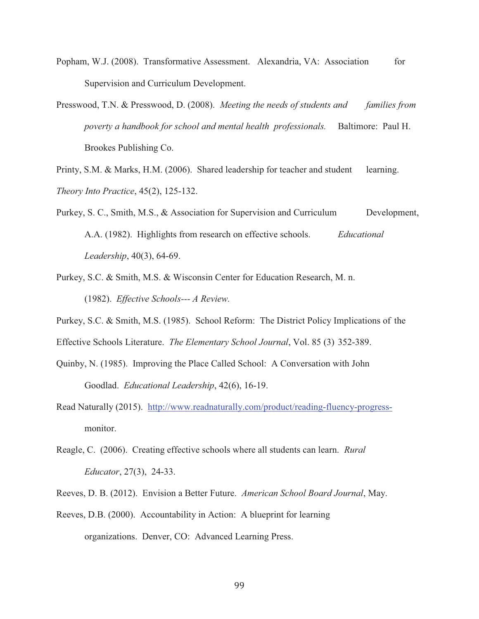- Popham, W.J. (2008). Transformative Assessment. Alexandria, VA: Association for Supervision and Curriculum Development.
- Presswood, T.N. & Presswood, D. (2008). *Meeting the needs of students and families from poverty a handbook for school and mental health professionals.* Baltimore: Paul H. Brookes Publishing Co.

Printy, S.M. & Marks, H.M. (2006). Shared leadership for teacher and student learning. *Theory Into Practice*, 45(2), 125-132.

- Purkey, S. C., Smith, M.S., & Association for Supervision and Curriculum Development, A.A. (1982). Highlights from research on effective schools. *Educational Leadership*, 40(3), 64-69.
- Purkey, S.C. & Smith, M.S. & Wisconsin Center for Education Research, M. n. (1982). *Effective Schools--- A Review.*
- Purkey, S.C. & Smith, M.S. (1985). School Reform: The District Policy Implications of the Effective Schools Literature. *The Elementary School Journal*, Vol. 85 (3) 352-389.
- Quinby, N. (1985). Improving the Place Called School: A Conversation with John Goodlad. *Educational Leadership*, 42(6), 16-19.
- Read Naturally (2015). http://www.readnaturally.com/product/reading-fluency-progressmonitor.
- Reagle, C. (2006). Creating effective schools where all students can learn. *Rural Educator*, 27(3), 24-33.
- Reeves, D. B. (2012). Envision a Better Future. *American School Board Journal*, May.
- Reeves, D.B. (2000). Accountability in Action: A blueprint for learning organizations. Denver, CO: Advanced Learning Press.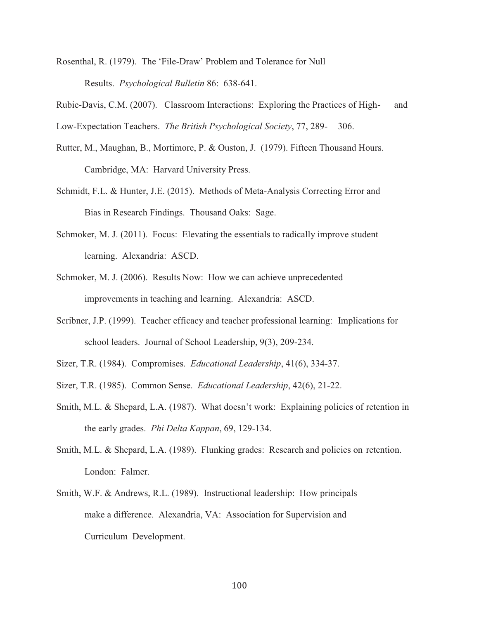Rosenthal, R. (1979). The 'File-Draw' Problem and Tolerance for Null Results. *Psychological Bulletin* 86: 638-641.

Rubie-Davis, C.M. (2007). Classroom Interactions: Exploring the Practices of High- and Low-Expectation Teachers. *The British Psychological Society*, 77, 289- 306.

- Rutter, M., Maughan, B., Mortimore, P. & Ouston, J. (1979). Fifteen Thousand Hours. Cambridge, MA: Harvard University Press.
- Schmidt, F.L. & Hunter, J.E. (2015). Methods of Meta-Analysis Correcting Error and Bias in Research Findings. Thousand Oaks: Sage.
- Schmoker, M. J. (2011). Focus: Elevating the essentials to radically improve student learning. Alexandria: ASCD.
- Schmoker, M. J. (2006). Results Now: How we can achieve unprecedented improvements in teaching and learning. Alexandria: ASCD.
- Scribner, J.P. (1999). Teacher efficacy and teacher professional learning: Implications for school leaders. Journal of School Leadership, 9(3), 209-234.
- Sizer, T.R. (1984). Compromises. *Educational Leadership*, 41(6), 334-37.
- Sizer, T.R. (1985). Common Sense. *Educational Leadership*, 42(6), 21-22.
- Smith, M.L. & Shepard, L.A. (1987). What doesn't work: Explaining policies of retention in the early grades. *Phi Delta Kappan*, 69, 129-134.
- Smith, M.L. & Shepard, L.A. (1989). Flunking grades: Research and policies on retention. London: Falmer.
- Smith, W.F. & Andrews, R.L. (1989). Instructional leadership: How principals make a difference. Alexandria, VA: Association for Supervision and Curriculum Development.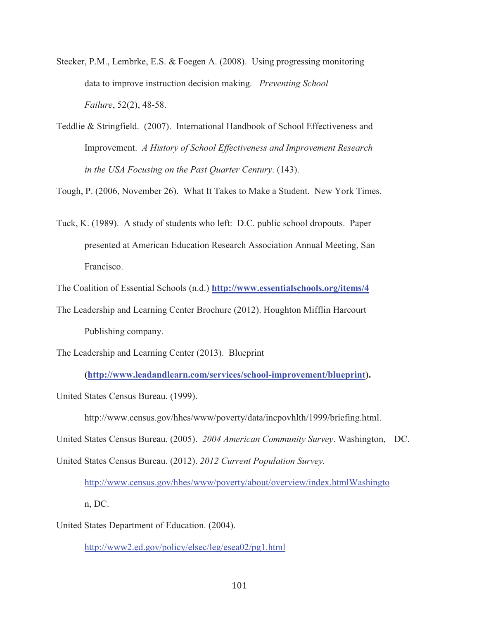- Stecker, P.M., Lembrke, E.S. & Foegen A. (2008). Using progressing monitoring data to improve instruction decision making. *Preventing School Failure*, 52(2), 48-58.
- Teddlie & Stringfield. (2007). International Handbook of School Effectiveness and Improvement. *A History of School Effectiveness and Improvement Research in the USA Focusing on the Past Quarter Century*. (143).

Tough, P. (2006, November 26). What It Takes to Make a Student. New York Times.

Tuck, K. (1989). A study of students who left: D.C. public school dropouts. Paper presented at American Education Research Association Annual Meeting, San Francisco.

The Coalition of Essential Schools (n.d.) **http://www.essentialschools.org/items/4** 

The Leadership and Learning Center Brochure (2012). Houghton Mifflin Harcourt Publishing company.

The Leadership and Learning Center (2013). Blueprint

 **(http://www.leadandlearn.com/services/school-improvement/blueprint).** 

United States Census Bureau. (1999).

http://www.census.gov/hhes/www/poverty/data/incpovhlth/1999/briefing.html.

United States Census Bureau. (2005). *2004 American Community Survey*. Washington, DC.

United States Census Bureau. (2012). *2012 Current Population Survey.* 

http://www.census.gov/hhes/www/poverty/about/overview/index.htmlWashingto

n, DC.

United States Department of Education. (2004).

http://www2.ed.gov/policy/elsec/leg/esea02/pg1.html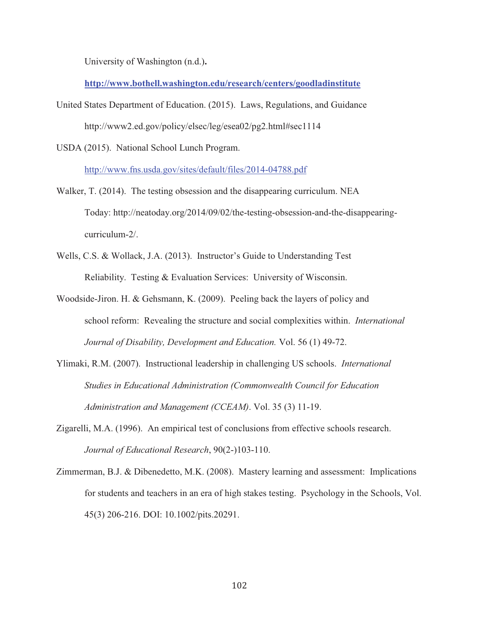University of Washington (n.d.)**.**

**http://www.bothell.washington.edu/research/centers/goodladinstitute**

United States Department of Education. (2015). Laws, Regulations, and Guidance http://www2.ed.gov/policy/elsec/leg/esea02/pg2.html#sec1114

USDA (2015). National School Lunch Program.

http://www.fns.usda.gov/sites/default/files/2014-04788.pdf

- Walker, T. (2014). The testing obsession and the disappearing curriculum. NEA Today: http://neatoday.org/2014/09/02/the-testing-obsession-and-the-disappearingcurriculum-2/.
- Wells, C.S. & Wollack, J.A. (2013). Instructor's Guide to Understanding Test Reliability. Testing & Evaluation Services: University of Wisconsin.
- Woodside-Jiron. H. & Gehsmann, K. (2009). Peeling back the layers of policy and school reform: Revealing the structure and social complexities within. *International Journal of Disability, Development and Education.* Vol. 56 (1) 49-72.
- Ylimaki, R.M. (2007). Instructional leadership in challenging US schools. *International Studies in Educational Administration (Commonwealth Council for Education Administration and Management (CCEAM)*. Vol. 35 (3) 11-19.
- Zigarelli, M.A. (1996). An empirical test of conclusions from effective schools research. *Journal of Educational Research*, 90(2-)103-110.
- Zimmerman, B.J. & Dibenedetto, M.K. (2008). Mastery learning and assessment: Implications for students and teachers in an era of high stakes testing. Psychology in the Schools, Vol. 45(3) 206-216. DOI: 10.1002/pits.20291.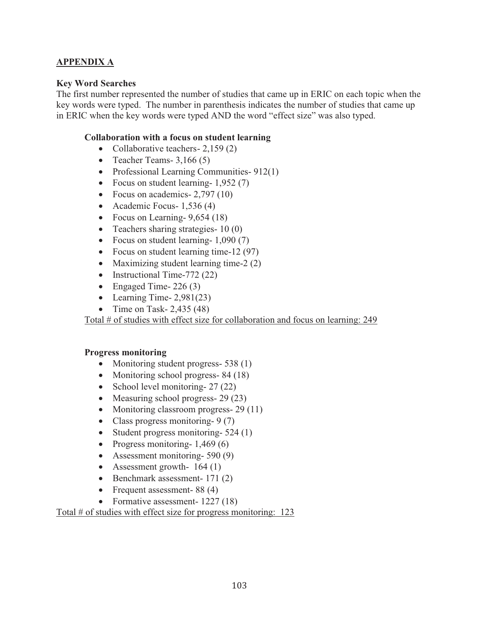### **APPENDIX A**

#### **Key Word Searches**

The first number represented the number of studies that came up in ERIC on each topic when the key words were typed. The number in parenthesis indicates the number of studies that came up in ERIC when the key words were typed AND the word "effect size" was also typed.

#### **Collaboration with a focus on student learning**

- Collaborative teachers  $2,159(2)$
- Teacher Teams-  $3,166(5)$
- Professional Learning Communities-912(1)
- Focus on student learning- 1,952 (7)
- Focus on academics-  $2,797$  (10)
- Academic Focus- 1,536 (4)
- Focus on Learning-  $9,654(18)$
- Teachers sharing strategies- 10 (0)
- Focus on student learning- 1,090 (7)
- Focus on student learning time-12 (97)
- Maximizing student learning time-2 (2)
- Instructional Time-772 (22)
- Engaged Time-  $226(3)$
- Learning Time-  $2,981(23)$
- Time on Task-  $2,435$  (48)

Total # of studies with effect size for collaboration and focus on learning: 249

#### **Progress monitoring**

- Monitoring student progress- 538 (1)
- Monitoring school progress- 84 (18)
- School level monitoring- 27 (22)
- Measuring school progress- 29 (23)
- Monitoring classroom progress- 29 (11)
- Class progress monitoring- 9 (7)
- Student progress monitoring-524 (1)
- Progress monitoring-  $1,469(6)$
- Assessment monitoring- 590 (9)
- Assessment growth- 164 (1)
- Benchmark assessment- 171 (2)
- Frequent assessment- 88 (4)
- Formative assessment- 1227 (18)

Total # of studies with effect size for progress monitoring: 123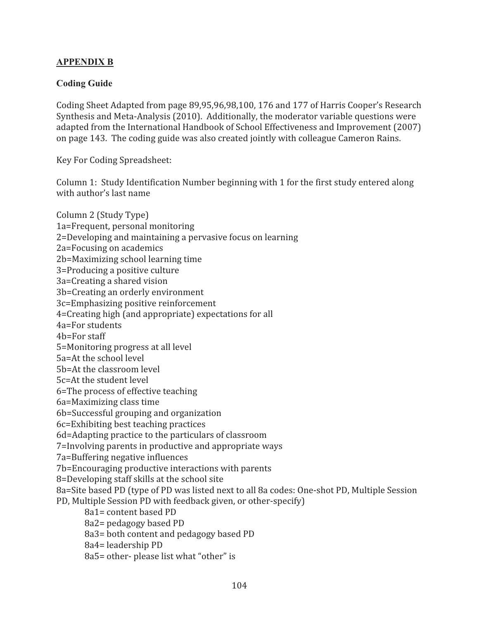### **APPENDIX B**

### **Coding Guide**

Coding Sheet Adapted from page 89,95,96,98,100, 176 and 177 of Harris Cooper's Research Synthesis and Meta-Analysis (2010). Additionally, the moderator variable questions were adapted from the International Handbook of School Effectiveness and Improvement (2007) on page 143. The coding guide was also created jointly with colleague Cameron Rains.

Key For Coding Spreadsheet:

Column 1: Study Identification Number beginning with 1 for the first study entered along with author's last name

Column 2 (Study Type) 1a=Frequent, personal monitoring 2=Developing and maintaining a pervasive focus on learning 2a=Focusing on academics 2b=Maximizing school learning time 3=Producing a positive culture 3a=Creating a shared vision 3b=Creating an orderly environment 3c=Emphasizing positive reinforcement 4=Creating high (and appropriate) expectations for all 4a=For students 4b=For staff 5=Monitoring progress at all level 5a=At the school level 5b=At the classroom level 5c=At the student level 6=The process of effective teaching 6a=Maximizing class time 6b=Successful grouping and organization 6c=Exhibiting best teaching practices 6d=Adapting practice to the particulars of classroom 7=Involving parents in productive and appropriate ways 7a=Buffering negative influences 7b=Encouraging productive interactions with parents 8=Developing staff skills at the school site 8a=Site based PD (type of PD was listed next to all 8a codes: One-shot PD, Multiple Session PD, Multiple Session PD with feedback given, or other-specify) 8a1= content based PD 8a2= pedagogy based PD 8a3= both content and pedagogy based PD 8a4= leadership PD 8a5= other- please list what "other" is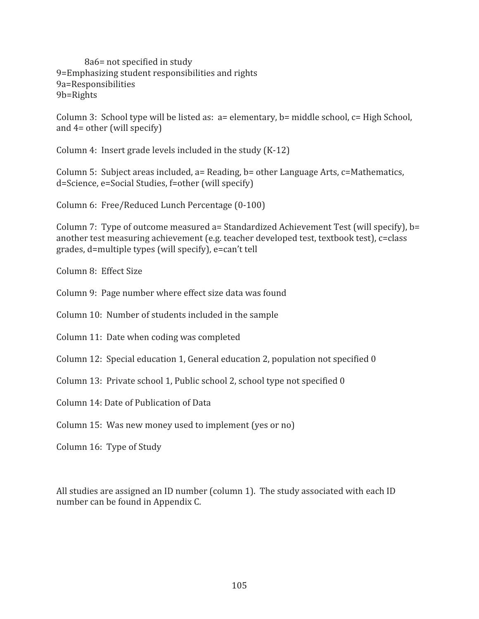8a6= not specified in study 9=Emphasizing student responsibilities and rights 9a=Responsibilities 9b=Rights

Column 3: School type will be listed as: a= elementary, b= middle school, c= High School, and 4= other (will specify)

Column 4: Insert grade levels included in the study (K-12)

Column 5: Subject areas included, a= Reading, b= other Language Arts, c=Mathematics, d=Science, e=Social Studies, f=other (will specify)

Column 6: Free/Reduced Lunch Percentage (0-100)

Column 7: Type of outcome measured a= Standardized Achievement Test (will specify), b= another test measuring achievement (e.g. teacher developed test, textbook test), c=class grades, d=multiple types (will specify), e=can't tell

Column 8: Effect Size

Column 9: Page number where effect size data was found

Column 10: Number of students included in the sample

Column 11: Date when coding was completed

Column 12: Special education 1, General education 2, population not specified 0

Column 13: Private school 1, Public school 2, school type not specified 0

Column 14: Date of Publication of Data

Column 15: Was new money used to implement (yes or no)

Column 16: Type of Study

All studies are assigned an ID number (column 1). The study associated with each ID number can be found in Appendix C.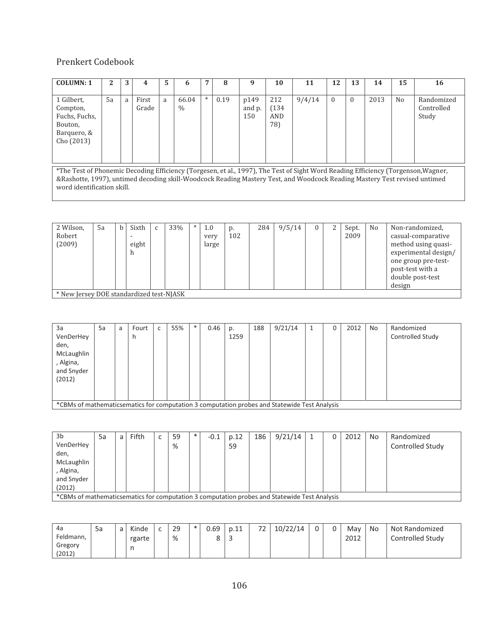### Prenkert Codebook

| <b>COLUMN: 1</b>                                                                                                                  | 2  | 3 |                | 5 | 6                      |     | 8    | 9                     | 10                         | 11     | 12       | 13       | 14   | 15             | 16                                |
|-----------------------------------------------------------------------------------------------------------------------------------|----|---|----------------|---|------------------------|-----|------|-----------------------|----------------------------|--------|----------|----------|------|----------------|-----------------------------------|
| 1 Gilbert,<br>Compton,<br>Fuchs, Fuchs,<br>Bouton,<br>Barquero, &<br>Cho (2013)                                                   | 5a | a | First<br>Grade | a | 66.04<br>$\frac{0}{0}$ | $*$ | 0.19 | p149<br>and p.<br>150 | 212<br>(134)<br>AND<br>78) | 9/4/14 | $\Omega$ | $\theta$ | 2013 | N <sub>0</sub> | Randomized<br>Controlled<br>Study |
| *The Test of Phonemic Decoding Efficiency (Torgesen, et al., 1997), The Test of Sight Word Reading Efficiency (Torgenson, Wagner, |    |   |                |   |                        |     |      |                       |                            |        |          |          |      |                |                                   |

&Rashotte, 1997), untimed decoding skill-Woodcock Reading Mastery Test, and Woodcock Reading Mastery Test revised untimed word identification skill.

| 2 Wilson,                                | 5a | Sixth | C | 33% | $\ast$ | 1.0   | p.  | 284 | 9/5/14 | 0 | Sept. | N <sub>o</sub> | Non-randomized,      |
|------------------------------------------|----|-------|---|-----|--------|-------|-----|-----|--------|---|-------|----------------|----------------------|
| Robert                                   |    |       |   |     |        | very  | 102 |     |        |   | 2009  |                | casual-comparative   |
| (2009)                                   |    | eight |   |     |        | large |     |     |        |   |       |                | method using quasi-  |
|                                          |    | h     |   |     |        |       |     |     |        |   |       |                | experimental design/ |
|                                          |    |       |   |     |        |       |     |     |        |   |       |                | one group pre-test-  |
|                                          |    |       |   |     |        |       |     |     |        |   |       |                | post-test with a     |
|                                          |    |       |   |     |        |       |     |     |        |   |       |                | double post-test     |
|                                          |    |       |   |     |        |       |     |     |        |   |       |                | design               |
| * New Jersey DOE standardized test-NJASK |    |       |   |     |        |       |     |     |        |   |       |                |                      |

| 3a                                                                                           | 5a | a | Fourt | 55% | $\ast$ | 0.46 | p.   | 188 | 9/21/14 | 1 | 0 | 2012 | No | Randomized       |
|----------------------------------------------------------------------------------------------|----|---|-------|-----|--------|------|------|-----|---------|---|---|------|----|------------------|
| VenDerHey                                                                                    |    |   | h     |     |        |      | 1259 |     |         |   |   |      |    | Controlled Study |
| den,                                                                                         |    |   |       |     |        |      |      |     |         |   |   |      |    |                  |
| McLaughlin                                                                                   |    |   |       |     |        |      |      |     |         |   |   |      |    |                  |
| , Algina,                                                                                    |    |   |       |     |        |      |      |     |         |   |   |      |    |                  |
| and Snyder                                                                                   |    |   |       |     |        |      |      |     |         |   |   |      |    |                  |
| (2012)                                                                                       |    |   |       |     |        |      |      |     |         |   |   |      |    |                  |
|                                                                                              |    |   |       |     |        |      |      |     |         |   |   |      |    |                  |
|                                                                                              |    |   |       |     |        |      |      |     |         |   |   |      |    |                  |
| *CBMs of mathematicsematics for computation 3 computation probes and Statewide Test Analysis |    |   |       |     |        |      |      |     |         |   |   |      |    |                  |

| 3 <sub>b</sub>                                                                               | 5a | a | Fifth | $\overline{ }$ | 59 | $\ast$ | $-0.1$ | p.12 | 186 | 9/21/14 |  | 2012 | No | Randomized       |
|----------------------------------------------------------------------------------------------|----|---|-------|----------------|----|--------|--------|------|-----|---------|--|------|----|------------------|
| VenDerHey                                                                                    |    |   |       |                | %  |        |        | 59   |     |         |  |      |    | Controlled Study |
| den,                                                                                         |    |   |       |                |    |        |        |      |     |         |  |      |    |                  |
| McLaughlin                                                                                   |    |   |       |                |    |        |        |      |     |         |  |      |    |                  |
| , Algina,                                                                                    |    |   |       |                |    |        |        |      |     |         |  |      |    |                  |
| and Snyder                                                                                   |    |   |       |                |    |        |        |      |     |         |  |      |    |                  |
| (2012)                                                                                       |    |   |       |                |    |        |        |      |     |         |  |      |    |                  |
| *CBMs of mathematicsematics for computation 3 computation probes and Statewide Test Analysis |    |   |       |                |    |        |        |      |     |         |  |      |    |                  |

| 4a                | 5a | $\overline{\phantom{0}}$<br>d | Kinde  | $\overline{\phantom{0}}$ | 29 | $\ast$ | 0.69 | p.11        | ר<br>້ | 10/22/14 | 0 | May  | No | Not Randomized   |
|-------------------|----|-------------------------------|--------|--------------------------|----|--------|------|-------------|--------|----------|---|------|----|------------------|
| Feldmann,         |    |                               | rgarte |                          | %  |        |      | $\sim$<br>- |        |          |   | 2012 |    | Controlled Study |
| Gregory<br>(2012) |    |                               | n      |                          |    |        |      |             |        |          |   |      |    |                  |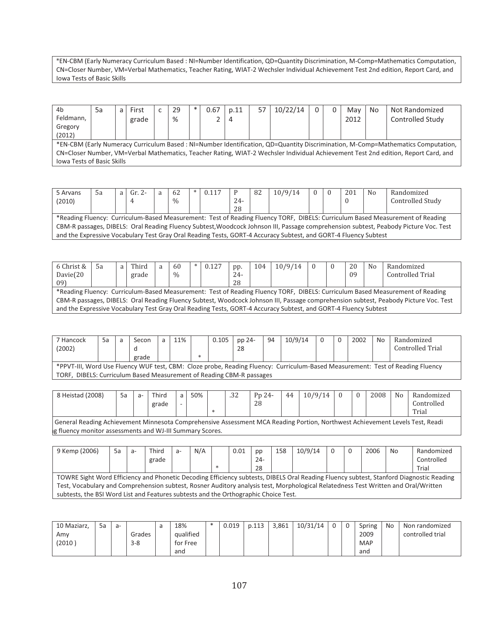\*EN-CBM (Early Numeracy Curriculum Based : NI=Number Identification, QD=Quantity Discrimination, M-Comp=Mathematics Computation, CN=Closer Number, VM=Verbal Mathematics, Teacher Rating, WIAT-2 Wechsler Individual Achievement Test 2nd edition, Report Card, and Iowa Tests of Basic Skills

| 4b                                | 5a | a | First | 29 | $\ast$ | 0.67 | p.11 | 57 | 10/22/14 |  | Mav  | No | Not Randomized                                                                                                                     |
|-----------------------------------|----|---|-------|----|--------|------|------|----|----------|--|------|----|------------------------------------------------------------------------------------------------------------------------------------|
| Feldmann,                         |    |   | grade | %  |        |      | -4   |    |          |  | 2012 |    | Controlled Study                                                                                                                   |
| Gregory                           |    |   |       |    |        |      |      |    |          |  |      |    |                                                                                                                                    |
| (2012)                            |    |   |       |    |        |      |      |    |          |  |      |    |                                                                                                                                    |
|                                   |    |   |       |    |        |      |      |    |          |  |      |    | *EN-CBM (Early Numeracy Curriculum Based: NI=Number Identification, QD=Quantity Discrimination, M-Comp=Mathematics Computation,    |
|                                   |    |   |       |    |        |      |      |    |          |  |      |    | CN=Closer Number, VM=Verbal Mathematics, Teacher Rating, WIAT-2 Wechsler Individual Achievement Test 2nd edition, Report Card, and |
| <b>Iowa Tests of Basic Skills</b> |    |   |       |    |        |      |      |    |          |  |      |    |                                                                                                                                    |

| 5 Arvans | .5a                                                                                                                           | a l | Gr. 2- | a | 62            |  | 0.117 |       | 82 | 10/9/14                                                                                                         |  |  | 201 | N <sub>0</sub> | Randomized                                                                                                                           |
|----------|-------------------------------------------------------------------------------------------------------------------------------|-----|--------|---|---------------|--|-------|-------|----|-----------------------------------------------------------------------------------------------------------------|--|--|-----|----------------|--------------------------------------------------------------------------------------------------------------------------------------|
| (2010)   |                                                                                                                               |     |        |   | $\frac{0}{0}$ |  |       | $24-$ |    |                                                                                                                 |  |  |     |                | Controlled Study                                                                                                                     |
|          |                                                                                                                               |     |        |   |               |  |       | 28    |    |                                                                                                                 |  |  |     |                |                                                                                                                                      |
|          | *Reading Fluency: Curriculum-Based Measurement: Test of Reading Fluency TORF, DIBELS: Curriculum Based Measurement of Reading |     |        |   |               |  |       |       |    |                                                                                                                 |  |  |     |                |                                                                                                                                      |
|          |                                                                                                                               |     |        |   |               |  |       |       |    |                                                                                                                 |  |  |     |                | CBM-R passages, DIBELS: Oral Reading Fluency Subtest, Woodcock Johnson III, Passage comprehension subtest, Peabody Picture Voc. Test |
|          |                                                                                                                               |     |        |   |               |  |       |       |    | and the Expressive Vocabulary Test Gray Oral Reading Tests, GORT-4 Accuracy Subtest, and GORT-4 Fluency Subtest |  |  |     |                |                                                                                                                                      |

| 6 Christ &                                                                                                      | -5а                                                                                                                           | a | Third |  | -60  | $\ast$ | 0.127 | pp.   | 104 | 10/9/14 |  |  | 20  | No | Randomized                                                                                                                           |
|-----------------------------------------------------------------------------------------------------------------|-------------------------------------------------------------------------------------------------------------------------------|---|-------|--|------|--------|-------|-------|-----|---------|--|--|-----|----|--------------------------------------------------------------------------------------------------------------------------------------|
| Davie $(20)$                                                                                                    |                                                                                                                               |   | grade |  | $\%$ |        |       | $24-$ |     |         |  |  | -09 |    | Controlled Trial                                                                                                                     |
| 09)                                                                                                             |                                                                                                                               |   |       |  |      |        |       | 28    |     |         |  |  |     |    |                                                                                                                                      |
|                                                                                                                 | *Reading Fluency: Curriculum-Based Measurement: Test of Reading Fluency TORF, DIBELS: Curriculum Based Measurement of Reading |   |       |  |      |        |       |       |     |         |  |  |     |    |                                                                                                                                      |
|                                                                                                                 |                                                                                                                               |   |       |  |      |        |       |       |     |         |  |  |     |    | CBM-R passages, DIBELS: Oral Reading Fluency Subtest, Woodcock Johnson III, Passage comprehension subtest, Peabody Picture Voc. Test |
| and the Expressive Vocabulary Test Gray Oral Reading Tests, GORT-4 Accuracy Subtest, and GORT-4 Fluency Subtest |                                                                                                                               |   |       |  |      |        |       |       |     |         |  |  |     |    |                                                                                                                                      |

| 7 Hancock<br>(2002) | 5a | Secon<br>grade | 11% | $\ast$ | 0.105 | pp 24-<br>-28                                                  | 94 | 10/9/14 |  | 2002 | No | Randomized<br>Controlled Trial                                                                                                 |
|---------------------|----|----------------|-----|--------|-------|----------------------------------------------------------------|----|---------|--|------|----|--------------------------------------------------------------------------------------------------------------------------------|
|                     |    |                |     |        |       |                                                                |    |         |  |      |    | *PPVT-III, Word Use Fluency WUF test, CBM: Cloze probe, Reading Fluency: Curriculum-Based Measurement: Test of Reading Fluency |
| TORF.               |    |                |     |        |       | DIBELS: Curriculum Based Measurement of Reading CBM-R passages |    |         |  |      |    |                                                                                                                                |

| 8 Heistad (2008)                                                                                                             | 5a | Third<br>grade | 50% | ່າາ<br>ے د. | P <sub>p</sub> $24$ -<br>28 | 44 | 10/9/14 |  | 2008 | N <sub>0</sub> | Randomized<br>Controllec<br>Trial |
|------------------------------------------------------------------------------------------------------------------------------|----|----------------|-----|-------------|-----------------------------|----|---------|--|------|----------------|-----------------------------------|
| General Reading Achievement Minnesota Comprehensive Assessment MCA Reading Portion, Northwest Achievement Levels Test, Readi |    |                |     |             |                             |    |         |  |      |                |                                   |

eneral Reading Achievement Minnesota Comprehensive Assessment MCA Reading Portion, Northwest Achievement Levels Test, Readi  $|$ g fluency monitor assessments and WJ-III Summary Scores.

| 9 Kemp (2006)                                                                                                                           | 5a                                                                                                                                 | a- | Third | $a -$ | N/A |  | 0.01 | pp     | 158 | 10/9/14 |  |  | 2006 | No | Randomized |
|-----------------------------------------------------------------------------------------------------------------------------------------|------------------------------------------------------------------------------------------------------------------------------------|----|-------|-------|-----|--|------|--------|-----|---------|--|--|------|----|------------|
|                                                                                                                                         |                                                                                                                                    |    | grade |       |     |  |      | $24 -$ |     |         |  |  |      |    | Controlled |
| $\ast$<br>28<br>Trial                                                                                                                   |                                                                                                                                    |    |       |       |     |  |      |        |     |         |  |  |      |    |            |
| TOWRE Sight Word Efficiency and Phonetic Decoding Efficiency subtests, DIBELS Oral Reading Fluency subtest, Stanford Diagnostic Reading |                                                                                                                                    |    |       |       |     |  |      |        |     |         |  |  |      |    |            |
|                                                                                                                                         | Test, Vocabulary and Comprehension subtest, Rosner Auditory analysis test, Morphological Relatedness Test Written and Oral/Written |    |       |       |     |  |      |        |     |         |  |  |      |    |            |
| subtests, the BSI Word List and Features subtests and the Orthographic Choice Test.                                                     |                                                                                                                                    |    |       |       |     |  |      |        |     |         |  |  |      |    |            |

| 10 Maziarz, | 5a | a- |         | 18%       | $\ast$ | 0.019 | p.113 | 3.861 | 10/31/14 |  | Spring     | No | Non randomized   |
|-------------|----|----|---------|-----------|--------|-------|-------|-------|----------|--|------------|----|------------------|
| Amv         |    |    | Grades  | aualified |        |       |       |       |          |  | 2009       |    | controlled trial |
| $'2010$ ,   |    |    | $3 - 8$ | tor Free  |        |       |       |       |          |  | <b>MAP</b> |    |                  |
|             |    |    |         | and       |        |       |       |       |          |  | and        |    |                  |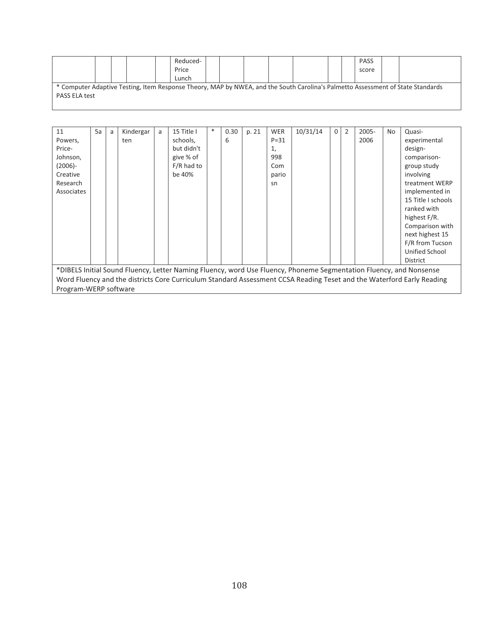|                                                                                                                                 |  |  | Reduced- |  |  |  |  |  |  | <b>PASS</b> |  |
|---------------------------------------------------------------------------------------------------------------------------------|--|--|----------|--|--|--|--|--|--|-------------|--|
|                                                                                                                                 |  |  | Price    |  |  |  |  |  |  | score       |  |
|                                                                                                                                 |  |  | Lunch    |  |  |  |  |  |  |             |  |
| * Computer Adaptive Testing, Item Response Theory, MAP by NWEA, and the South Carolina's Palmetto Assessment of State Standards |  |  |          |  |  |  |  |  |  |             |  |
| <b>PASS ELA test</b>                                                                                                            |  |  |          |  |  |  |  |  |  |             |  |
|                                                                                                                                 |  |  |          |  |  |  |  |  |  |             |  |

| 11                    | 5a                                                                                                                    | a | Kindergar | a | 15 Title I   | $\ast$ | 0.30 | p. 21 | <b>WER</b> | 10/31/14 | $\Omega$ | 2 | 2005- | No | Quasi-                                                                                                             |
|-----------------------|-----------------------------------------------------------------------------------------------------------------------|---|-----------|---|--------------|--------|------|-------|------------|----------|----------|---|-------|----|--------------------------------------------------------------------------------------------------------------------|
| Powers,               |                                                                                                                       |   | ten       |   | schools,     |        | 6    |       | $P = 31$   |          |          |   | 2006  |    | experimental                                                                                                       |
| Price-                |                                                                                                                       |   |           |   | but didn't   |        |      |       | 1,         |          |          |   |       |    | design-                                                                                                            |
| Johnson,              |                                                                                                                       |   |           |   | give % of    |        |      |       | 998        |          |          |   |       |    | comparison-                                                                                                        |
| $(2006) -$            |                                                                                                                       |   |           |   | $F/R$ had to |        |      |       | Com        |          |          |   |       |    | group study                                                                                                        |
| Creative              |                                                                                                                       |   |           |   | be 40%       |        |      |       | pario      |          |          |   |       |    | involving                                                                                                          |
| Research              |                                                                                                                       |   |           |   |              |        |      |       | sn         |          |          |   |       |    | treatment WERP                                                                                                     |
| Associates            |                                                                                                                       |   |           |   |              |        |      |       |            |          |          |   |       |    | implemented in                                                                                                     |
|                       |                                                                                                                       |   |           |   |              |        |      |       |            |          |          |   |       |    | 15 Title I schools                                                                                                 |
|                       |                                                                                                                       |   |           |   |              |        |      |       |            |          |          |   |       |    | ranked with                                                                                                        |
|                       |                                                                                                                       |   |           |   |              |        |      |       |            |          |          |   |       |    | highest F/R.                                                                                                       |
|                       |                                                                                                                       |   |           |   |              |        |      |       |            |          |          |   |       |    | Comparison with                                                                                                    |
|                       |                                                                                                                       |   |           |   |              |        |      |       |            |          |          |   |       |    | next highest 15                                                                                                    |
|                       |                                                                                                                       |   |           |   |              |        |      |       |            |          |          |   |       |    | F/R from Tucson                                                                                                    |
|                       |                                                                                                                       |   |           |   |              |        |      |       |            |          |          |   |       |    | Unified School                                                                                                     |
|                       |                                                                                                                       |   |           |   |              |        |      |       |            |          |          |   |       |    | <b>District</b>                                                                                                    |
|                       |                                                                                                                       |   |           |   |              |        |      |       |            |          |          |   |       |    | *DIBELS Initial Sound Fluency, Letter Naming Fluency, word Use Fluency, Phoneme Segmentation Fluency, and Nonsense |
|                       | Word Fluency and the districts Core Curriculum Standard Assessment CCSA Reading Teset and the Waterford Early Reading |   |           |   |              |        |      |       |            |          |          |   |       |    |                                                                                                                    |
| Program-WERP software |                                                                                                                       |   |           |   |              |        |      |       |            |          |          |   |       |    |                                                                                                                    |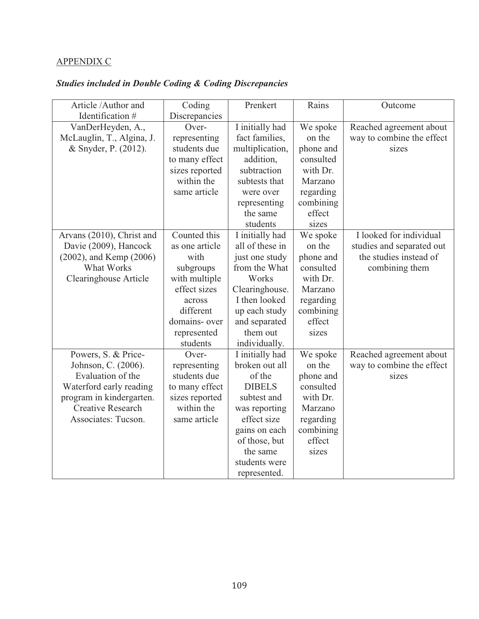## APPENDIX C

# *Studies included in Double Coding & Coding Discrepancies*

| Article /Author and          | Coding         | Prenkert        | Rains     | Outcome                   |
|------------------------------|----------------|-----------------|-----------|---------------------------|
| Identification #             | Discrepancies  |                 |           |                           |
| VanDerHeyden, A.,            | Over-          | I initially had | We spoke  | Reached agreement about   |
| McLauglin, T., Algina, J.    | representing   | fact families,  | on the    | way to combine the effect |
| & Snyder, P. (2012).         | students due   | multiplication, | phone and | sizes                     |
|                              | to many effect | addition,       | consulted |                           |
|                              | sizes reported | subtraction     | with Dr.  |                           |
|                              | within the     | subtests that   | Marzano   |                           |
|                              | same article   | were over       | regarding |                           |
|                              |                | representing    | combining |                           |
|                              |                | the same        | effect    |                           |
|                              |                | students        | sizes     |                           |
| Arvans (2010), Christ and    | Counted this   | I initially had | We spoke  | I looked for individual   |
| Davie (2009), Hancock        | as one article | all of these in | on the    | studies and separated out |
| $(2002)$ , and Kemp $(2006)$ | with           | just one study  | phone and | the studies instead of    |
| What Works                   | subgroups      | from the What   | consulted | combining them            |
| Clearinghouse Article        | with multiple  | Works           | with Dr.  |                           |
|                              | effect sizes   | Clearinghouse.  | Marzano   |                           |
|                              | across         | I then looked   | regarding |                           |
|                              | different      | up each study   | combining |                           |
|                              | domains- over  | and separated   | effect    |                           |
|                              | represented    | them out        | sizes     |                           |
|                              | students       | individually.   |           |                           |
| Powers, S. & Price-          | Over-          | I initially had | We spoke  | Reached agreement about   |
| Johnson, C. (2006).          | representing   | broken out all  | on the    | way to combine the effect |
| Evaluation of the            | students due   | of the          | phone and | sizes                     |
| Waterford early reading      | to many effect | <b>DIBELS</b>   | consulted |                           |
| program in kindergarten.     | sizes reported | subtest and     | with Dr.  |                           |
| <b>Creative Research</b>     | within the     | was reporting   | Marzano   |                           |
| Associates: Tucson.          | same article   | effect size     | regarding |                           |
|                              |                | gains on each   | combining |                           |
|                              |                | of those, but   | effect    |                           |
|                              |                | the same        | sizes     |                           |
|                              |                | students were   |           |                           |
|                              |                | represented.    |           |                           |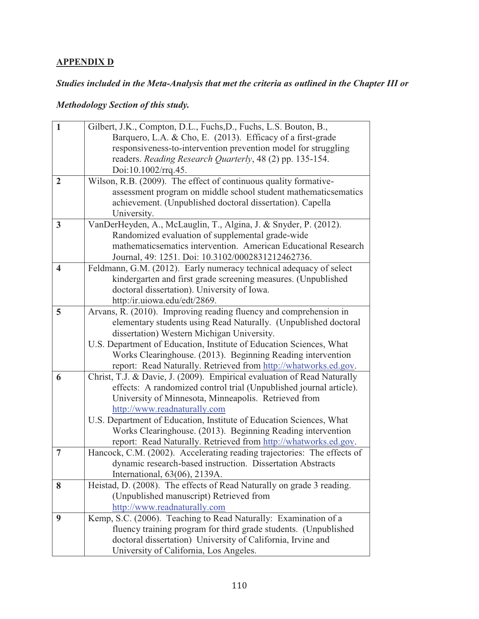### **APPENDIX D**

## *Studies included in the Meta-Analysis that met the criteria as outlined in the Chapter III or*

## *Methodology Section of this study.*

| $\mathbf{1}$            |                                                                                                                              |
|-------------------------|------------------------------------------------------------------------------------------------------------------------------|
|                         | Gilbert, J.K., Compton, D.L., Fuchs, D., Fuchs, L.S. Bouton, B.,                                                             |
|                         | Barquero, L.A. & Cho, E. (2013). Efficacy of a first-grade<br>responsiveness-to-intervention prevention model for struggling |
|                         | readers. Reading Research Quarterly, 48 (2) pp. 135-154.                                                                     |
|                         | Doi:10.1002/rrq.45.                                                                                                          |
| $\overline{2}$          | Wilson, R.B. (2009). The effect of continuous quality formative-                                                             |
|                         | assessment program on middle school student mathematicsematics                                                               |
|                         | achievement. (Unpublished doctoral dissertation). Capella                                                                    |
|                         | University.                                                                                                                  |
| 3                       | VanDerHeyden, A., McLauglin, T., Algina, J. & Snyder, P. (2012).                                                             |
|                         | Randomized evaluation of supplemental grade-wide                                                                             |
|                         | mathematicsematics intervention. American Educational Research                                                               |
|                         | Journal, 49: 1251. Doi: 10.3102/0002831212462736.                                                                            |
| $\overline{\mathbf{4}}$ | Feldmann, G.M. (2012). Early numeracy technical adequacy of select                                                           |
|                         | kindergarten and first grade screening measures. (Unpublished                                                                |
|                         | doctoral dissertation). University of Iowa.                                                                                  |
|                         | http:/ir.uiowa.edu/edt/2869.                                                                                                 |
| 5                       | Arvans, R. (2010). Improving reading fluency and comprehension in                                                            |
|                         | elementary students using Read Naturally. (Unpublished doctoral                                                              |
|                         | dissertation) Western Michigan University.                                                                                   |
|                         | U.S. Department of Education, Institute of Education Sciences, What                                                          |
|                         | Works Clearinghouse. (2013). Beginning Reading intervention                                                                  |
|                         | report: Read Naturally. Retrieved from http://whatworks.ed.gov.                                                              |
| 6                       | Christ, T.J. & Davie, J. (2009). Empirical evaluation of Read Naturally                                                      |
|                         | effects: A randomized control trial (Unpublished journal article).                                                           |
|                         | University of Minnesota, Minneapolis. Retrieved from                                                                         |
|                         | http://www.readnaturally.com                                                                                                 |
|                         | U.S. Department of Education, Institute of Education Sciences, What                                                          |
|                         | Works Clearinghouse. (2013). Beginning Reading intervention                                                                  |
|                         | report: Read Naturally. Retrieved from http://whatworks.ed.gov.                                                              |
| $\overline{7}$          | Hancock, C.M. (2002). Accelerating reading trajectories: The effects of                                                      |
|                         | dynamic research-based instruction. Dissertation Abstracts                                                                   |
|                         | International, 63(06), 2139A.                                                                                                |
| 8                       | Heistad, D. (2008). The effects of Read Naturally on grade 3 reading.                                                        |
|                         | (Unpublished manuscript) Retrieved from                                                                                      |
|                         | http://www.readnaturally.com                                                                                                 |
| 9                       | Kemp, S.C. (2006). Teaching to Read Naturally: Examination of a                                                              |
|                         | fluency training program for third grade students. (Unpublished                                                              |
|                         | doctoral dissertation) University of California, Irvine and                                                                  |
|                         | University of California, Los Angeles.                                                                                       |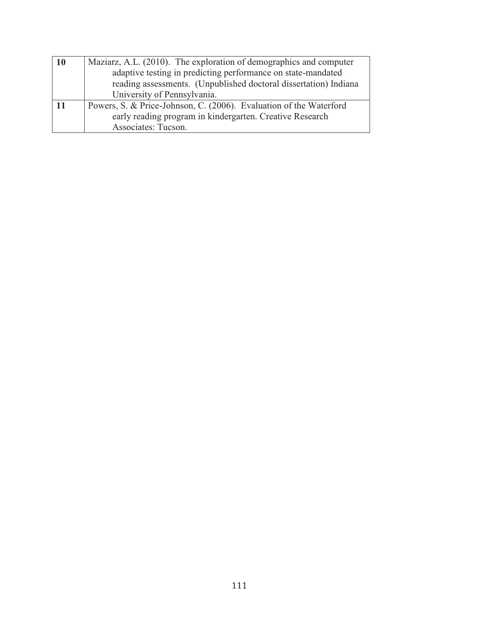| 10 | Maziarz, A.L. (2010). The exploration of demographics and computer |
|----|--------------------------------------------------------------------|
|    | adaptive testing in predicting performance on state-mandated       |
|    | reading assessments. (Unpublished doctoral dissertation) Indiana   |
|    | University of Pennsylvania.                                        |
| 11 | Powers, S. & Price-Johnson, C. (2006). Evaluation of the Waterford |
|    | early reading program in kindergarten. Creative Research           |
|    | Associates: Tucson.                                                |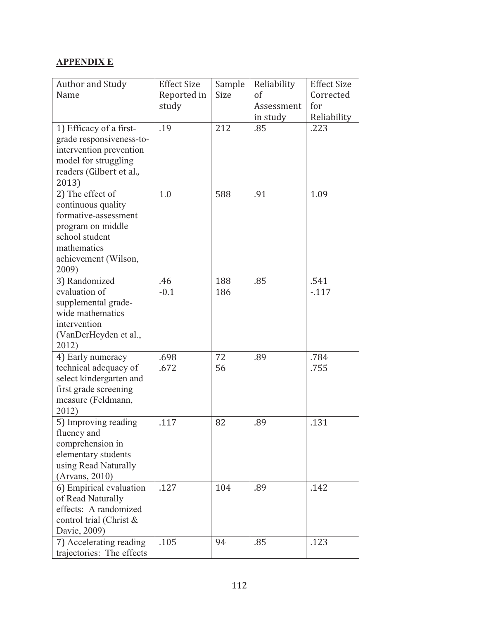### **APPENDIX E**

| <b>Author and Study</b>                          | <b>Effect Size</b> | Sample      | Reliability | <b>Effect Size</b> |
|--------------------------------------------------|--------------------|-------------|-------------|--------------------|
| Name                                             | Reported in        | <b>Size</b> | of          | Corrected          |
|                                                  | study              |             | Assessment  | for                |
|                                                  |                    |             | in study    | Reliability        |
| 1) Efficacy of a first-                          | .19                | 212         | .85         | .223               |
| grade responsiveness-to-                         |                    |             |             |                    |
| intervention prevention                          |                    |             |             |                    |
| model for struggling                             |                    |             |             |                    |
| readers (Gilbert et al.,                         |                    |             |             |                    |
| 2013)                                            |                    |             |             |                    |
| 2) The effect of                                 | 1.0                | 588         | .91         | 1.09               |
| continuous quality                               |                    |             |             |                    |
| formative-assessment                             |                    |             |             |                    |
| program on middle                                |                    |             |             |                    |
| school student                                   |                    |             |             |                    |
| mathematics                                      |                    |             |             |                    |
| achievement (Wilson,                             |                    |             |             |                    |
| 2009)                                            |                    |             |             |                    |
| 3) Randomized                                    | .46                | 188         | .85         | .541               |
| evaluation of                                    | $-0.1$             | 186         |             | $-117$             |
| supplemental grade-                              |                    |             |             |                    |
| wide mathematics                                 |                    |             |             |                    |
| intervention                                     |                    |             |             |                    |
| (VanDerHeyden et al.,                            |                    |             |             |                    |
| 2012)                                            | .698               | 72          |             | .784               |
| 4) Early numeracy                                | .672               |             | .89         | .755               |
| technical adequacy of<br>select kindergarten and |                    | 56          |             |                    |
| first grade screening                            |                    |             |             |                    |
| measure (Feldmann,                               |                    |             |             |                    |
| 2012)                                            |                    |             |             |                    |
| 5) Improving reading                             | .117               | 82          | .89         | .131               |
| fluency and                                      |                    |             |             |                    |
| comprehension in                                 |                    |             |             |                    |
| elementary students                              |                    |             |             |                    |
| using Read Naturally                             |                    |             |             |                    |
| (Arvars, 2010)                                   |                    |             |             |                    |
| 6) Empirical evaluation                          | .127               | 104         | .89         | .142               |
| of Read Naturally                                |                    |             |             |                    |
| effects: A randomized                            |                    |             |             |                    |
| control trial (Christ &                          |                    |             |             |                    |
| Davie, 2009)                                     |                    |             |             |                    |
| 7) Accelerating reading                          | .105               | 94          | .85         | .123               |
| trajectories: The effects                        |                    |             |             |                    |